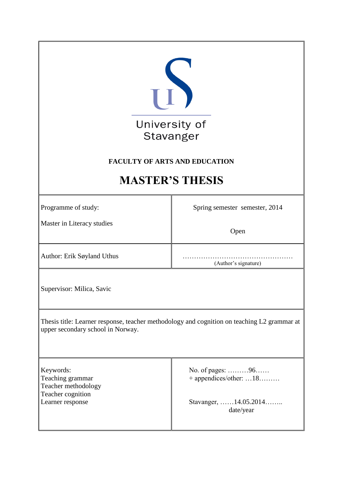| U<br>University of<br>Stavanger<br><b>FACULTY OF ARTS AND EDUCATION</b><br><b>MASTER'S THESIS</b>                                |                                                                                  |  |
|----------------------------------------------------------------------------------------------------------------------------------|----------------------------------------------------------------------------------|--|
| Programme of study:                                                                                                              | Spring semester semester, 2014                                                   |  |
| Master in Literacy studies                                                                                                       | Open                                                                             |  |
| Author: Erik Søyland Uthus                                                                                                       | (Author's signature)                                                             |  |
| Supervisor: Milica, Savic                                                                                                        |                                                                                  |  |
| Thesis title: Learner response, teacher methodology and cognition on teaching L2 grammar at<br>upper secondary school in Norway. |                                                                                  |  |
| Keywords:<br>Teaching grammar<br>Teacher methodology<br>Teacher cognition<br>Learner response                                    | No. of pages: 96<br>+ appendices/other: 18<br>Stavanger, 14.05.2014<br>date/year |  |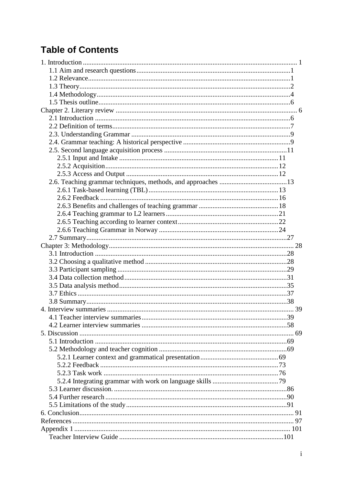# **Table of Contents**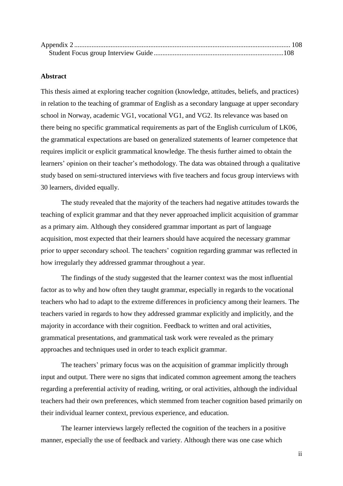#### **Abstract**

This thesis aimed at exploring teacher cognition (knowledge, attitudes, beliefs, and practices) in relation to the teaching of grammar of English as a secondary language at upper secondary school in Norway, academic VG1, vocational VG1, and VG2. Its relevance was based on there being no specific grammatical requirements as part of the English curriculum of LK06, the grammatical expectations are based on generalized statements of learner competence that requires implicit or explicit grammatical knowledge. The thesis further aimed to obtain the learners' opinion on their teacher's methodology. The data was obtained through a qualitative study based on semi-structured interviews with five teachers and focus group interviews with 30 learners, divided equally.

The study revealed that the majority of the teachers had negative attitudes towards the teaching of explicit grammar and that they never approached implicit acquisition of grammar as a primary aim. Although they considered grammar important as part of language acquisition, most expected that their learners should have acquired the necessary grammar prior to upper secondary school. The teachers' cognition regarding grammar was reflected in how irregularly they addressed grammar throughout a year.

The findings of the study suggested that the learner context was the most influential factor as to why and how often they taught grammar, especially in regards to the vocational teachers who had to adapt to the extreme differences in proficiency among their learners. The teachers varied in regards to how they addressed grammar explicitly and implicitly, and the majority in accordance with their cognition. Feedback to written and oral activities, grammatical presentations, and grammatical task work were revealed as the primary approaches and techniques used in order to teach explicit grammar.

The teachers' primary focus was on the acquisition of grammar implicitly through input and output. There were no signs that indicated common agreement among the teachers regarding a preferential activity of reading, writing, or oral activities, although the individual teachers had their own preferences, which stemmed from teacher cognition based primarily on their individual learner context, previous experience, and education.

The learner interviews largely reflected the cognition of the teachers in a positive manner, especially the use of feedback and variety. Although there was one case which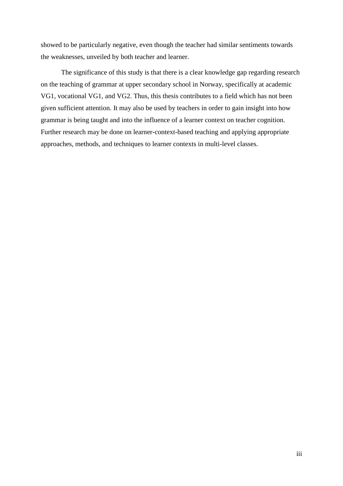showed to be particularly negative, even though the teacher had similar sentiments towards the weaknesses, unveiled by both teacher and learner.

The significance of this study is that there is a clear knowledge gap regarding research on the teaching of grammar at upper secondary school in Norway, specifically at academic VG1, vocational VG1, and VG2. Thus, this thesis contributes to a field which has not been given sufficient attention. It may also be used by teachers in order to gain insight into how grammar is being taught and into the influence of a learner context on teacher cognition. Further research may be done on learner-context-based teaching and applying appropriate approaches, methods, and techniques to learner contexts in multi-level classes.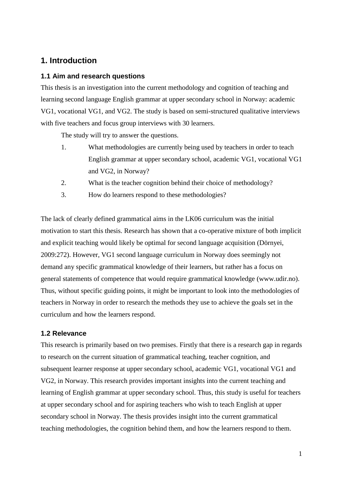# **1. Introduction**

# **1.1 Aim and research questions**

This thesis is an investigation into the current methodology and cognition of teaching and learning second language English grammar at upper secondary school in Norway: academic VG1, vocational VG1, and VG2. The study is based on semi-structured qualitative interviews with five teachers and focus group interviews with 30 learners.

The study will try to answer the questions.

- 1. What methodologies are currently being used by teachers in order to teach English grammar at upper secondary school, academic VG1, vocational VG1 and VG2, in Norway?
- 2. What is the teacher cognition behind their choice of methodology?
- 3. How do learners respond to these methodologies?

The lack of clearly defined grammatical aims in the LK06 curriculum was the initial motivation to start this thesis. Research has shown that a co-operative mixture of both implicit and explicit teaching would likely be optimal for second language acquisition (Dörnyei, 2009:272). However, VG1 second language curriculum in Norway does seemingly not demand any specific grammatical knowledge of their learners, but rather has a focus on general statements of competence that would require grammatical knowledge (www.udir.no). Thus, without specific guiding points, it might be important to look into the methodologies of teachers in Norway in order to research the methods they use to achieve the goals set in the curriculum and how the learners respond.

## **1.2 Relevance**

This research is primarily based on two premises. Firstly that there is a research gap in regards to research on the current situation of grammatical teaching, teacher cognition, and subsequent learner response at upper secondary school, academic VG1, vocational VG1 and VG2, in Norway. This research provides important insights into the current teaching and learning of English grammar at upper secondary school. Thus, this study is useful for teachers at upper secondary school and for aspiring teachers who wish to teach English at upper secondary school in Norway. The thesis provides insight into the current grammatical teaching methodologies, the cognition behind them, and how the learners respond to them.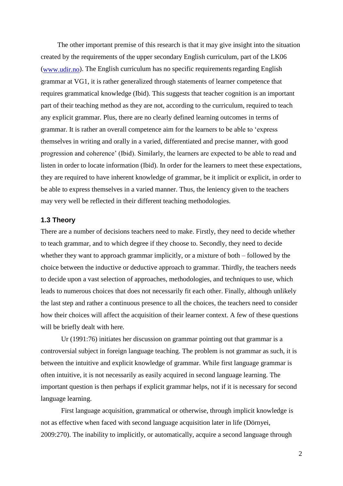The other important premise of this research is that it may give insight into the situation created by the requirements of the upper secondary English curriculum, part of the LK06  $(www.udir.no)$ . The English curriculum has no specific requirements regarding English grammar at VG1, it is rather generalized through statements of learner competence that requires grammatical knowledge (Ibid). This suggests that teacher cognition is an important part of their teaching method as they are not, according to the curriculum, required to teach any explicit grammar. Plus, there are no clearly defined learning outcomes in terms of grammar. It is rather an overall competence aim for the learners to be able to 'express themselves in writing and orally in a varied, differentiated and precise manner, with good progression and coherence' (Ibid). Similarly, the learners are expected to be able to read and listen in order to locate information (Ibid). In order for the learners to meet these expectations, they are required to have inherent knowledge of grammar, be it implicit or explicit, in order to be able to express themselves in a varied manner. Thus, the leniency given to the teachers may very well be reflected in their different teaching methodologies.

#### **1.3 Theory**

There are a number of decisions teachers need to make. Firstly, they need to decide whether to teach grammar, and to which degree if they choose to. Secondly, they need to decide whether they want to approach grammar implicitly, or a mixture of both – followed by the choice between the inductive or deductive approach to grammar. Thirdly, the teachers needs to decide upon a vast selection of approaches, methodologies, and techniques to use, which leads to numerous choices that does not necessarily fit each other. Finally, although unlikely the last step and rather a continuous presence to all the choices, the teachers need to consider how their choices will affect the acquisition of their learner context. A few of these questions will be briefly dealt with here.

Ur (1991:76) initiates her discussion on grammar pointing out that grammar is a controversial subject in foreign language teaching. The problem is not grammar as such, it is between the intuitive and explicit knowledge of grammar. While first language grammar is often intuitive, it is not necessarily as easily acquired in second language learning. The important question is then perhaps if explicit grammar helps, not if it is necessary for second language learning.

First language acquisition, grammatical or otherwise, through implicit knowledge is not as effective when faced with second language acquisition later in life (Dörnyei, 2009:270). The inability to implicitly, or automatically, acquire a second language through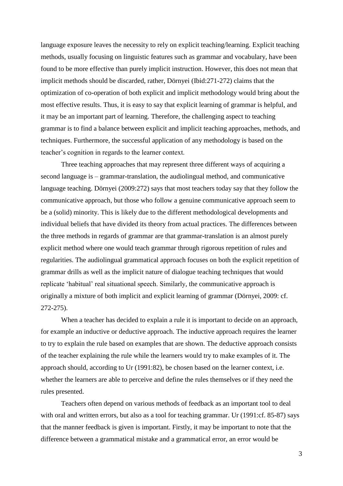language exposure leaves the necessity to rely on explicit teaching/learning. Explicit teaching methods, usually focusing on linguistic features such as grammar and vocabulary, have been found to be more effective than purely implicit instruction. However, this does not mean that implicit methods should be discarded, rather, Dörnyei (Ibid:271-272) claims that the optimization of co-operation of both explicit and implicit methodology would bring about the most effective results. Thus, it is easy to say that explicit learning of grammar is helpful, and it may be an important part of learning. Therefore, the challenging aspect to teaching grammar is to find a balance between explicit and implicit teaching approaches, methods, and techniques. Furthermore, the successful application of any methodology is based on the teacher's cognition in regards to the learner context.

Three teaching approaches that may represent three different ways of acquiring a second language is – grammar-translation, the audiolingual method, and communicative language teaching. Dörnyei (2009:272) says that most teachers today say that they follow the communicative approach, but those who follow a genuine communicative approach seem to be a (solid) minority. This is likely due to the different methodological developments and individual beliefs that have divided its theory from actual practices. The differences between the three methods in regards of grammar are that grammar-translation is an almost purely explicit method where one would teach grammar through rigorous repetition of rules and regularities. The audiolingual grammatical approach focuses on both the explicit repetition of grammar drills as well as the implicit nature of dialogue teaching techniques that would replicate 'habitual' real situational speech. Similarly, the communicative approach is originally a mixture of both implicit and explicit learning of grammar (Dörnyei, 2009: cf. 272-275).

When a teacher has decided to explain a rule it is important to decide on an approach, for example an inductive or deductive approach. The inductive approach requires the learner to try to explain the rule based on examples that are shown. The deductive approach consists of the teacher explaining the rule while the learners would try to make examples of it. The approach should, according to Ur (1991:82), be chosen based on the learner context, i.e. whether the learners are able to perceive and define the rules themselves or if they need the rules presented.

Teachers often depend on various methods of feedback as an important tool to deal with oral and written errors, but also as a tool for teaching grammar. Ur (1991:cf. 85-87) says that the manner feedback is given is important. Firstly, it may be important to note that the difference between a grammatical mistake and a grammatical error, an error would be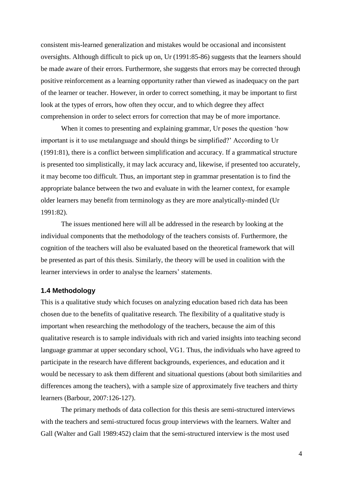consistent mis-learned generalization and mistakes would be occasional and inconsistent oversights. Although difficult to pick up on, Ur (1991:85-86) suggests that the learners should be made aware of their errors. Furthermore, she suggests that errors may be corrected through positive reinforcement as a learning opportunity rather than viewed as inadequacy on the part of the learner or teacher. However, in order to correct something, it may be important to first look at the types of errors, how often they occur, and to which degree they affect comprehension in order to select errors for correction that may be of more importance.

When it comes to presenting and explaining grammar, Ur poses the question 'how important is it to use metalanguage and should things be simplified?' According to Ur (1991:81), there is a conflict between simplification and accuracy. If a grammatical structure is presented too simplistically, it may lack accuracy and, likewise, if presented too accurately, it may become too difficult. Thus, an important step in grammar presentation is to find the appropriate balance between the two and evaluate in with the learner context, for example older learners may benefit from terminology as they are more analytically-minded (Ur 1991:82).

The issues mentioned here will all be addressed in the research by looking at the individual components that the methodology of the teachers consists of. Furthermore, the cognition of the teachers will also be evaluated based on the theoretical framework that will be presented as part of this thesis. Similarly, the theory will be used in coalition with the learner interviews in order to analyse the learners' statements.

### **1.4 Methodology**

This is a qualitative study which focuses on analyzing education based rich data has been chosen due to the benefits of qualitative research. The flexibility of a qualitative study is important when researching the methodology of the teachers, because the aim of this qualitative research is to sample individuals with rich and varied insights into teaching second language grammar at upper secondary school, VG1. Thus, the individuals who have agreed to participate in the research have different backgrounds, experiences, and education and it would be necessary to ask them different and situational questions (about both similarities and differences among the teachers), with a sample size of approximately five teachers and thirty learners (Barbour, 2007:126-127).

The primary methods of data collection for this thesis are semi-structured interviews with the teachers and semi-structured focus group interviews with the learners. Walter and Gall (Walter and Gall 1989:452) claim that the semi-structured interview is the most used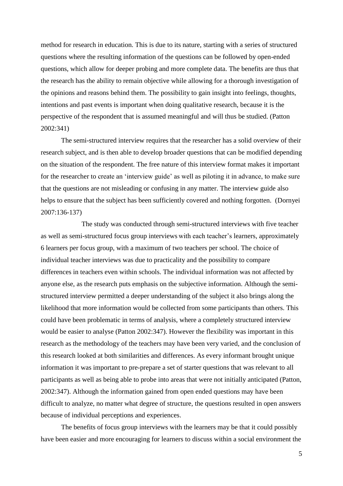method for research in education. This is due to its nature, starting with a series of structured questions where the resulting information of the questions can be followed by open-ended questions, which allow for deeper probing and more complete data. The benefits are thus that the research has the ability to remain objective while allowing for a thorough investigation of the opinions and reasons behind them. The possibility to gain insight into feelings, thoughts, intentions and past events is important when doing qualitative research, because it is the perspective of the respondent that is assumed meaningful and will thus be studied. (Patton 2002:341)

The semi-structured interview requires that the researcher has a solid overview of their research subject, and is then able to develop broader questions that can be modified depending on the situation of the respondent. The free nature of this interview format makes it important for the researcher to create an 'interview guide' as well as piloting it in advance, to make sure that the questions are not misleading or confusing in any matter. The interview guide also helps to ensure that the subject has been sufficiently covered and nothing forgotten. (Dornyei 2007:136-137)

The study was conducted through semi-structured interviews with five teacher as well as semi-structured focus group interviews with each teacher's learners, approximately 6 learners per focus group, with a maximum of two teachers per school. The choice of individual teacher interviews was due to practicality and the possibility to compare differences in teachers even within schools. The individual information was not affected by anyone else, as the research puts emphasis on the subjective information. Although the semistructured interview permitted a deeper understanding of the subject it also brings along the likelihood that more information would be collected from some participants than others. This could have been problematic in terms of analysis, where a completely structured interview would be easier to analyse (Patton 2002:347). However the flexibility was important in this research as the methodology of the teachers may have been very varied, and the conclusion of this research looked at both similarities and differences. As every informant brought unique information it was important to pre-prepare a set of starter questions that was relevant to all participants as well as being able to probe into areas that were not initially anticipated (Patton, 2002:347). Although the information gained from open ended questions may have been difficult to analyze, no matter what degree of structure, the questions resulted in open answers because of individual perceptions and experiences.

The benefits of focus group interviews with the learners may be that it could possibly have been easier and more encouraging for learners to discuss within a social environment the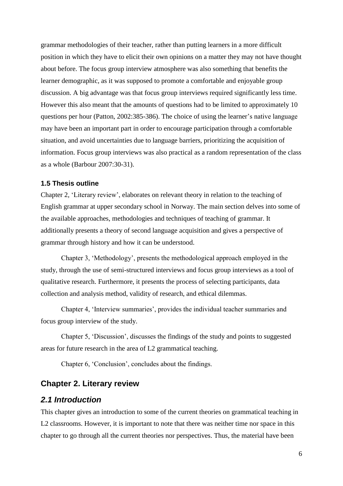grammar methodologies of their teacher, rather than putting learners in a more difficult position in which they have to elicit their own opinions on a matter they may not have thought about before. The focus group interview atmosphere was also something that benefits the learner demographic, as it was supposed to promote a comfortable and enjoyable group discussion. A big advantage was that focus group interviews required significantly less time. However this also meant that the amounts of questions had to be limited to approximately 10 questions per hour (Patton, 2002:385-386). The choice of using the learner's native language may have been an important part in order to encourage participation through a comfortable situation, and avoid uncertainties due to language barriers, prioritizing the acquisition of information. Focus group interviews was also practical as a random representation of the class as a whole (Barbour 2007:30-31).

## **1.5 Thesis outline**

Chapter 2, 'Literary review', elaborates on relevant theory in relation to the teaching of English grammar at upper secondary school in Norway. The main section delves into some of the available approaches, methodologies and techniques of teaching of grammar. It additionally presents a theory of second language acquisition and gives a perspective of grammar through history and how it can be understood.

Chapter 3, 'Methodology', presents the methodological approach employed in the study, through the use of semi-structured interviews and focus group interviews as a tool of qualitative research. Furthermore, it presents the process of selecting participants, data collection and analysis method, validity of research, and ethical dilemmas.

Chapter 4, 'Interview summaries', provides the individual teacher summaries and focus group interview of the study.

Chapter 5, 'Discussion', discusses the findings of the study and points to suggested areas for future research in the area of L2 grammatical teaching.

Chapter 6, 'Conclusion', concludes about the findings.

# **Chapter 2. Literary review**

# *2.1 Introduction*

This chapter gives an introduction to some of the current theories on grammatical teaching in L2 classrooms. However, it is important to note that there was neither time nor space in this chapter to go through all the current theories nor perspectives. Thus, the material have been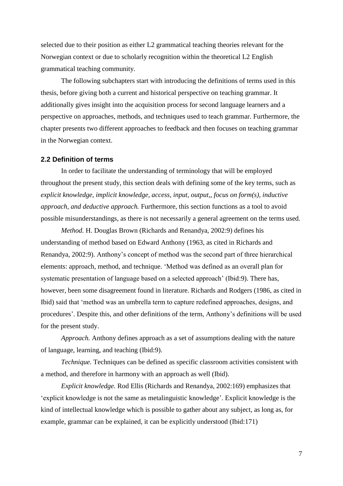selected due to their position as either L2 grammatical teaching theories relevant for the Norwegian context or due to scholarly recognition within the theoretical L2 English grammatical teaching community.

The following subchapters start with introducing the definitions of terms used in this thesis, before giving both a current and historical perspective on teaching grammar. It additionally gives insight into the acquisition process for second language learners and a perspective on approaches, methods, and techniques used to teach grammar. Furthermore, the chapter presents two different approaches to feedback and then focuses on teaching grammar in the Norwegian context.

#### **2.2 Definition of terms**

In order to facilitate the understanding of terminology that will be employed throughout the present study, this section deals with defining some of the key terms, such as *explicit knowledge, implicit knowledge, access, input, output,, focus on form(s), inductive approach, and deductive approach.* Furthermore, this section functions as a tool to avoid possible misunderstandings, as there is not necessarily a general agreement on the terms used.

*Method.* H. Douglas Brown (Richards and Renandya, 2002:9) defines his understanding of method based on Edward Anthony (1963, as cited in Richards and Renandya, 2002:9). Anthony's concept of method was the second part of three hierarchical elements: approach, method, and technique. 'Method was defined as an overall plan for systematic presentation of language based on a selected approach' (Ibid:9). There has, however, been some disagreement found in literature. Richards and Rodgers (1986, as cited in Ibid) said that 'method was an umbrella term to capture redefined approaches, designs, and procedures'. Despite this, and other definitions of the term, Anthony's definitions will be used for the present study.

*Approach.* Anthony defines approach as a set of assumptions dealing with the nature of language, learning, and teaching (Ibid:9).

*Technique.* Techniques can be defined as specific classroom activities consistent with a method, and therefore in harmony with an approach as well (Ibid).

*Explicit knowledge.* Rod Ellis (Richards and Renandya, 2002:169) emphasizes that 'explicit knowledge is not the same as metalinguistic knowledge'. Explicit knowledge is the kind of intellectual knowledge which is possible to gather about any subject, as long as, for example, grammar can be explained, it can be explicitly understood (Ibid:171)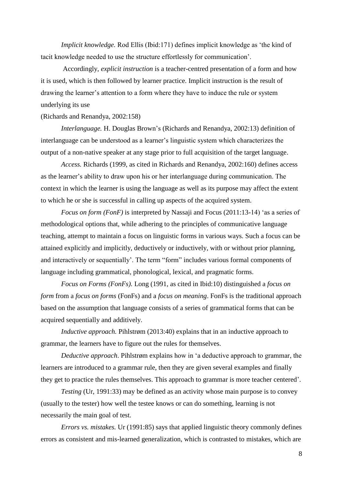*Implicit knowledge.* Rod Ellis (Ibid:171) defines implicit knowledge as 'the kind of tacit knowledge needed to use the structure effortlessly for communication'.

Accordingly, *explicit instruction* is a teacher-centred presentation of a form and how it is used, which is then followed by learner practice. Implicit instruction is the result of drawing the learner's attention to a form where they have to induce the rule or system underlying its use

#### (Richards and Renandya, 2002:158)

*Interlanguage.* H. Douglas Brown's (Richards and Renandya, 2002:13) definition of interlanguage can be understood as a learner's linguistic system which characterizes the output of a non-native speaker at any stage prior to full acquisition of the target language.

*Access.* Richards (1999, as cited in Richards and Renandya, 2002:160) defines access as the learner's ability to draw upon his or her interlanguage during communication. The context in which the learner is using the language as well as its purpose may affect the extent to which he or she is successful in calling up aspects of the acquired system.

*Focus on form (FonF)* is interpreted by Nassaji and Focus (2011:13-14) 'as a series of methodological options that, while adhering to the principles of communicative language teaching, attempt to maintain a focus on linguistic forms in various ways. Such a focus can be attained explicitly and implicitly, deductively or inductively, with or without prior planning, and interactively or sequentially'. The term "form" includes various formal components of language including grammatical, phonological, lexical, and pragmatic forms.

*Focus on Forms (FonFs).* Long (1991, as cited in Ibid:10) distinguished a *focus on form* from a *focus on forms* (FonFs) and a *focus on meaning*. FonFs is the traditional approach based on the assumption that language consists of a series of grammatical forms that can be acquired sequentially and additively.

*Inductive approach.* Pihlstrøm (2013:40) explains that in an inductive approach to grammar, the learners have to figure out the rules for themselves.

*Deductive approach*. Pihlstrøm explains how in 'a deductive approach to grammar, the learners are introduced to a grammar rule, then they are given several examples and finally they get to practice the rules themselves. This approach to grammar is more teacher centered'.

*Testing* (Ur, 1991:33) may be defined as an activity whose main purpose is to convey (usually to the tester) how well the testee knows or can do something, learning is not necessarily the main goal of test.

*Errors vs. mistakes.* Ur (1991:85) says that applied linguistic theory commonly defines errors as consistent and mis-learned generalization, which is contrasted to mistakes, which are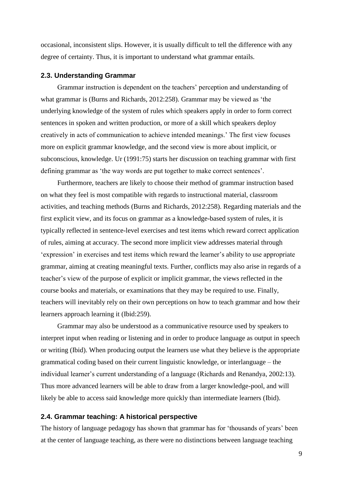occasional, inconsistent slips. However, it is usually difficult to tell the difference with any degree of certainty. Thus, it is important to understand what grammar entails.

#### **2.3. Understanding Grammar**

Grammar instruction is dependent on the teachers' perception and understanding of what grammar is (Burns and Richards, 2012:258). Grammar may be viewed as 'the underlying knowledge of the system of rules which speakers apply in order to form correct sentences in spoken and written production, or more of a skill which speakers deploy creatively in acts of communication to achieve intended meanings.' The first view focuses more on explicit grammar knowledge, and the second view is more about implicit, or subconscious, knowledge. Ur (1991:75) starts her discussion on teaching grammar with first defining grammar as 'the way words are put together to make correct sentences'.

Furthermore, teachers are likely to choose their method of grammar instruction based on what they feel is most compatible with regards to instructional material, classroom activities, and teaching methods (Burns and Richards, 2012:258). Regarding materials and the first explicit view, and its focus on grammar as a knowledge-based system of rules, it is typically reflected in sentence-level exercises and test items which reward correct application of rules, aiming at accuracy. The second more implicit view addresses material through 'expression' in exercises and test items which reward the learner's ability to use appropriate grammar, aiming at creating meaningful texts. Further, conflicts may also arise in regards of a teacher's view of the purpose of explicit or implicit grammar, the views reflected in the course books and materials, or examinations that they may be required to use. Finally, teachers will inevitably rely on their own perceptions on how to teach grammar and how their learners approach learning it (Ibid:259).

Grammar may also be understood as a communicative resource used by speakers to interpret input when reading or listening and in order to produce language as output in speech or writing (Ibid). When producing output the learners use what they believe is the appropriate grammatical coding based on their current linguistic knowledge, or interlanguage *–* the individual learner's current understanding of a language (Richards and Renandya, 2002:13). Thus more advanced learners will be able to draw from a larger knowledge-pool, and will likely be able to access said knowledge more quickly than intermediate learners (Ibid).

#### **2.4. Grammar teaching: A historical perspective**

The history of language pedagogy has shown that grammar has for 'thousands of years' been at the center of language teaching, as there were no distinctions between language teaching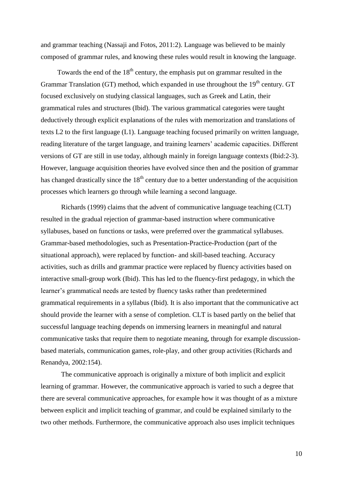and grammar teaching (Nassaji and Fotos, 2011:2). Language was believed to be mainly composed of grammar rules, and knowing these rules would result in knowing the language.

Towards the end of the  $18<sup>th</sup>$  century, the emphasis put on grammar resulted in the Grammar Translation (GT) method, which expanded in use throughout the  $19<sup>th</sup>$  century. GT focused exclusively on studying classical languages, such as Greek and Latin, their grammatical rules and structures (Ibid). The various grammatical categories were taught deductively through explicit explanations of the rules with memorization and translations of texts L2 to the first language (L1). Language teaching focused primarily on written language, reading literature of the target language, and training learners' academic capacities. Different versions of GT are still in use today, although mainly in foreign language contexts (Ibid:2-3). However, language acquisition theories have evolved since then and the position of grammar has changed drastically since the  $18<sup>th</sup>$  century due to a better understanding of the acquisition processes which learners go through while learning a second language.

Richards (1999) claims that the advent of communicative language teaching (CLT) resulted in the gradual rejection of grammar-based instruction where communicative syllabuses, based on functions or tasks, were preferred over the grammatical syllabuses. Grammar-based methodologies, such as Presentation-Practice-Production (part of the situational approach), were replaced by function- and skill-based teaching. Accuracy activities, such as drills and grammar practice were replaced by fluency activities based on interactive small-group work (Ibid). This has led to the fluency-first pedagogy, in which the learner's grammatical needs are tested by fluency tasks rather than predetermined grammatical requirements in a syllabus (Ibid). It is also important that the communicative act should provide the learner with a sense of completion. CLT is based partly on the belief that successful language teaching depends on immersing learners in meaningful and natural communicative tasks that require them to negotiate meaning, through for example discussionbased materials, communication games, role-play, and other group activities (Richards and Renandya, 2002:154).

The communicative approach is originally a mixture of both implicit and explicit learning of grammar. However, the communicative approach is varied to such a degree that there are several communicative approaches, for example how it was thought of as a mixture between explicit and implicit teaching of grammar, and could be explained similarly to the two other methods. Furthermore, the communicative approach also uses implicit techniques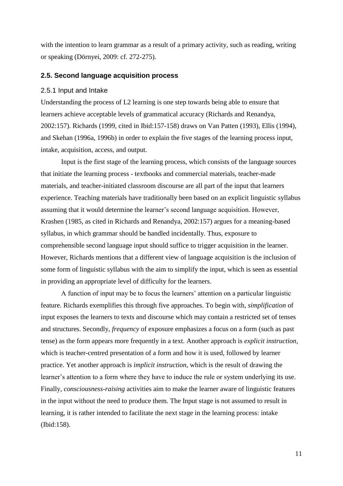with the intention to learn grammar as a result of a primary activity, such as reading, writing or speaking (Dörnyei, 2009: cf. 272-275).

#### **2.5. Second language acquisition process**

#### 2.5.1 Input and Intake

Understanding the process of L2 learning is one step towards being able to ensure that learners achieve acceptable levels of grammatical accuracy (Richards and Renandya, 2002:157). Richards (1999, cited in Ibid:157-158) draws on Van Patten (1993), Ellis (1994), and Skehan (1996a, 1996b) in order to explain the five stages of the learning process input, intake, acquisition, access, and output.

Input is the first stage of the learning process, which consists of the language sources that initiate the learning process - textbooks and commercial materials, teacher-made materials, and teacher-initiated classroom discourse are all part of the input that learners experience. Teaching materials have traditionally been based on an explicit linguistic syllabus assuming that it would determine the learner's second language acquisition. However, Krashen (1985, as cited in Richards and Renandya, 2002:157) argues for a meaning-based syllabus, in which grammar should be handled incidentally. Thus, exposure to comprehensible second language input should suffice to trigger acquisition in the learner. However, Richards mentions that a different view of language acquisition is the inclusion of some form of linguistic syllabus with the aim to simplify the input, which is seen as essential in providing an appropriate level of difficulty for the learners.

A function of input may be to focus the learners' attention on a particular linguistic feature. Richards exemplifies this through five approaches. To begin with, *simplification* of input exposes the learners to texts and discourse which may contain a restricted set of tenses and structures. Secondly, *frequency* of exposure emphasizes a focus on a form (such as past tense) as the form appears more frequently in a text. Another approach is *explicit instruction*, which is teacher-centred presentation of a form and how it is used, followed by learner practice. Yet another approach is *implicit instruction*, which is the result of drawing the learner's attention to a form where they have to induce the rule or system underlying its use. Finally, *consciousness-raising* activities aim to make the learner aware of linguistic features in the input without the need to produce them. The Input stage is not assumed to result in learning, it is rather intended to facilitate the next stage in the learning process: intake (Ibid:158).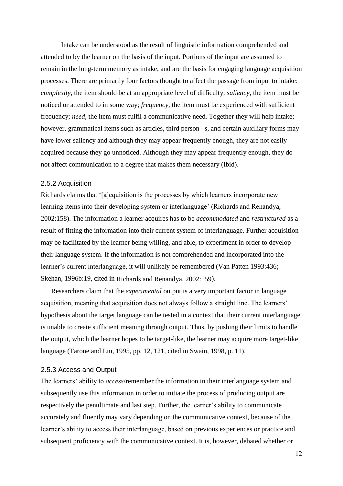Intake can be understood as the result of linguistic information comprehended and attended to by the learner on the basis of the input. Portions of the input are assumed to remain in the long-term memory as intake, and are the basis for engaging language acquisition processes. There are primarily four factors thought to affect the passage from input to intake: *complexity,* the item should be at an appropriate level of difficulty; *saliency,* the item must be noticed or attended to in some way; *frequency,* the item must be experienced with sufficient frequency; *need*, the item must fulfil a communicative need. Together they will help intake; however, grammatical items such as articles, third person *–s*, and certain auxiliary forms may have lower saliency and although they may appear frequently enough, they are not easily acquired because they go unnoticed. Although they may appear frequently enough, they do not affect communication to a degree that makes them necessary (Ibid).

#### 2.5.2 Acquisition

Richards claims that '[a]cquisition is the processes by which learners incorporate new learning items into their developing system or interlanguage' (Richards and Renandya, 2002:158). The information a learner acquires has to be *accommodated* and *restructured* as a result of fitting the information into their current system of interlanguage. Further acquisition may be facilitated by the learner being willing, and able, to experiment in order to develop their language system. If the information is not comprehended and incorporated into the learner's current interlanguage, it will unlikely be remembered (Van Patten 1993:436; Skehan, 1996b:19, cited in Richards and Renandya. 2002:159).

Researchers claim that the *experimental* output is a very important factor in language acquisition, meaning that acquisition does not always follow a straight line. The learners' hypothesis about the target language can be tested in a context that their current interlanguage is unable to create sufficient meaning through output. Thus, by pushing their limits to handle the output, which the learner hopes to be target-like, the learner may acquire more target-like language (Tarone and Liu, 1995, pp. 12, 121, cited in Swain, 1998, p. 11).

#### 2.5.3 Access and Output

The learners' ability to *access*/remember the information in their interlanguage system and subsequently use this information in order to initiate the process of producing output are respectively the penultimate and last step. Further, the learner's ability to communicate accurately and fluently may vary depending on the communicative context, because of the learner's ability to access their interlanguage, based on previous experiences or practice and subsequent proficiency with the communicative context. It is, however, debated whether or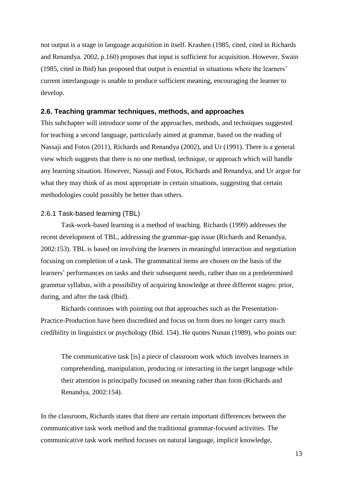not output is a stage in language acquisition in itself. Krashen (1985, cited, cited in Richards and Renandya. 2002, p.160) proposes that input is sufficient for acquisition. However, Swain (1985, cited in Ibid) has proposed that output is essential in situations where the learners' current interlanguage is unable to produce sufficient meaning, encouraging the learner to develop.

#### **2.6. Teaching grammar techniques, methods, and approaches**

This subchapter will introduce some of the approaches, methods, and techniques suggested for teaching a second language, particularly aimed at grammar, based on the reading of Nassaji and Fotos (2011), Richards and Renandya (2002), and Ur (1991). There is a general view which suggests that there is no one method, technique, or approach which will handle any learning situation. However, Nassaji and Fotos, Richards and Renandya, and Ur argue for what they may think of as most appropriate in certain situations, suggesting that certain methodologies could possibly be better than others.

## 2.6.1 Task-based learning (TBL)

Task-work-based learning is a method of teaching. Richards (1999) addresses the recent development of TBL, addressing the grammar-gap issue (Richards and Renandya, 2002:153). TBL is based on involving the learners in meaningful interaction and negotiation focusing on completion of a task. The grammatical items are chosen on the basis of the learners' performances on tasks and their subsequent needs, rather than on a predetermined grammar syllabus, with a possibility of acquiring knowledge at three different stages: prior, during, and after the task (Ibid).

Richards continues with pointing out that approaches such as the Presentation-Practice-Production have been discredited and focus on form does no longer carry much credibility in linguistics or psychology (Ibid. 154). He quotes Nunan (1989), who points out:

The communicative task [is] a piece of classroom work which involves learners in comprehending, manipulation, producing or interacting in the target language while their attention is principally focused on meaning rather than form (Richards and Renandya, 2002:154).

In the classroom, Richards states that there are certain important differences between the communicative task work method and the traditional grammar-focused activities. The communicative task work method focuses on natural language, implicit knowledge,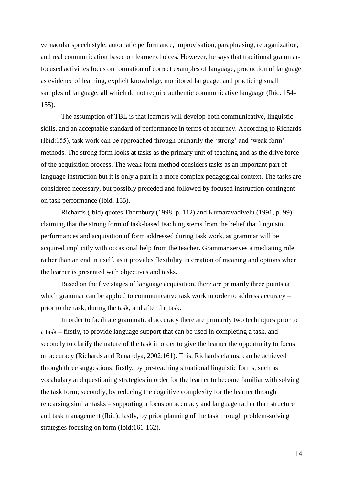vernacular speech style, automatic performance, improvisation, paraphrasing, reorganization, and real communication based on learner choices. However, he says that traditional grammarfocused activities focus on formation of correct examples of language, production of language as evidence of learning, explicit knowledge, monitored language, and practicing small samples of language, all which do not require authentic communicative language (Ibid. 154- 155).

The assumption of TBL is that learners will develop both communicative, linguistic skills, and an acceptable standard of performance in terms of accuracy. According to Richards (Ibid:155), task work can be approached through primarily the 'strong' and 'weak form' methods. The strong form looks at tasks as the primary unit of teaching and as the drive force of the acquisition process. The weak form method considers tasks as an important part of language instruction but it is only a part in a more complex pedagogical context. The tasks are considered necessary, but possibly preceded and followed by focused instruction contingent on task performance (Ibid. 155).

Richards (Ibid) quotes Thornbury (1998, p. 112) and Kumaravadivelu (1991, p. 99) claiming that the strong form of task-based teaching stems from the belief that linguistic performances and acquisition of form addressed during task work, as grammar will be acquired implicitly with occasional help from the teacher. Grammar serves a mediating role, rather than an end in itself, as it provides flexibility in creation of meaning and options when the learner is presented with objectives and tasks.

Based on the five stages of language acquisition, there are primarily three points at which grammar can be applied to communicative task work in order to address accuracy – prior to the task, during the task, and after the task.

In order to facilitate grammatical accuracy there are primarily two techniques prior to a task – firstly, to provide language support that can be used in completing a task, and secondly to clarify the nature of the task in order to give the learner the opportunity to focus on accuracy (Richards and Renandya, 2002:161). This, Richards claims, can be achieved through three suggestions: firstly, by pre-teaching situational linguistic forms, such as vocabulary and questioning strategies in order for the learner to become familiar with solving the task form; secondly, by reducing the cognitive complexity for the learner through rehearsing similar tasks – supporting a focus on accuracy and language rather than structure and task management (Ibid); lastly, by prior planning of the task through problem-solving strategies focusing on form (Ibid:161-162).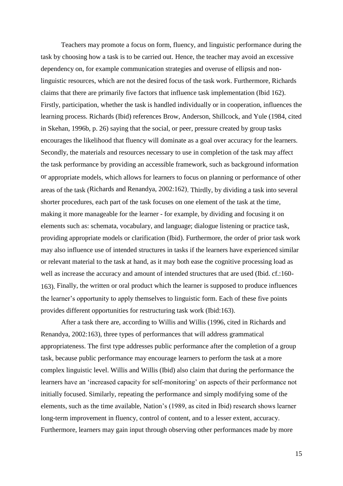Teachers may promote a focus on form, fluency, and linguistic performance during the task by choosing how a task is to be carried out. Hence, the teacher may avoid an excessive dependency on, for example communication strategies and overuse of ellipsis and nonlinguistic resources, which are not the desired focus of the task work. Furthermore, Richards claims that there are primarily five factors that influence task implementation (Ibid 162). Firstly, participation, whether the task is handled individually or in cooperation, influences the learning process. Richards (Ibid) references Brow, Anderson, Shillcock, and Yule (1984, cited in Skehan, 1996b, p. 26) saying that the social, or peer, pressure created by group tasks encourages the likelihood that fluency will dominate as a goal over accuracy for the learners. Secondly, the material*s* and resources necessary to use in completion of the task may affect the task performance by providing an accessible framework, such as background information or appropriate models, which allows for learners to focus on planning or performance of other areas of the task (Richards and Renandya, 2002:162). Thirdly, by dividing a task into several shorter procedures, each part of the task focuses on one element of the task at the time, making it more manageable for the learner - for example, by dividing and focusing it on elements such as: schemata, vocabulary, and language; dialogue listening or practice task, providing appropriate models or clarification (Ibid). Furthermore, the order of prior task work may also influence use of intended structures in tasks if the learners have experienced similar or relevant material to the task at hand, as it may both ease the cognitive processing load as well as increase the accuracy and amount of intended structures that are used (Ibid. cf.:160- 163). Finally, the written or oral product which the learner is supposed to produce influences the learner's opportunity to apply themselves to linguistic form. Each of these five points provides different opportunities for restructuring task work (Ibid:163).

After a task there are, according to Willis and Willis (1996, cited in Richards and Renandya, 2002:163), three types of performances that will address grammatical appropriateness. The first type addresses public performance after the completion of a group task, because public performance may encourage learners to perform the task at a more complex linguistic level. Willis and Willis (Ibid) also claim that during the performance the learners have an 'increased capacity for self-monitoring' on aspects of their performance not initially focused. Similarly, repeating the performance and simply modifying some of the elements, such as the time available, Nation's (1989, as cited in Ibid) research shows learner long-term improvement in fluency, control of content, and to a lesser extent, accuracy. Furthermore, learners may gain input through observing other performances made by more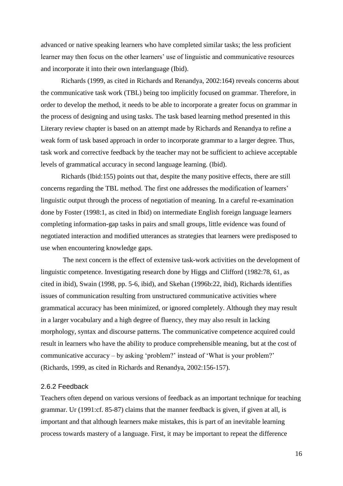advanced or native speaking learners who have completed similar tasks; the less proficient learner may then focus on the other learners' use of linguistic and communicative resources and incorporate it into their own interlanguage (Ibid).

Richards (1999, as cited in Richards and Renandya, 2002:164) reveals concerns about the communicative task work (TBL) being too implicitly focused on grammar. Therefore, in order to develop the method, it needs to be able to incorporate a greater focus on grammar in the process of designing and using tasks. The task based learning method presented in this Literary review chapter is based on an attempt made by Richards and Renandya to refine a weak form of task based approach in order to incorporate grammar to a larger degree. Thus, task work and corrective feedback by the teacher may not be sufficient to achieve acceptable levels of grammatical accuracy in second language learning. (Ibid).

Richards (Ibid:155) points out that, despite the many positive effects, there are still concerns regarding the TBL method. The first one addresses the modification of learners' linguistic output through the process of negotiation of meaning. In a careful re-examination done by Foster (1998:1, as cited in Ibid) on intermediate English foreign language learners completing information-gap tasks in pairs and small groups, little evidence was found of negotiated interaction and modified utterances as strategies that learners were predisposed to use when encountering knowledge gaps.

The next concern is the effect of extensive task-work activities on the development of linguistic competence. Investigating research done by Higgs and Clifford (1982:78, 61, as cited in ibid), Swain (1998, pp. 5-6, ibid), and Skehan (1996b:22, ibid), Richards identifies issues of communication resulting from unstructured communicative activities where grammatical accuracy has been minimized, or ignored completely. Although they may result in a larger vocabulary and a high degree of fluency, they may also result in lacking morphology, syntax and discourse patterns. The communicative competence acquired could result in learners who have the ability to produce comprehensible meaning, but at the cost of communicative accuracy – by asking 'problem?' instead of 'What is your problem?' (Richards, 1999, as cited in Richards and Renandya, 2002:156-157).

### 2.6.2 Feedback

Teachers often depend on various versions of feedback as an important technique for teaching grammar. Ur (1991:cf. 85-87) claims that the manner feedback is given, if given at all, is important and that although learners make mistakes, this is part of an inevitable learning process towards mastery of a language. First, it may be important to repeat the difference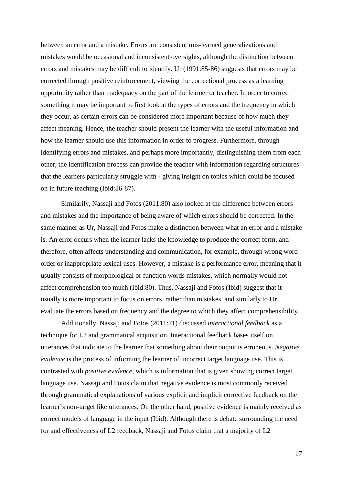between an error and a mistake. Errors are consistent mis-learned generalizations and mistakes would be occasional and inconsistent oversights, although the distinction between errors and mistakes may be difficult to identify. Ur (1991:85-86) suggests that errors may be corrected through positive reinforcement, viewing the correctional process as a learning opportunity rather than inadequacy on the part of the learner or teacher. In order to correct something it may be important to first look at the types of errors and the frequency in which they occur, as certain errors can be considered more important because of how much they affect meaning. Hence, the teacher should present the learner with the useful information and how the learner should use this information in order to progress. Furthermore, through identifying errors and mistakes, and perhaps more importantly, distinguishing them from each other, the identification process can provide the teacher with information regarding structures that the learners particularly struggle with - giving insight on topics which could be focused on in future teaching (Ibid:86-87).

Similarily, Nassaji and Fotos (2011:80) also looked at the difference between errors and mistakes and the importance of being aware of which errors should be corrected. In the same manner as Ur, Nassaji and Fotos make a distinction between what an error and a mistake is. An error occurs when the learner lacks the knowledge to produce the correct form, and therefore, often affects understanding and communication, for example, through wrong word order or inappropriate lexical uses. However, a mistake is a performance error, meaning that it usually consists of morphological or function words mistakes, which normally would not affect comprehension too much (Ibid:80). Thus, Nassaji and Fotos (Ibid) suggest that it usually is more important to focus on errors, rather than mistakes, and similarly to Ur, evaluate the errors based on frequency and the degree to which they affect comprehensibility.

Additionally, Nassaji and Fotos (2011:71) discussed *interactional feedback* as a technique for L2 and grammatical acquisition. Interactional feedback bases itself on utterances that indicate to the learner that something about their output is erroneous. *Negative evidence* is the process of informing the learner of incorrect target language use. This is contrasted with *positive evidence,* which is information that is given showing correct target language use. Nassaji and Fotos claim that negative evidence is most commonly received through grammatical explanations of various explicit and implicit corrective feedback on the learner's non-target like utterances. On the other hand, positive evidence is mainly received as correct models of language in the input (Ibid). Although there is debate surrounding the need for and effectiveness of L2 feedback, Nassaji and Fotos claim that a majority of L2

17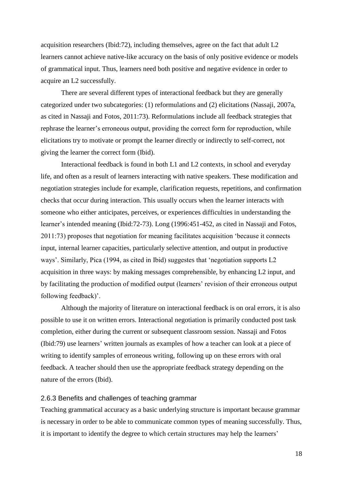acquisition researchers (Ibid:72), including themselves, agree on the fact that adult L2 learners cannot achieve native-like accuracy on the basis of only positive evidence or models of grammatical input. Thus, learners need both positive and negative evidence in order to acquire an L2 successfully.

There are several different types of interactional feedback but they are generally categorized under two subcategories: (1) reformulations and (2) elicitations (Nassaji, 2007a, as cited in Nassaji and Fotos, 2011:73). Reformulations include all feedback strategies that rephrase the learner's erroneous output, providing the correct form for reproduction, while elicitations try to motivate or prompt the learner directly or indirectly to self-correct, not giving the learner the correct form (Ibid).

Interactional feedback is found in both L1 and L2 contexts, in school and everyday life, and often as a result of learners interacting with native speakers. These modification and negotiation strategies include for example, clarification requests, repetitions, and confirmation checks that occur during interaction. This usually occurs when the learner interacts with someone who either anticipates, perceives, or experiences difficulties in understanding the learner's intended meaning (Ibid:72-73). Long (1996:451-452, as cited in Nassaji and Fotos, 2011:73) proposes that negotiation for meaning facilitates acquisition 'because it connects input, internal learner capacities, particularly selective attention, and output in productive ways'. Similarly, Pica (1994, as cited in Ibid) suggestes that 'negotiation supports L2 acquisition in three ways: by making messages comprehensible, by enhancing L2 input, and by facilitating the production of modified output (learners' revision of their erroneous output following feedback)'.

Although the majority of literature on interactional feedback is on oral errors, it is also possible to use it on written errors. Interactional negotiation is primarily conducted post task completion, either during the current or subsequent classroom session. Nassaji and Fotos (Ibid:79) use learners' written journals as examples of how a teacher can look at a piece of writing to identify samples of erroneous writing, following up on these errors with oral feedback. A teacher should then use the appropriate feedback strategy depending on the nature of the errors (Ibid).

#### 2.6.3 Benefits and challenges of teaching grammar

Teaching grammatical accuracy as a basic underlying structure is important because grammar is necessary in order to be able to communicate common types of meaning successfully. Thus, it is important to identify the degree to which certain structures may help the learners'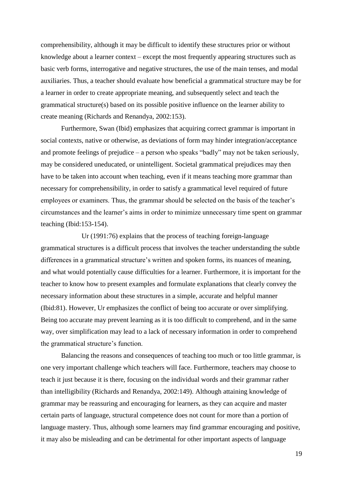comprehensibility, although it may be difficult to identify these structures prior or without knowledge about a learner context – except the most frequently appearing structures such as basic verb forms, interrogative and negative structures, the use of the main tenses, and modal auxiliaries. Thus, a teacher should evaluate how beneficial a grammatical structure may be for a learner in order to create appropriate meaning, and subsequently select and teach the grammatical structure(s) based on its possible positive influence on the learner ability to create meaning (Richards and Renandya, 2002:153).

Furthermore, Swan (Ibid) emphasizes that acquiring correct grammar is important in social contexts, native or otherwise, as deviations of form may hinder integration/acceptance and promote feelings of prejudice – a person who speaks "badly" may not be taken seriously, may be considered uneducated, or unintelligent. Societal grammatical prejudices may then have to be taken into account when teaching, even if it means teaching more grammar than necessary for comprehensibility, in order to satisfy a grammatical level required of future employees or examiners. Thus, the grammar should be selected on the basis of the teacher's circumstances and the learner's aims in order to minimize unnecessary time spent on grammar teaching (Ibid:153-154).

Ur (1991:76) explains that the process of teaching foreign-language grammatical structures is a difficult process that involves the teacher understanding the subtle differences in a grammatical structure's written and spoken forms, its nuances of meaning, and what would potentially cause difficulties for a learner. Furthermore, it is important for the teacher to know how to present examples and formulate explanations that clearly convey the necessary information about these structures in a simple, accurate and helpful manner (Ibid:81). However, Ur emphasizes the conflict of being too accurate or over simplifying. Being too accurate may prevent learning as it is too difficult to comprehend, and in the same way, over simplification may lead to a lack of necessary information in order to comprehend the grammatical structure's function.

Balancing the reasons and consequences of teaching too much or too little grammar, is one very important challenge which teachers will face. Furthermore, teachers may choose to teach it just because it is there, focusing on the individual words and their grammar rather than intelligibility (Richards and Renandya, 2002:149). Although attaining knowledge of grammar may be reassuring and encouraging for learners, as they can acquire and master certain parts of language, structural competence does not count for more than a portion of language mastery. Thus, although some learners may find grammar encouraging and positive, it may also be misleading and can be detrimental for other important aspects of language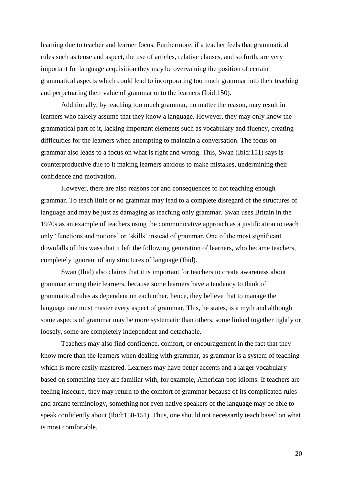learning due to teacher and learner focus. Furthermore, if a teacher feels that grammatical rules such as tense and aspect, the use of articles, relative clauses, and so forth, are very important for language acquisition they may be overvaluing the position of certain grammatical aspects which could lead to incorporating too much grammar into their teaching and perpetuating their value of grammar onto the learners (Ibid:150).

Additionally, by teaching too much grammar, no matter the reason, may result in learners who falsely assume that they know a language. However, they may only know the grammatical part of it, lacking important elements such as vocabulary and fluency, creating difficulties for the learners when attempting to maintain a conversation. The focus on grammar also leads to a focus on what is right and wrong. This, Swan (Ibid:151) says is counterproductive due to it making learners anxious to make mistakes, undermining their confidence and motivation.

However, there are also reasons for and consequences to not teaching enough grammar. To teach little or no grammar may lead to a complete disregard of the structures of language and may be just as damaging as teaching only grammar. Swan uses Britain in the 1970s as an example of teachers using the communicative approach as a justification to teach only 'functions and notions' or 'skills' instead of grammar. One of the most significant downfalls of this wass that it left the following generation of learners, who became teachers, completely ignorant of any structures of language (Ibid).

Swan (Ibid) also claims that it is important for teachers to create awareness about grammar among their learners, because some learners have a tendency to think of grammatical rules as dependent on each other, hence, they believe that to manage the language one must master every aspect of grammar. This, he states, is a myth and although some aspects of grammar may be more systematic than others, some linked together tightly or loosely, some are completely independent and detachable.

Teachers may also find confidence, comfort, or encouragement in the fact that they know more than the learners when dealing with grammar, as grammar is a system of teaching which is more easily mastered. Learners may have better accents and a larger vocabulary based on something they are familiar with, for example, American pop idioms. If teachers are feeling insecure, they may return to the comfort of grammar because of its complicated rules and arcane terminology, something not even native speakers of the language may be able to speak confidently about (Ibid:150-151). Thus, one should not necessarily teach based on what is most comfortable.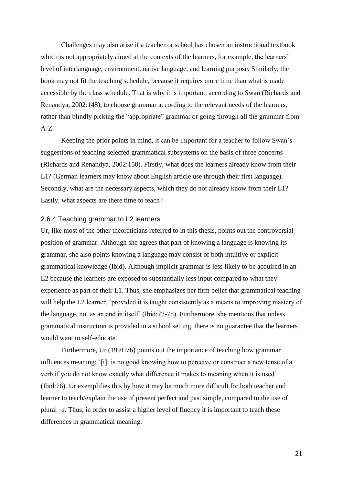Challenges may also arise if a teacher or school has chosen an instructional textbook which is not appropriately aimed at the contexts of the learners, for example, the learners' level of interlanguage, environment, native language, and learning purpose. Similarly, the book may not fit the teaching schedule, because it requires more time than what is made accessible by the class schedule. That is why it is important, according to Swan (Richards and Renandya, 2002:148), to choose grammar according to the relevant needs of the learners, rather than blindly picking the "appropriate" grammar or going through all the grammar from  $A-Z$ .

Keeping the prior points in mind, it can be important for a teacher to follow Swan's suggestions of teaching selected grammatical subsystems on the basis of three concerns (Richards and Renandya, 2002:150). Firstly, what does the learners already know from their L1? (German learners may know about English article use through their first language). Secondly, what are the necessary aspects, which they do not already know from their L1? Lastly, what aspects are there time to teach?

#### 2.6.4 Teaching grammar to L2 learners

Ur, like most of the other theoreticians referred to in this thesis, points out the controversial position of grammar. Although she agrees that part of knowing a language is knowing its grammar, she also points knowing a language may consist of both intuitive or explicit grammatical knowledge (Ibid). Although implicit grammar is less likely to be acquired in an L2 because the learners are exposed to substantially less input compared to what they experience as part of their L1. Thus, she emphasizes her firm belief that grammatical teaching will help the L2 learner, 'provided it is taught consistently as a means to improving mastery of the language, not as an end in itself' (Ibid:77-78). Furthermore, she mentions that unless grammatical instruction is provided in a school setting, there is no guarantee that the learners would want to self-educate.

Furthermore, Ur (1991:76) points out the importance of teaching how grammar influences meaning: '[i]t is no good knowing how to perceive or construct a new tense of a verb if you do not know exactly what difference it makes to meaning when it is used' (Ibid:76). Ur exemplifies this by how it may be much more difficult for both teacher and learner to teach/explain the use of present perfect and past simple, compared to the use of plural *–s*. Thus, in order to assist a higher level of fluency it is important to teach these differences in grammatical meaning.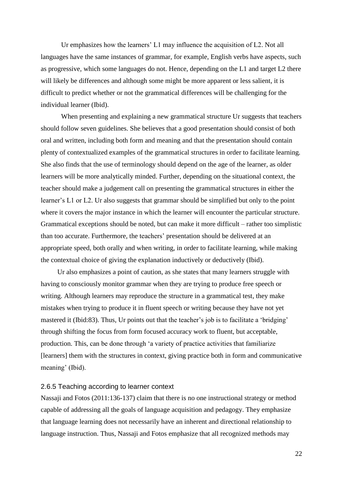Ur emphasizes how the learners' L1 may influence the acquisition of L2. Not all languages have the same instances of grammar, for example, English verbs have aspects, such as progressive, which some languages do not. Hence, depending on the L1 and target L2 there will likely be differences and although some might be more apparent or less salient, it is difficult to predict whether or not the grammatical differences will be challenging for the individual learner (Ibid).

When presenting and explaining a new grammatical structure Ur suggests that teachers should follow seven guidelines. She believes that a good presentation should consist of both oral and written, including both form and meaning and that the presentation should contain plenty of contextualized examples of the grammatical structures in order to facilitate learning. She also finds that the use of terminology should depend on the age of the learner, as older learners will be more analytically minded. Further, depending on the situational context, the teacher should make a judgement call on presenting the grammatical structures in either the learner's L1 or L2. Ur also suggests that grammar should be simplified but only to the point where it covers the major instance in which the learner will encounter the particular structure. Grammatical exceptions should be noted, but can make it more difficult – rather too simplistic than too accurate. Furthermore, the teachers' presentation should be delivered at an appropriate speed, both orally and when writing, in order to facilitate learning, while making the contextual choice of giving the explanation inductively or deductively (Ibid).

Ur also emphasizes a point of caution, as she states that many learners struggle with having to consciously monitor grammar when they are trying to produce free speech or writing. Although learners may reproduce the structure in a grammatical test, they make mistakes when trying to produce it in fluent speech or writing because they have not yet mastered it (Ibid:83). Thus, Ur points out that the teacher's job is to facilitate a 'bridging' through shifting the focus from form focused accuracy work to fluent, but acceptable, production. This, can be done through 'a variety of practice activities that familiarize [learners] them with the structures in context, giving practice both in form and communicative meaning' (Ibid).

#### 2.6.5 Teaching according to learner context

Nassaji and Fotos (2011:136-137) claim that there is no one instructional strategy or method capable of addressing all the goals of language acquisition and pedagogy. They emphasize that language learning does not necessarily have an inherent and directional relationship to language instruction. Thus, Nassaji and Fotos emphasize that all recognized methods may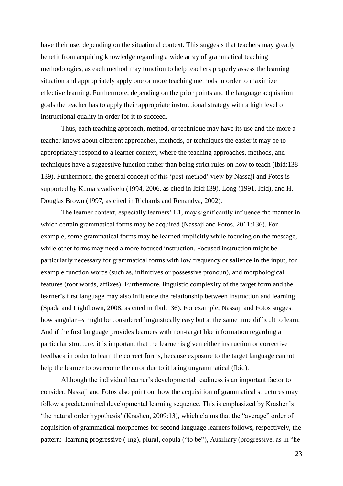have their use, depending on the situational context. This suggests that teachers may greatly benefit from acquiring knowledge regarding a wide array of grammatical teaching methodologies, as each method may function to help teachers properly assess the learning situation and appropriately apply one or more teaching methods in order to maximize effective learning. Furthermore, depending on the prior points and the language acquisition goals the teacher has to apply their appropriate instructional strategy with a high level of instructional quality in order for it to succeed.

Thus, each teaching approach, method, or technique may have its use and the more a teacher knows about different approaches, methods, or techniques the easier it may be to appropriately respond to a learner context, where the teaching approaches, methods, and techniques have a suggestive function rather than being strict rules on how to teach (Ibid:138- 139). Furthermore, the general concept of this 'post-method' view by Nassaji and Fotos is supported by Kumaravadivelu (1994, 2006, as cited in Ibid:139), Long (1991, Ibid), and H. Douglas Brown (1997, as cited in Richards and Renandya, 2002).

The learner context, especially learners' L1, may significantly influence the manner in which certain grammatical forms may be acquired (Nassaji and Fotos, 2011:136). For example, some grammatical forms may be learned implicitly while focusing on the message, while other forms may need a more focused instruction. Focused instruction might be particularly necessary for grammatical forms with low frequency or salience in the input, for example function words (such as, infinitives or possessive pronoun), and morphological features (root words, affixes). Furthermore, linguistic complexity of the target form and the learner's first language may also influence the relationship between instruction and learning (Spada and Lightbown, 2008, as cited in Ibid:136). For example, Nassaji and Fotos suggest how singular *–s* might be considered linguistically easy but at the same time difficult to learn. And if the first language provides learners with non-target like information regarding a particular structure, it is important that the learner is given either instruction or corrective feedback in order to learn the correct forms, because exposure to the target language cannot help the learner to overcome the error due to it being ungrammatical (Ibid).

Although the individual learner's developmental readiness is an important factor to consider, Nassaji and Fotos also point out how the acquisition of grammatical structures may follow a predetermined developmental learning sequence. This is emphasized by Krashen's 'the natural order hypothesis' (Krashen, 2009:13), which claims that the "average" order of acquisition of grammatical morphemes for second language learners follows, respectively, the pattern: learning progressive (-ing), plural, copula ("to be"), Auxiliary (progressive, as in "he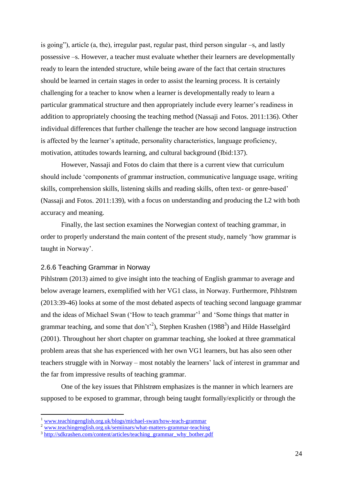is going"), article (a, the), irregular past, regular past, third person singular –s, and lastly possessive –s. However, a teacher must evaluate whether their learners are developmentally ready to learn the intended structure, while being aware of the fact that certain structures should be learned in certain stages in order to assist the learning process. It is certainly challenging for a teacher to know when a learner is developmentally ready to learn a particular grammatical structure and then appropriately include every learner's readiness in addition to appropriately choosing the teaching method (Nassaji and Fotos. 2011:136). Other individual differences that further challenge the teacher are how second language instruction is affected by the learner's aptitude, personality characteristics, language proficiency, motivation, attitudes towards learning, and cultural background (Ibid:137).

However, Nassaji and Fotos do claim that there is a current view that curriculum should include 'components of grammar instruction, communicative language usage, writing skills, comprehension skills, listening skills and reading skills, often text- or genre-based' (Nassaji and Fotos. 2011:139), with a focus on understanding and producing the L2 with both accuracy and meaning.

Finally, the last section examines the Norwegian context of teaching grammar, in order to properly understand the main content of the present study, namely 'how grammar is taught in Norway'.

#### 2.6.6 Teaching Grammar in Norway

1

Pihlstrøm (2013) aimed to give insight into the teaching of English grammar to average and below average learners, exemplified with her VG1 class, in Norway. Furthermore, Pihlstrøm (2013:39-46) looks at some of the most debated aspects of teaching second language grammar and the ideas of Michael Swan ('How to teach grammar'<sup>1</sup> and 'Some things that matter in grammar teaching, and some that don't<sup>2</sup>), Stephen Krashen (1988<sup>3</sup>) and Hilde Hasselgård (2001). Throughout her short chapter on grammar teaching, she looked at three grammatical problem areas that she has experienced with her own VG1 learners, but has also seen other teachers struggle with in Norway – most notably the learners' lack of interest in grammar and the far from impressive results of teaching grammar.

One of the key issues that Pihlstrøm emphasizes is the manner in which learners are supposed to be exposed to grammar, through being taught formally/explicitly or through the

<sup>1</sup> [www.teachingenglish.org.uk/blogs/michael-swan/how-teach-grammar](http://www.teachingenglish.org.uk/blogs/michael-swan/how-teach-grammar)

<sup>&</sup>lt;sup>2</sup> [www.teachingenglish.org.uk/semiinars/what-matters-grammar-teaching](http://www.teachingenglish.org.uk/semiinars/what-matters-grammar-teaching)

<sup>&</sup>lt;sup>3</sup> [http://sdkrashen.com/content/articles/teaching\\_grammar\\_why\\_bother.pdf](http://sdkrashen.com/content/articles/teaching_grammar_why_bother.pdf)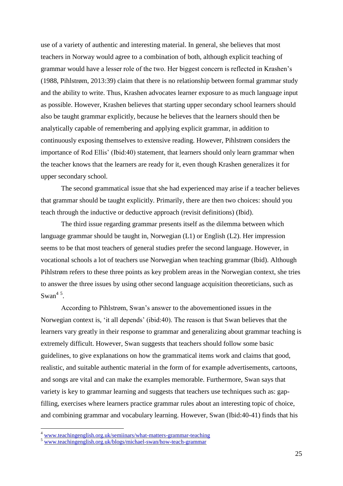use of a variety of authentic and interesting material. In general, she believes that most teachers in Norway would agree to a combination of both, although explicit teaching of grammar would have a lesser role of the two. Her biggest concern is reflected in Krashen's (1988, Pihlstrøm, 2013:39) claim that there is no relationship between formal grammar study and the ability to write. Thus, Krashen advocates learner exposure to as much language input as possible. However, Krashen believes that starting upper secondary school learners should also be taught grammar explicitly, because he believes that the learners should then be analytically capable of remembering and applying explicit grammar, in addition to continuously exposing themselves to extensive reading. However, Pihlstrøm considers the importance of Rod Ellis' (Ibid:40) statement, that learners should only learn grammar when the teacher knows that the learners are ready for it, even though Krashen generalizes it for upper secondary school.

The second grammatical issue that she had experienced may arise if a teacher believes that grammar should be taught explicitly. Primarily, there are then two choices: should you teach through the inductive or deductive approach (revisit definitions) (Ibid).

The third issue regarding grammar presents itself as the dilemma between which language grammar should be taught in, Norwegian (L1) or English (L2). Her impression seems to be that most teachers of general studies prefer the second language. However, in vocational schools a lot of teachers use Norwegian when teaching grammar (Ibid). Although Pihlstrøm refers to these three points as key problem areas in the Norwegian context, she tries to answer the three issues by using other second language acquisition theoreticians, such as Swan<sup>45</sup>.

According to Pihlstrøm, Swan's answer to the abovementioned issues in the Norwegian context is, 'it all depends' (ibid:40). The reason is that Swan believes that the learners vary greatly in their response to grammar and generalizing about grammar teaching is extremely difficult. However, Swan suggests that teachers should follow some basic guidelines, to give explanations on how the grammatical items work and claims that good, realistic, and suitable authentic material in the form of for example advertisements, cartoons, and songs are vital and can make the examples memorable. Furthermore, Swan says that variety is key to grammar learning and suggests that teachers use techniques such as: gapfilling, exercises where learners practice grammar rules about an interesting topic of choice, and combining grammar and vocabulary learning. However, Swan (Ibid:40-41) finds that his

<u>.</u>

<sup>&</sup>lt;sup>4</sup> [www.teachingenglish.org.uk/semiinars/what-matters-grammar-teaching](http://www.teachingenglish.org.uk/semiinars/what-matters-grammar-teaching)

<sup>5</sup> [www.teachingenglish.org.uk/blogs/michael-swan/how-teach-grammar](http://www.teachingenglish.org.uk/blogs/michael-swan/how-teach-grammar)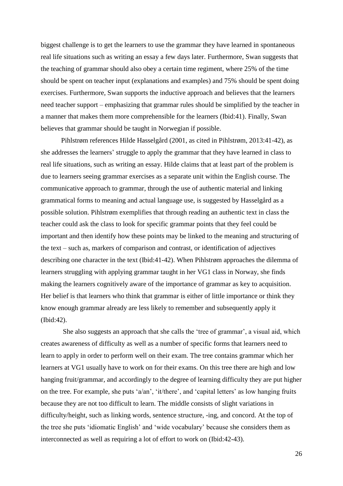biggest challenge is to get the learners to use the grammar they have learned in spontaneous real life situations such as writing an essay a few days later. Furthermore, Swan suggests that the teaching of grammar should also obey a certain time regiment, where 25% of the time should be spent on teacher input (explanations and examples) and 75% should be spent doing exercises. Furthermore, Swan supports the inductive approach and believes that the learners need teacher support – emphasizing that grammar rules should be simplified by the teacher in a manner that makes them more comprehensible for the learners (Ibid:41). Finally, Swan believes that grammar should be taught in Norwegian if possible.

Pihlstrøm references Hilde Hasselgård (2001, as cited in Pihlstrøm, 2013:41-42), as she addresses the learners' struggle to apply the grammar that they have learned in class to real life situations, such as writing an essay. Hilde claims that at least part of the problem is due to learners seeing grammar exercises as a separate unit within the English course. The communicative approach to grammar, through the use of authentic material and linking grammatical forms to meaning and actual language use, is suggested by Hasselgård as a possible solution. Pihlstrøm exemplifies that through reading an authentic text in class the teacher could ask the class to look for specific grammar points that they feel could be important and then identify how these points may be linked to the meaning and structuring of the text – such as, markers of comparison and contrast, or identification of adjectives describing one character in the text (Ibid:41-42). When Pihlstrøm approaches the dilemma of learners struggling with applying grammar taught in her VG1 class in Norway, she finds making the learners cognitively aware of the importance of grammar as key to acquisition. Her belief is that learners who think that grammar is either of little importance or think they know enough grammar already are less likely to remember and subsequently apply it (Ibid:42).

She also suggests an approach that she calls the 'tree of grammar', a visual aid, which creates awareness of difficulty as well as a number of specific forms that learners need to learn to apply in order to perform well on their exam. The tree contains grammar which her learners at VG1 usually have to work on for their exams. On this tree there are high and low hanging fruit/grammar, and accordingly to the degree of learning difficulty they are put higher on the tree. For example, she puts 'a/an', 'it/there', and 'capital letters' as low hanging fruits because they are not too difficult to learn. The middle consists of slight variations in difficulty/height, such as linking words, sentence structure, -ing, and concord. At the top of the tree she puts 'idiomatic English' and 'wide vocabulary' because she considers them as interconnected as well as requiring a lot of effort to work on (Ibid:42-43).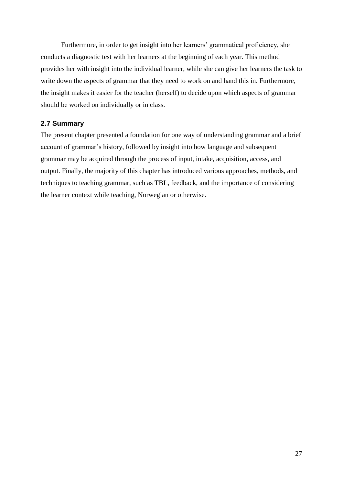Furthermore, in order to get insight into her learners' grammatical proficiency, she conducts a diagnostic test with her learners at the beginning of each year. This method provides her with insight into the individual learner, while she can give her learners the task to write down the aspects of grammar that they need to work on and hand this in. Furthermore, the insight makes it easier for the teacher (herself) to decide upon which aspects of grammar should be worked on individually or in class.

# **2.7 Summary**

The present chapter presented a foundation for one way of understanding grammar and a brief account of grammar's history, followed by insight into how language and subsequent grammar may be acquired through the process of input, intake, acquisition, access, and output. Finally, the majority of this chapter has introduced various approaches, methods, and techniques to teaching grammar, such as TBL, feedback, and the importance of considering the learner context while teaching, Norwegian or otherwise.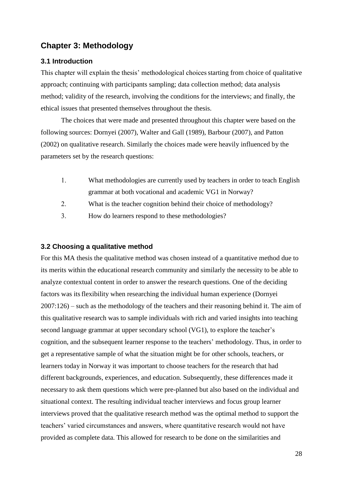# **Chapter 3: Methodology**

# **3.1 Introduction**

This chapter will explain the thesis' methodological choices starting from choice of qualitative approach; continuing with participants sampling; data collection method; data analysis method; validity of the research, involving the conditions for the interviews; and finally, the ethical issues that presented themselves throughout the thesis.

The choices that were made and presented throughout this chapter were based on the following sources: Dornyei (2007), Walter and Gall (1989), Barbour (2007), and Patton (2002) on qualitative research. Similarly the choices made were heavily influenced by the parameters set by the research questions:

- What methodologies are currently used by teachers in order to teach English grammar at both vocational and academic VG1 in Norway?
- What is the teacher cognition behind their choice of methodology?
- How do learners respond to these methodologies?

## **3.2 Choosing a qualitative method**

For this MA thesis the qualitative method was chosen instead of a quantitative method due to its merits within the educational research community and similarly the necessity to be able to analyze contextual content in order to answer the research questions. One of the deciding factors was itsflexibility when researching the individual human experience (Dornyei 2007:126) – such as the methodology of the teachers and their reasoning behind it. The aim of this qualitative research was to sample individuals with rich and varied insights into teaching second language grammar at upper secondary school (VG1), to explore the teacher's cognition, and the subsequent learner response to the teachers' methodology. Thus, in order to get a representative sample of what the situation might be for other schools, teachers, or learners today in Norway it was important to choose teachers for the research that had different backgrounds, experiences, and education. Subsequently, these differences made it necessary to ask them questions which were pre-planned but also based on the individual and situational context. The resulting individual teacher interviews and focus group learner interviews proved that the qualitative research method was the optimal method to support the teachers' varied circumstances and answers, where quantitative research would not have provided as complete data. This allowed for research to be done on the similarities and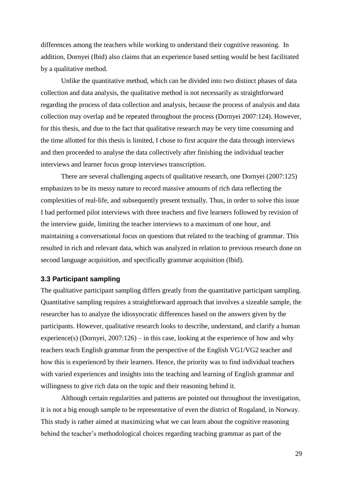differences among the teachers while working to understand their cognitive reasoning. In addition, Dornyei (Ibid) also claims that an experience based setting would be best facilitated by a qualitative method.

Unlike the quantitative method, which can be divided into two distinct phases of data collection and data analysis, the qualitative method is not necessarily as straightforward regarding the process of data collection and analysis, because the process of analysis and data collection may overlap and be repeated throughout the process (Dornyei 2007:124). However, for this thesis, and due to the fact that qualitative research may be very time consuming and the time allotted for this thesis is limited, I chose to first acquire the data through interviews and then proceeded to analyse the data collectively after finishing the individual teacher interviews and learner focus group interviews transcription.

There are several challenging aspects of qualitative research, one Dornyei (2007:125) emphasizes to be its messy nature to record massive amounts of rich data reflecting the complexities of real-life, and subsequently present textually. Thus, in order to solve this issue I had performed pilot interviews with three teachers and five learners followed by revision of the interview guide, limiting the teacher interviews to a maximum of one hour, and maintaining a conversational focus on questions that related to the teaching of grammar. This resulted in rich and relevant data, which was analyzed in relation to previous research done on second language acquisition, and specifically grammar acquisition (Ibid).

# **3.3 Participant sampling**

The qualitative participant sampling differs greatly from the quantitative participant sampling. Quantitative sampling requires a straightforward approach that involves a sizeable sample, the researcher has to analyze the idiosyncratic differences based on the answers given by the participants. However, qualitative research looks to describe, understand, and clarify a human experience(s) (Dornyei,  $2007:126$ ) – in this case, looking at the experience of how and why teachers teach English grammar from the perspective of the English VG1/VG2 teacher and how this is experienced by their learners. Hence, the priority was to find individual teachers with varied experiences and insights into the teaching and learning of English grammar and willingness to give rich data on the topic and their reasoning behind it.

Although certain regularities and patterns are pointed out throughout the investigation, it is not a big enough sample to be representative of even the district of Rogaland, in Norway. This study is rather aimed at maximizing what we can learn about the cognitive reasoning behind the teacher's methodological choices regarding teaching grammar as part of the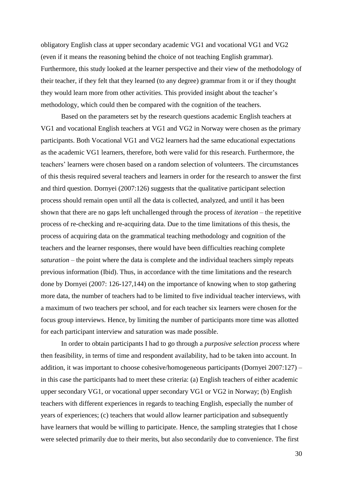obligatory English class at upper secondary academic VG1 and vocational VG1 and VG2 (even if it means the reasoning behind the choice of not teaching English grammar). Furthermore, this study looked at the learner perspective and their view of the methodology of their teacher, if they felt that they learned (to any degree) grammar from it or if they thought they would learn more from other activities. This provided insight about the teacher's methodology, which could then be compared with the cognition of the teachers.

Based on the parameters set by the research questions academic English teachers at VG1 and vocational English teachers at VG1 and VG2 in Norway were chosen as the primary participants. Both Vocational VG1 and VG2 learners had the same educational expectations as the academic VG1 learners, therefore, both were valid for this research. Furthermore, the teachers' learners were chosen based on a random selection of volunteers. The circumstances of this thesis required several teachers and learners in order for the research to answer the first and third question. Dornyei (2007:126) suggests that the qualitative participant selection process should remain open until all the data is collected, analyzed, and until it has been shown that there are no gaps left unchallenged through the process of *iteration* – the repetitive process of re-checking and re-acquiring data. Due to the time limitations of this thesis, the process of acquiring data on the grammatical teaching methodology and cognition of the teachers and the learner responses, there would have been difficulties reaching complete *saturation* – the point where the data is complete and the individual teachers simply repeats previous information (Ibid). Thus, in accordance with the time limitations and the research done by Dornyei (2007: 126-127,144) on the importance of knowing when to stop gathering more data, the number of teachers had to be limited to five individual teacher interviews, with a maximum of two teachers per school, and for each teacher six learners were chosen for the focus group interviews. Hence, by limiting the number of participants more time was allotted for each participant interview and saturation was made possible.

In order to obtain participants I had to go through a *purposive selection process* where then feasibility, in terms of time and respondent availability, had to be taken into account. In addition, it was important to choose cohesive/homogeneous participants (Dornyei 2007:127) – in this case the participants had to meet these criteria: (a) English teachers of either academic upper secondary VG1, or vocational upper secondary VG1 or VG2 in Norway; (b) English teachers with different experiences in regards to teaching English, especially the number of years of experiences; (c) teachers that would allow learner participation and subsequently have learners that would be willing to participate. Hence, the sampling strategies that I chose were selected primarily due to their merits, but also secondarily due to convenience. The first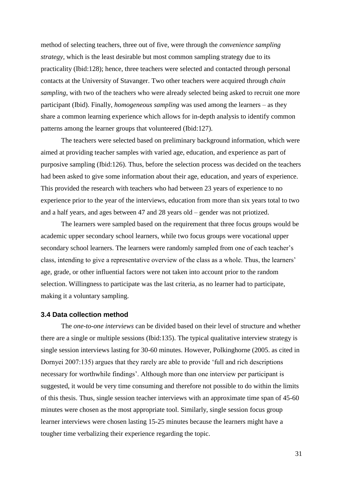method of selecting teachers, three out of five, were through the *convenience sampling strategy,* which is the least desirable but most common sampling strategy due to its practicality (Ibid:128); hence, three teachers were selected and contacted through personal contacts at the University of Stavanger. Two other teachers were acquired through *chain sampling*, with two of the teachers who were already selected being asked to recruit one more participant (Ibid). Finally, *homogeneous sampling* was used among the learners – as they share a common learning experience which allows for in-depth analysis to identify common patterns among the learner groups that volunteered (Ibid:127).

The teachers were selected based on preliminary background information, which were aimed at providing teacher samples with varied age, education, and experience as part of purposive sampling (Ibid:126). Thus, before the selection process was decided on the teachers had been asked to give some information about their age, education, and years of experience. This provided the research with teachers who had between 23 years of experience to no experience prior to the year of the interviews, education from more than six years total to two and a half years, and ages between 47 and 28 years old – gender was not priotized.

The learners were sampled based on the requirement that three focus groups would be academic upper secondary school learners, while two focus groups were vocational upper secondary school learners. The learners were randomly sampled from one of each teacher's class, intending to give a representative overview of the class as a whole. Thus, the learners' age, grade, or other influential factors were not taken into account prior to the random selection. Willingness to participate was the last criteria, as no learner had to participate, making it a voluntary sampling.

#### **3.4 Data collection method**

The *one-to-one interviews* can be divided based on their level of structure and whether there are a single or multiple sessions (Ibid:135). The typical qualitative interview strategy is single session interviews lasting for 30-60 minutes. However, Polkinghorne (2005. as cited in Dornyei 2007:135) argues that they rarely are able to provide 'full and rich descriptions necessary for worthwhile findings'. Although more than one interview per participant is suggested, it would be very time consuming and therefore not possible to do within the limits of this thesis. Thus, single session teacher interviews with an approximate time span of 45-60 minutes were chosen as the most appropriate tool. Similarly, single session focus group learner interviews were chosen lasting 15-25 minutes because the learners might have a tougher time verbalizing their experience regarding the topic.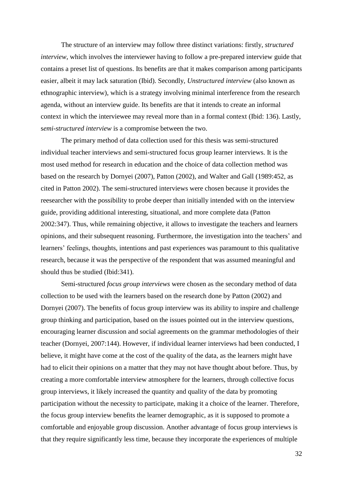The structure of an interview may follow three distinct variations: firstly, *structured interview*, which involves the interviewer having to follow a pre-prepared interview guide that contains a preset list of questions. Its benefits are that it makes comparison among participants easier, albeit it may lack saturation (Ibid). Secondly, *Unstructured interview* (also known as ethnographic interview), which is a strategy involving minimal interference from the research agenda, without an interview guide. Its benefits are that it intends to create an informal context in which the interviewee may reveal more than in a formal context (Ibid: 136). Lastly, s*emi-structured interview* is a compromise between the two.

The primary method of data collection used for this thesis was semi-structured individual teacher interviews and semi-structured focus group learner interviews. It is the most used method for research in education and the choice of data collection method was based on the research by Dornyei (2007), Patton (2002), and Walter and Gall (1989:452, as cited in Patton 2002). The semi-structured interviews were chosen because it provides the reesearcher with the possibility to probe deeper than initially intended with on the interview guide, providing additional interesting, situational, and more complete data (Patton 2002:347). Thus, while remaining objective, it allows to investigate the teachers and learners opinions, and their subsequent reasoning. Furthermore, the investigation into the teachers' and learners' feelings, thoughts, intentions and past experiences was paramount to this qualitative research, because it was the perspective of the respondent that was assumed meaningful and should thus be studied (Ibid:341).

Semi-structured *focus group interviews* were chosen as the secondary method of data collection to be used with the learners based on the research done by Patton (2002) and Dornyei (2007). The benefits of focus group interview was its ability to inspire and challenge group thinking and participation, based on the issues pointed out in the interview questions, encouraging learner discussion and social agreements on the grammar methodologies of their teacher (Dornyei, 2007:144). However, if individual learner interviews had been conducted, I believe, it might have come at the cost of the quality of the data, as the learners might have had to elicit their opinions on a matter that they may not have thought about before. Thus, by creating a more comfortable interview atmosphere for the learners, through collective focus group interviews, it likely increased the quantity and quality of the data by promoting participation without the necessity to participate, making it a choice of the learner. Therefore, the focus group interview benefits the learner demographic, as it is supposed to promote a comfortable and enjoyable group discussion. Another advantage of focus group interviews is that they require significantly less time, because they incorporate the experiences of multiple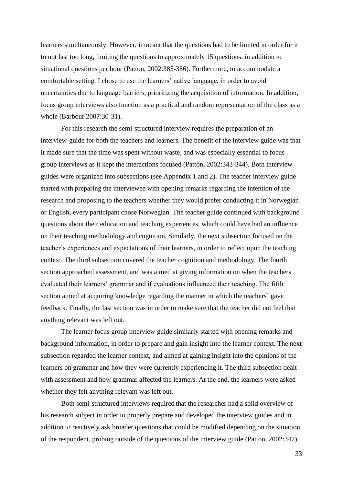learners simultaneously. However, it meant that the questions had to be limited in order for it to not last too long, limiting the questions to approximately 15 questions, in addition to situational questions per hour (Patton, 2002:385-386). Furthermore, to accommodate a comfortable setting, I chose to use the learners' native language, in order to avoid uncertainties due to language barriers, prioritizing the acquisition of information. In addition, focus group interviews also function as a practical and random representation of the class as a whole (Barbour 2007:30-31).

For this research the semi-structured interview requires the preparation of an interview-guide for both the teachers and learners. The benefit of the interview guide was that it made sure that the time was spent without waste, and was especially essential to focus group interviews as it kept the interactions focused (Patton, 2002:343-344). Both interview guides were organized into subsections (see Appendix 1 and 2). The teacher interview guide started with preparing the interviewee with opening remarks regarding the intention of the research and proposing to the teachers whether they would prefer conducting it in Norwegian or English, every participant chose Norwegian. The teacher guide continued with background questions about their education and teaching experiences, which could have had an influence on their teaching methodology and cognition. Similarly, the next subsection focused on the teacher's experiences and expectations of their learners, in order to reflect upon the teaching context. The third subsection covered the teacher cognition and methodology. The fourth section approached assessment, and was aimed at giving information on when the teachers evaluated their learners' grammar and if evaluations influenced their teaching. The fifth section aimed at acquiring knowledge regarding the manner in which the teachers' gave feedback. Finally, the last section was in order to make sure that the teacher did not feel that anything relevant was left out.

The learner focus group interview guide similarly started with opening remarks and background information, in order to prepare and gain insight into the learner context. The next subsection regarded the learner context, and aimed at gaining insight into the opinions of the learners on grammar and how they were currently experiencing it. The third subsection dealt with assessment and how grammar affected the learners. At the end, the learners were asked whether they felt anything relevant was left out.

Both semi-structured interviews required that the researcher had a solid overview of his research subject in order to properly prepare and developed the interview guides and in addition to reactively ask broader questions that could be modified depending on the situation of the respondent, probing outside of the questions of the interview guide (Patton, 2002:347).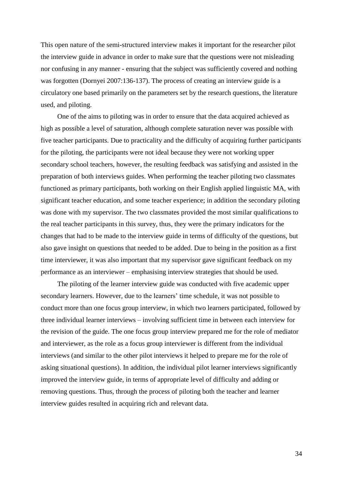This open nature of the semi-structured interview makes it important for the researcher pilot the interview guide in advance in order to make sure that the questions were not misleading nor confusing in any manner - ensuring that the subject was sufficiently covered and nothing was forgotten (Dornyei 2007:136-137). The process of creating an interview guide is a circulatory one based primarily on the parameters set by the research questions, the literature used, and piloting.

One of the aims to piloting was in order to ensure that the data acquired achieved as high as possible a level of saturation, although complete saturation never was possible with five teacher participants. Due to practicality and the difficulty of acquiring further participants for the piloting, the participants were not ideal because they were not working upper secondary school teachers, however, the resulting feedback was satisfying and assisted in the preparation of both interviews guides. When performing the teacher piloting two classmates functioned as primary participants, both working on their English applied linguistic MA, with significant teacher education, and some teacher experience; in addition the secondary piloting was done with my supervisor. The two classmates provided the most similar qualifications to the real teacher participants in this survey, thus, they were the primary indicators for the changes that had to be made to the interview guide in terms of difficulty of the questions, but also gave insight on questions that needed to be added. Due to being in the position as a first time interviewer, it was also important that my supervisor gave significant feedback on my performance as an interviewer – emphasising interview strategies that should be used.

The piloting of the learner interview guide was conducted with five academic upper secondary learners. However, due to the learners' time schedule, it was not possible to conduct more than one focus group interview, in which two learners participated, followed by three individual learner interviews – involving sufficient time in between each interview for the revision of the guide. The one focus group interview prepared me for the role of mediator and interviewer, as the role as a focus group interviewer is different from the individual interviews (and similar to the other pilot interviews it helped to prepare me for the role of asking situational questions). In addition, the individual pilot learner interviews significantly improved the interview guide, in terms of appropriate level of difficulty and adding or removing questions. Thus, through the process of piloting both the teacher and learner interview guides resulted in acquiring rich and relevant data.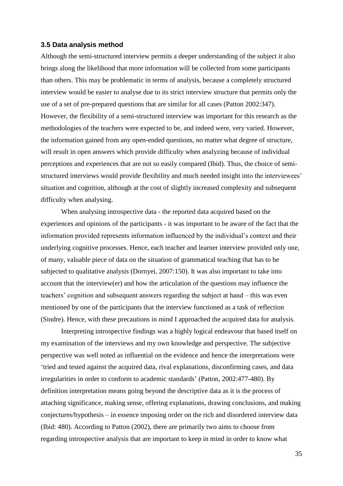#### **3.5 Data analysis method**

Although the semi-structured interview permits a deeper understanding of the subject it also brings along the likelihood that more information will be collected from some participants than others. This may be problematic in terms of analysis, because a completely structured interview would be easier to analyse due to its strict interview structure that permits only the use of a set of pre-prepared questions that are similar for all cases (Patton 2002:347). However, the flexibility of a semi-structured interview was important for this research as the methodologies of the teachers were expected to be, and indeed were, very varied. However, the information gained from any open-ended questions, no matter what degree of structure, will result in open answers which provide difficulty when analyzing because of individual perceptions and experiences that are not so easily compared (Ibid). Thus, the choice of semistructured interviews would provide flexibility and much needed insight into the interviewees' situation and cognition, although at the cost of slightly increased complexity and subsequent difficulty when analysing.

When analysing introspective data - the reported data acquired based on the experiences and opinions of the participants - it was important to be aware of the fact that the information provided represents information influenced by the individual's context and their underlying cognitive processes. Hence, each teacher and learner interview provided only one, of many, valuable piece of data on the situation of grammatical teaching that has to be subjected to qualitative analysis (Dornyei, 2007:150). It was also important to take into account that the interview(er) and how the articulation of the questions may influence the teachers' cognition and subsequent answers regarding the subject at hand – this was even mentioned by one of the participants that the interview functioned as a task of reflection (Sindre). Hence, with these precautions in mind I approached the acquired data for analysis.

Interpreting introspective findings was a highly logical endeavour that based itself on my examination of the interviews and my own knowledge and perspective. The subjective perspective was well noted as influential on the evidence and hence the interpretations were 'tried and tested against the acquired data, rival explanations, disconfirming cases, and data irregularities in order to conform to academic standards' (Patton, 2002:477-480). By definition interpretation means going beyond the descriptive data as it is the process of attaching significance, making sense, offering explanations, drawing conclusions, and making conjectures/hypothesis – in essence imposing order on the rich and disordered interview data (Ibid: 480). According to Patton (2002), there are primarily two aims to choose from regarding introspective analysis that are important to keep in mind in order to know what

35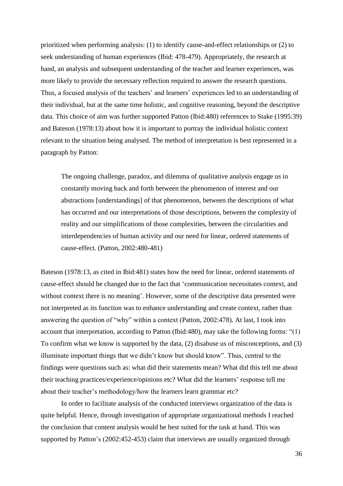prioritized when performing analysis: (1) to identify cause-and-effect relationships or (2) to seek understanding of human experiences (Ibid: 478-479). Appropriately, the research at hand, an analysis and subsequent understanding of the teacher and learner experiences, was more likely to provide the necessary reflection required to answer the research questions. Thus, a focused analysis of the teachers' and learners' experiences led to an understanding of their individual, but at the same time holistic, and cognitive reasoning, beyond the descriptive data. This choice of aim was further supported Patton (Ibid:480) references to Stake (1995:39) and Bateson (1978:13) about how it is important to portray the individual holistic context relevant to the situation being analysed. The method of interpretation is best represented in a paragraph by Patton:

The ongoing challenge, paradox, and dilemma of qualitative analysis engage us in constantly moving back and forth between the phenomenon of interest and our abstractions [understandings] of that phenomenon, between the descriptions of what has occurred and our interpretations of those descriptions, between the complexity of reality and our simplifications of those complexities, between the circularities and interdependencies of human activity and our need for linear, ordered statements of cause-effect. (Patton, 2002:480-481)

Bateson (1978:13, as cited in Ibid:481) states how the need for linear, ordered statements of cause-effect should be changed due to the fact that 'communication necessitates context, and without context there is no meaning'. However, some of the descriptive data presented were not interpreted as its function was to enhance understanding and create context, rather than answering the question of "why" within a context (Patton, 2002:478). At last, I took into account that interpretation, according to Patton (Ibid:480), may take the following forms: "(1) To confirm what we know is supported by the data, (2) disabuse us of misconceptions, and (3) illuminate important things that we didn't know but should know". Thus, central to the findings were questions such as: what did their statements mean? What did this tell me about their teaching practices/experience/opinions etc? What did the learners' response tell me about their teacher's methodology/how the learners learn grammar etc?

In order to facilitate analysis of the conducted interviews organization of the data is quite helpful. Hence, through investigation of appropriate organizational methods I reached the conclusion that content analysis would be best suited for the task at hand. This was supported by Patton's (2002:452-453) claim that interviews are usually organized through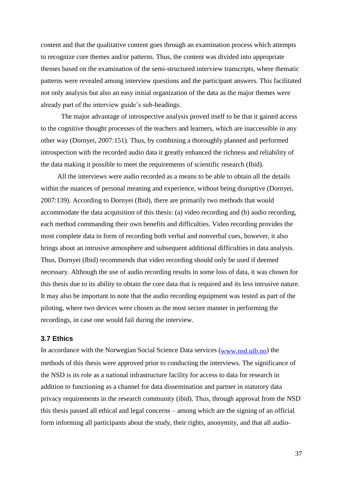content and that the qualitative content goes through an examination process which attempts to recognize core themes and/or patterns. Thus, the content was divided into appropriate themes based on the examination of the semi-structured interview transcripts, where thematic patterns were revealed among interview questions and the participant answers. This facilitated not only analysis but also an easy initial organization of the data as the major themes were already part of the interview guide's sub-headings.

The major advantage of introspective analysis proved itself to be that it gained access to the cognitive thought processes of the teachers and learners, which are inaccessible in any other way (Dornyei, 2007:151). Thus, by combining a thoroughly planned and performed introspection with the recorded audio data it greatly enhanced the richness and reliability of the data making it possible to meet the requirements of scientific research (Ibid).

All the interviews were audio recorded as a means to be able to obtain all the details within the nuances of personal meaning and experience, without being disruptive (Dornyei, 2007:139). According to Dornyei (Ibid), there are primarily two methods that would accommodate the data acquisition of this thesis: (a) video recording and (b) audio recording, each method commanding their own benefits and difficulties. Video recording provides the most complete data in form of recording both verbal and nonverbal cues, however, it also brings about an intrusive atmosphere and subsequent additional difficulties in data analysis. Thus, Dornyei (Ibid) recommends that video recording should only be used if deemed necessary. Although the use of audio recording results in some loss of data, it was chosen for this thesis due to its ability to obtain the core data that is required and its less intrusive nature. It may also be important to note that the audio recording equipment was tested as part of the piloting, where two devices were chosen as the most secure manner in performing the recordings, in case one would fail during the interview.

## **3.7 Ethics**

In accordance with the Norwegian Social Science Data services [\(www.nsd.uib.no\)](http://www.nsd.uib.no/) the methods of this thesis were approved prior to conducting the interviews. The significance of the NSD is its role as a national infrastructure facility for access to data for research in addition to functioning as a channel for data dissemination and partner in statutory data privacy requirements in the research community (ibid). Thus, through approval from the NSD this thesis passed all ethical and legal concerns – among which are the signing of an official form informing all participants about the study, their rights, anonymity, and that all audio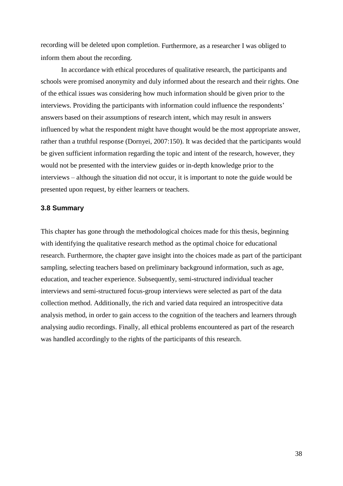recording will be deleted upon completion. Furthermore, as a researcher I was obliged to inform them about the recording.

In accordance with ethical procedures of qualitative research, the participants and schools were promised anonymity and duly informed about the research and their rights. One of the ethical issues was considering how much information should be given prior to the interviews. Providing the participants with information could influence the respondents' answers based on their assumptions of research intent, which may result in answers influenced by what the respondent might have thought would be the most appropriate answer, rather than a truthful response (Dornyei, 2007:150). It was decided that the participants would be given sufficient information regarding the topic and intent of the research, however, they would not be presented with the interview guides or in-depth knowledge prior to the interviews – although the situation did not occur, it is important to note the guide would be presented upon request, by either learners or teachers.

## **3.8 Summary**

This chapter has gone through the methodological choices made for this thesis, beginning with identifying the qualitative research method as the optimal choice for educational research. Furthermore, the chapter gave insight into the choices made as part of the participant sampling, selecting teachers based on preliminary background information, such as age, education, and teacher experience. Subsequently, semi-structured individual teacher interviews and semi-structured focus-group interviews were selected as part of the data collection method. Additionally, the rich and varied data required an introspecitive data analysis method, in order to gain access to the cognition of the teachers and learners through analysing audio recordings. Finally, all ethical problems encountered as part of the research was handled accordingly to the rights of the participants of this research.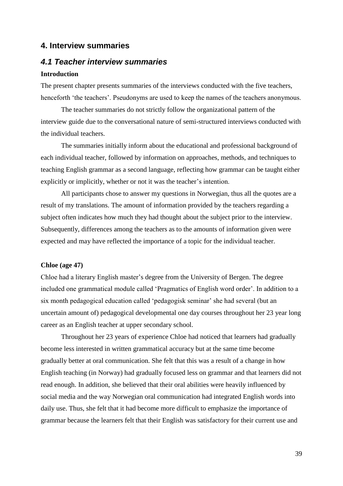# **4. Interview summaries**

# *4.1 Teacher interview summaries*

# **Introduction**

The present chapter presents summaries of the interviews conducted with the five teachers, henceforth 'the teachers'. Pseudonyms are used to keep the names of the teachers anonymous.

The teacher summaries do not strictly follow the organizational pattern of the interview guide due to the conversational nature of semi-structured interviews conducted with the individual teachers.

The summaries initially inform about the educational and professional background of each individual teacher, followed by information on approaches, methods, and techniques to teaching English grammar as a second language, reflecting how grammar can be taught either explicitly or implicitly, whether or not it was the teacher's intention.

All participants chose to answer my questions in Norwegian, thus all the quotes are a result of my translations. The amount of information provided by the teachers regarding a subject often indicates how much they had thought about the subject prior to the interview. Subsequently, differences among the teachers as to the amounts of information given were expected and may have reflected the importance of a topic for the individual teacher.

## **Chloe (age 47)**

Chloe had a literary English master's degree from the University of Bergen. The degree included one grammatical module called 'Pragmatics of English word order'. In addition to a six month pedagogical education called 'pedagogisk seminar' she had several (but an uncertain amount of) pedagogical developmental one day courses throughout her 23 year long career as an English teacher at upper secondary school.

Throughout her 23 years of experience Chloe had noticed that learners had gradually become less interested in written grammatical accuracy but at the same time become gradually better at oral communication. She felt that this was a result of a change in how English teaching (in Norway) had gradually focused less on grammar and that learners did not read enough. In addition, she believed that their oral abilities were heavily influenced by social media and the way Norwegian oral communication had integrated English words into daily use. Thus, she felt that it had become more difficult to emphasize the importance of grammar because the learners felt that their English was satisfactory for their current use and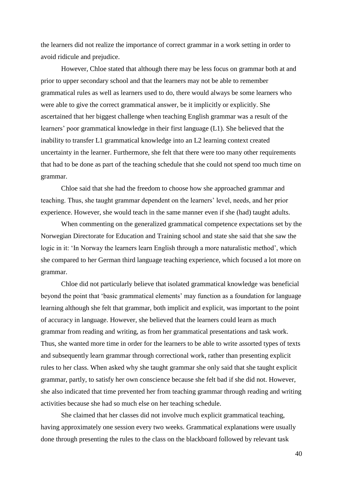the learners did not realize the importance of correct grammar in a work setting in order to avoid ridicule and prejudice.

However, Chloe stated that although there may be less focus on grammar both at and prior to upper secondary school and that the learners may not be able to remember grammatical rules as well as learners used to do, there would always be some learners who were able to give the correct grammatical answer, be it implicitly or explicitly. She ascertained that her biggest challenge when teaching English grammar was a result of the learners' poor grammatical knowledge in their first language (L1). She believed that the inability to transfer L1 grammatical knowledge into an L2 learning context created uncertainty in the learner. Furthermore, she felt that there were too many other requirements that had to be done as part of the teaching schedule that she could not spend too much time on grammar.

Chloe said that she had the freedom to choose how she approached grammar and teaching. Thus, she taught grammar dependent on the learners' level, needs, and her prior experience. However, she would teach in the same manner even if she (had) taught adults.

When commenting on the generalized grammatical competence expectations set by the Norwegian Directorate for Education and Training school and state she said that she saw the logic in it: 'In Norway the learners learn English through a more naturalistic method', which she compared to her German third language teaching experience, which focused a lot more on grammar.

Chloe did not particularly believe that isolated grammatical knowledge was beneficial beyond the point that 'basic grammatical elements' may function as a foundation for language learning although she felt that grammar, both implicit and explicit, was important to the point of accuracy in language. However, she believed that the learners could learn as much grammar from reading and writing, as from her grammatical presentations and task work. Thus, she wanted more time in order for the learners to be able to write assorted types of texts and subsequently learn grammar through correctional work, rather than presenting explicit rules to her class. When asked why she taught grammar she only said that she taught explicit grammar, partly, to satisfy her own conscience because she felt bad if she did not. However, she also indicated that time prevented her from teaching grammar through reading and writing activities because she had so much else on her teaching schedule.

She claimed that her classes did not involve much explicit grammatical teaching, having approximately one session every two weeks. Grammatical explanations were usually done through presenting the rules to the class on the blackboard followed by relevant task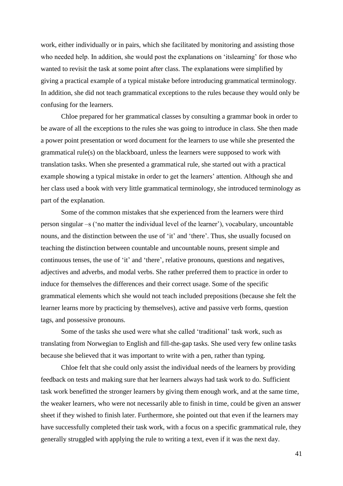work, either individually or in pairs, which she facilitated by monitoring and assisting those who needed help. In addition, she would post the explanations on 'itslearning' for those who wanted to revisit the task at some point after class. The explanations were simplified by giving a practical example of a typical mistake before introducing grammatical terminology. In addition, she did not teach grammatical exceptions to the rules because they would only be confusing for the learners.

Chloe prepared for her grammatical classes by consulting a grammar book in order to be aware of all the exceptions to the rules she was going to introduce in class. She then made a power point presentation or word document for the learners to use while she presented the grammatical rule(s) on the blackboard, unless the learners were supposed to work with translation tasks. When she presented a grammatical rule, she started out with a practical example showing a typical mistake in order to get the learners' attention. Although she and her class used a book with very little grammatical terminology, she introduced terminology as part of the explanation.

Some of the common mistakes that she experienced from the learners were third person singular –s ('no matter the individual level of the learner'), vocabulary, uncountable nouns, and the distinction between the use of 'it' and 'there'. Thus, she usually focused on teaching the distinction between countable and uncountable nouns, present simple and continuous tenses, the use of 'it' and 'there', relative pronouns, questions and negatives, adjectives and adverbs, and modal verbs. She rather preferred them to practice in order to induce for themselves the differences and their correct usage. Some of the specific grammatical elements which she would not teach included prepositions (because she felt the learner learns more by practicing by themselves), active and passive verb forms, question tags, and possessive pronouns.

Some of the tasks she used were what she called 'traditional' task work, such as translating from Norwegian to English and fill-the-gap tasks. She used very few online tasks because she believed that it was important to write with a pen, rather than typing.

Chloe felt that she could only assist the individual needs of the learners by providing feedback on tests and making sure that her learners always had task work to do. Sufficient task work benefitted the stronger learners by giving them enough work, and at the same time, the weaker learners, who were not necessarily able to finish in time, could be given an answer sheet if they wished to finish later. Furthermore, she pointed out that even if the learners may have successfully completed their task work, with a focus on a specific grammatical rule, they generally struggled with applying the rule to writing a text, even if it was the next day.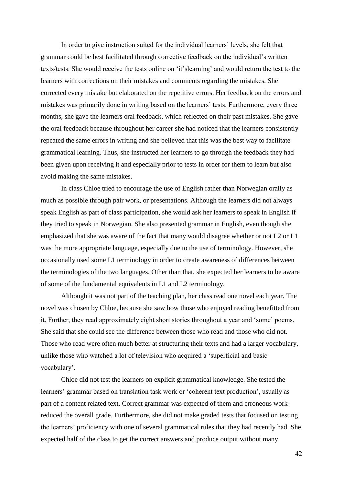In order to give instruction suited for the individual learners' levels, she felt that grammar could be best facilitated through corrective feedback on the individual's written texts/tests. She would receive the tests online on 'it'slearning' and would return the test to the learners with corrections on their mistakes and comments regarding the mistakes. She corrected every mistake but elaborated on the repetitive errors. Her feedback on the errors and mistakes was primarily done in writing based on the learners' tests. Furthermore, every three months, she gave the learners oral feedback, which reflected on their past mistakes. She gave the oral feedback because throughout her career she had noticed that the learners consistently repeated the same errors in writing and she believed that this was the best way to facilitate grammatical learning. Thus, she instructed her learners to go through the feedback they had been given upon receiving it and especially prior to tests in order for them to learn but also avoid making the same mistakes.

In class Chloe tried to encourage the use of English rather than Norwegian orally as much as possible through pair work, or presentations. Although the learners did not always speak English as part of class participation, she would ask her learners to speak in English if they tried to speak in Norwegian. She also presented grammar in English, even though she emphasized that she was aware of the fact that many would disagree whether or not L2 or L1 was the more appropriate language, especially due to the use of terminology. However, she occasionally used some L1 terminology in order to create awareness of differences between the terminologies of the two languages. Other than that, she expected her learners to be aware of some of the fundamental equivalents in L1 and L2 terminology.

Although it was not part of the teaching plan, her class read one novel each year. The novel was chosen by Chloe, because she saw how those who enjoyed reading benefitted from it. Further, they read approximately eight short stories throughout a year and 'some' poems. She said that she could see the difference between those who read and those who did not. Those who read were often much better at structuring their texts and had a larger vocabulary, unlike those who watched a lot of television who acquired a 'superficial and basic vocabulary'.

Chloe did not test the learners on explicit grammatical knowledge. She tested the learners' grammar based on translation task work or 'coherent text production', usually as part of a content related text. Correct grammar was expected of them and erroneous work reduced the overall grade. Furthermore, she did not make graded tests that focused on testing the learners' proficiency with one of several grammatical rules that they had recently had. She expected half of the class to get the correct answers and produce output without many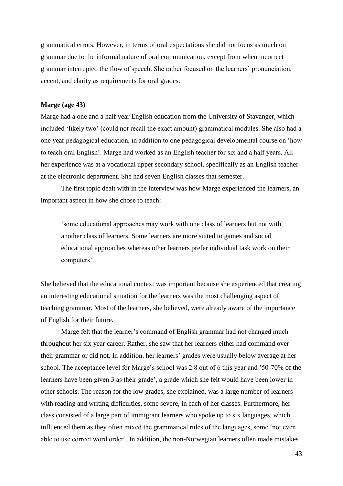grammatical errors. However, in terms of oral expectations she did not focus as much on grammar due to the informal nature of oral communication, except from when incorrect grammar interrupted the flow of speech. She rather focused on the learners' pronunciation, accent, and clarity as requirements for oral grades.

## **Marge (age 43)**

Marge had a one and a half year English education from the University of Stavanger, which included 'likely two' (could not recall the exact amount) grammatical modules. She also had a one year pedagogical education, in addition to one pedagogical developmental course on 'how to teach oral English'. Marge had worked as an English teacher for six and a half years. All her experience was at a vocational upper secondary school, specifically as an English teacher at the electronic department. She had seven English classes that semester.

The first topic dealt with in the interview was how Marge experienced the learners, an important aspect in how she chose to teach:

'some educational approaches may work with one class of learners but not with another class of learners. Some learners are more suited to games and social educational approaches whereas other learners prefer individual task work on their computers'.

She believed that the educational context was important because she experienced that creating an interesting educational situation for the learners was the most challenging aspect of teaching grammar. Most of the learners, she believed, were already aware of the importance of English for their future.

Marge felt that the learner's command of English grammar had not changed much throughout her six year career. Rather, she saw that her learners either had command over their grammar or did not. In addition, her learners' grades were usually below average at her school. The acceptance level for Marge's school was 2.8 out of 6 this year and '50-70% of the learners have been given 3 as their grade', a grade which she felt would have been lower in other schools. The reason for the low grades, she explained, was a large number of learners with reading and writing difficulties, some severe, in each of her classes. Furthermore, her class consisted of a large part of immigrant learners who spoke up to six languages, which influenced them as they often mixed the grammatical rules of the languages, some 'not even able to use correct word order'. In addition, the non-Norwegian learners often made mistakes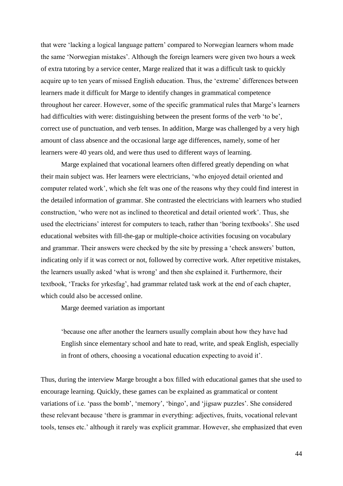that were 'lacking a logical language pattern' compared to Norwegian learners whom made the same 'Norwegian mistakes'. Although the foreign learners were given two hours a week of extra tutoring by a service center, Marge realized that it was a difficult task to quickly acquire up to ten years of missed English education. Thus, the 'extreme' differences between learners made it difficult for Marge to identify changes in grammatical competence throughout her career. However, some of the specific grammatical rules that Marge's learners had difficulties with were: distinguishing between the present forms of the verb 'to be', correct use of punctuation, and verb tenses. In addition, Marge was challenged by a very high amount of class absence and the occasional large age differences, namely, some of her learners were 40 years old, and were thus used to different ways of learning.

Marge explained that vocational learners often differed greatly depending on what their main subject was. Her learners were electricians, 'who enjoyed detail oriented and computer related work', which she felt was one of the reasons why they could find interest in the detailed information of grammar. She contrasted the electricians with learners who studied construction, 'who were not as inclined to theoretical and detail oriented work'. Thus, she used the electricians' interest for computers to teach, rather than 'boring textbooks'. She used educational websites with fill-the-gap or multiple-choice activities focusing on vocabulary and grammar. Their answers were checked by the site by pressing a 'check answers' button, indicating only if it was correct or not, followed by corrective work. After repetitive mistakes, the learners usually asked 'what is wrong' and then she explained it. Furthermore, their textbook, 'Tracks for yrkesfag', had grammar related task work at the end of each chapter, which could also be accessed online.

Marge deemed variation as important

'because one after another the learners usually complain about how they have had English since elementary school and hate to read, write, and speak English, especially in front of others, choosing a vocational education expecting to avoid it'.

Thus, during the interview Marge brought a box filled with educational games that she used to encourage learning. Quickly, these games can be explained as grammatical or content variations of i.e. 'pass the bomb', 'memory', 'bingo', and 'jigsaw puzzles'. She considered these relevant because 'there is grammar in everything: adjectives, fruits, vocational relevant tools, tenses etc.' although it rarely was explicit grammar. However, she emphasized that even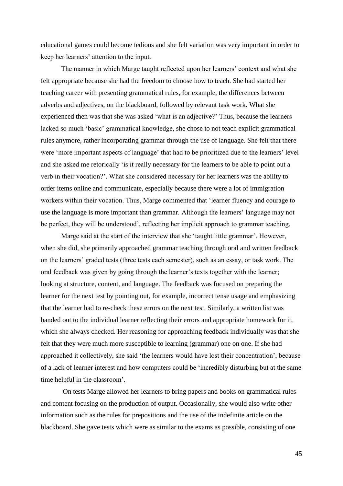educational games could become tedious and she felt variation was very important in order to keep her learners' attention to the input.

The manner in which Marge taught reflected upon her learners' context and what she felt appropriate because she had the freedom to choose how to teach. She had started her teaching career with presenting grammatical rules, for example, the differences between adverbs and adjectives, on the blackboard, followed by relevant task work. What she experienced then was that she was asked 'what is an adjective?' Thus, because the learners lacked so much 'basic' grammatical knowledge, she chose to not teach explicit grammatical rules anymore, rather incorporating grammar through the use of language. She felt that there were 'more important aspects of language' that had to be prioritized due to the learners' level and she asked me retorically 'is it really necessary for the learners to be able to point out a verb in their vocation?'. What she considered necessary for her learners was the ability to order items online and communicate, especially because there were a lot of immigration workers within their vocation. Thus, Marge commented that 'learner fluency and courage to use the language is more important than grammar. Although the learners' language may not be perfect, they will be understood', reflecting her implicit approach to grammar teaching.

Marge said at the start of the interview that she 'taught little grammar'. However, when she did, she primarily approached grammar teaching through oral and written feedback on the learners' graded tests (three tests each semester), such as an essay, or task work. The oral feedback was given by going through the learner's texts together with the learner; looking at structure, content, and language. The feedback was focused on preparing the learner for the next test by pointing out, for example, incorrect tense usage and emphasizing that the learner had to re-check these errors on the next test. Similarly, a written list was handed out to the individual learner reflecting their errors and appropriate homework for it, which she always checked. Her reasoning for approaching feedback individually was that she felt that they were much more susceptible to learning (grammar) one on one. If she had approached it collectively, she said 'the learners would have lost their concentration', because of a lack of learner interest and how computers could be 'incredibly disturbing but at the same time helpful in the classroom'.

On tests Marge allowed her learners to bring papers and books on grammatical rules and content focusing on the production of output. Occasionally, she would also write other information such as the rules for prepositions and the use of the indefinite article on the blackboard. She gave tests which were as similar to the exams as possible, consisting of one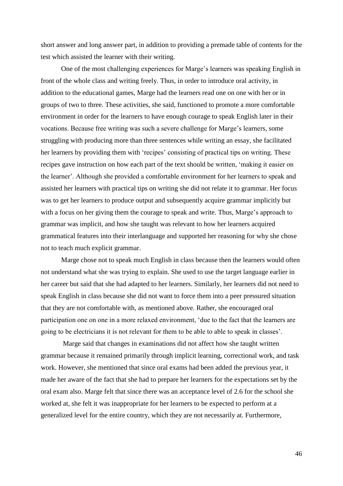short answer and long answer part, in addition to providing a premade table of contents for the test which assisted the learner with their writing.

One of the most challenging experiences for Marge's learners was speaking English in front of the whole class and writing freely. Thus, in order to introduce oral activity, in addition to the educational games, Marge had the learners read one on one with her or in groups of two to three. These activities, she said, functioned to promote a more comfortable environment in order for the learners to have enough courage to speak English later in their vocations. Because free writing was such a severe challenge for Marge's learners, some struggling with producing more than three sentences while writing an essay, she facilitated her learners by providing them with 'recipes' consisting of practical tips on writing. These recipes gave instruction on how each part of the text should be written, 'making it easier on the learner'. Although she provided a comfortable environment for her learners to speak and assisted her learners with practical tips on writing she did not relate it to grammar. Her focus was to get her learners to produce output and subsequently acquire grammar implicitly but with a focus on her giving them the courage to speak and write. Thus, Marge's approach to grammar was implicit, and how she taught was relevant to how her learners acquired grammatical features into their interlanguage and supported her reasoning for why she chose not to teach much explicit grammar.

Marge chose not to speak much English in class because then the learners would often not understand what she was trying to explain. She used to use the target language earlier in her career but said that she had adapted to her learners. Similarly, her learners did not need to speak English in class because she did not want to force them into a peer pressured situation that they are not comfortable with, as mentioned above. Rather, she encouraged oral participation one on one in a more relaxed environment, 'due to the fact that the learners are going to be electricians it is not relevant for them to be able to able to speak in classes'.

Marge said that changes in examinations did not affect how she taught written grammar because it remained primarily through implicit learning, correctional work, and task work. However, she mentioned that since oral exams had been added the previous year, it made her aware of the fact that she had to prepare her learners for the expectations set by the oral exam also. Marge felt that since there was an acceptance level of 2.6 for the school she worked at, she felt it was inappropriate for her learners to be expected to perform at a generalized level for the entire country, which they are not necessarily at. Furthermore,

46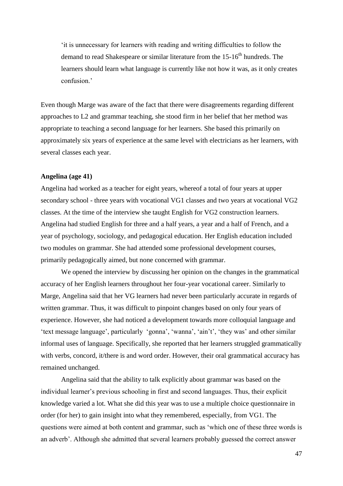'it is unnecessary for learners with reading and writing difficulties to follow the demand to read Shakespeare or similar literature from the  $15{\text -}16^{\text{th}}$  hundreds. The learners should learn what language is currently like not how it was, as it only creates confusion.'

Even though Marge was aware of the fact that there were disagreements regarding different approaches to L2 and grammar teaching, she stood firm in her belief that her method was appropriate to teaching a second language for her learners. She based this primarily on approximately six years of experience at the same level with electricians as her learners, with several classes each year.

## **Angelina (age 41)**

Angelina had worked as a teacher for eight years, whereof a total of four years at upper secondary school - three years with vocational VG1 classes and two years at vocational VG2 classes. At the time of the interview she taught English for VG2 construction learners. Angelina had studied English for three and a half years, a year and a half of French, and a year of psychology, sociology, and pedagogical education. Her English education included two modules on grammar. She had attended some professional development courses, primarily pedagogically aimed, but none concerned with grammar.

We opened the interview by discussing her opinion on the changes in the grammatical accuracy of her English learners throughout her four-year vocational career. Similarly to Marge, Angelina said that her VG learners had never been particularly accurate in regards of written grammar. Thus, it was difficult to pinpoint changes based on only four years of experience. However, she had noticed a development towards more colloquial language and 'text message language', particularly 'gonna', 'wanna', 'ain't', 'they was' and other similar informal uses of language. Specifically, she reported that her learners struggled grammatically with verbs, concord, it/there is and word order. However, their oral grammatical accuracy has remained unchanged.

Angelina said that the ability to talk explicitly about grammar was based on the individual learner's previous schooling in first and second languages. Thus, their explicit knowledge varied a lot. What she did this year was to use a multiple choice questionnaire in order (for her) to gain insight into what they remembered, especially, from VG1. The questions were aimed at both content and grammar, such as 'which one of these three words is an adverb'. Although she admitted that several learners probably guessed the correct answer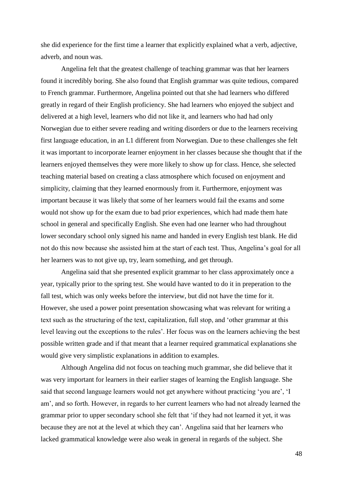she did experience for the first time a learner that explicitly explained what a verb, adjective, adverb, and noun was.

Angelina felt that the greatest challenge of teaching grammar was that her learners found it incredibly boring. She also found that English grammar was quite tedious, compared to French grammar. Furthermore, Angelina pointed out that she had learners who differed greatly in regard of their English proficiency. She had learners who enjoyed the subject and delivered at a high level, learners who did not like it, and learners who had had only Norwegian due to either severe reading and writing disorders or due to the learners receiving first language education, in an L1 different from Norwegian. Due to these challenges she felt it was important to incorporate learner enjoyment in her classes because she thought that if the learners enjoyed themselves they were more likely to show up for class. Hence, she selected teaching material based on creating a class atmosphere which focused on enjoyment and simplicity, claiming that they learned enormously from it. Furthermore, enjoyment was important because it was likely that some of her learners would fail the exams and some would not show up for the exam due to bad prior experiences, which had made them hate school in general and specifically English. She even had one learner who had throughout lower secondary school only signed his name and handed in every English test blank. He did not do this now because she assisted him at the start of each test. Thus, Angelina's goal for all her learners was to not give up, try, learn something, and get through.

Angelina said that she presented explicit grammar to her class approximately once a year, typically prior to the spring test. She would have wanted to do it in preperation to the fall test, which was only weeks before the interview, but did not have the time for it. However, she used a power point presentation showcasing what was relevant for writing a text such as the structuring of the text, capitalization, full stop, and 'other grammar at this level leaving out the exceptions to the rules'. Her focus was on the learners achieving the best possible written grade and if that meant that a learner required grammatical explanations she would give very simplistic explanations in addition to examples.

Although Angelina did not focus on teaching much grammar, she did believe that it was very important for learners in their earlier stages of learning the English language. She said that second language learners would not get anywhere without practicing 'you are', 'I am', and so forth. However, in regards to her current learners who had not already learned the grammar prior to upper secondary school she felt that 'if they had not learned it yet, it was because they are not at the level at which they can'. Angelina said that her learners who lacked grammatical knowledge were also weak in general in regards of the subject. She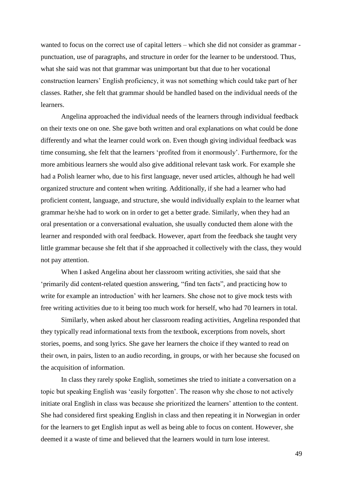wanted to focus on the correct use of capital letters – which she did not consider as grammar punctuation, use of paragraphs, and structure in order for the learner to be understood. Thus, what she said was not that grammar was unimportant but that due to her vocational construction learners' English proficiency, it was not something which could take part of her classes. Rather, she felt that grammar should be handled based on the individual needs of the learners.

Angelina approached the individual needs of the learners through individual feedback on their texts one on one. She gave both written and oral explanations on what could be done differently and what the learner could work on. Even though giving individual feedback was time consuming, she felt that the learners 'profited from it enormously'. Furthermore, for the more ambitious learners she would also give additional relevant task work. For example she had a Polish learner who, due to his first language, never used articles, although he had well organized structure and content when writing. Additionally, if she had a learner who had proficient content, language, and structure, she would individually explain to the learner what grammar he/she had to work on in order to get a better grade. Similarly, when they had an oral presentation or a conversational evaluation, she usually conducted them alone with the learner and responded with oral feedback. However, apart from the feedback she taught very little grammar because she felt that if she approached it collectively with the class, they would not pay attention.

When I asked Angelina about her classroom writing activities, she said that she 'primarily did content-related question answering, "find ten facts", and practicing how to write for example an introduction' with her learners. She chose not to give mock tests with free writing activities due to it being too much work for herself, who had 70 learners in total.

Similarly, when asked about her classroom reading activities, Angelina responded that they typically read informational texts from the textbook, excerptions from novels, short stories, poems, and song lyrics. She gave her learners the choice if they wanted to read on their own, in pairs, listen to an audio recording, in groups, or with her because she focused on the acquisition of information.

In class they rarely spoke English, sometimes she tried to initiate a conversation on a topic but speaking English was 'easily forgotten'. The reason why she chose to not actively initiate oral English in class was because she prioritized the learners' attention to the content. She had considered first speaking English in class and then repeating it in Norwegian in order for the learners to get English input as well as being able to focus on content. However, she deemed it a waste of time and believed that the learners would in turn lose interest.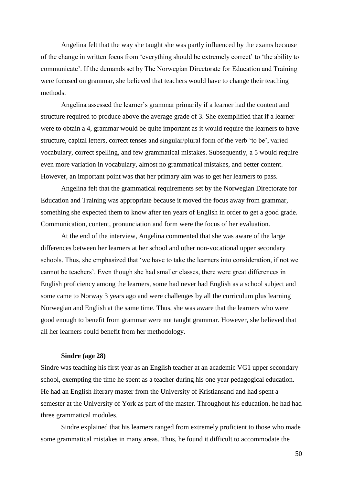Angelina felt that the way she taught she was partly influenced by the exams because of the change in written focus from 'everything should be extremely correct' to 'the ability to communicate'. If the demands set by The Norwegian Directorate for Education and Training were focused on grammar, she believed that teachers would have to change their teaching methods.

Angelina assessed the learner's grammar primarily if a learner had the content and structure required to produce above the average grade of 3. She exemplified that if a learner were to obtain a 4, grammar would be quite important as it would require the learners to have structure, capital letters, correct tenses and singular/plural form of the verb 'to be', varied vocabulary, correct spelling, and few grammatical mistakes. Subsequently, a 5 would require even more variation in vocabulary, almost no grammatical mistakes, and better content. However, an important point was that her primary aim was to get her learners to pass.

Angelina felt that the grammatical requirements set by the Norwegian Directorate for Education and Training was appropriate because it moved the focus away from grammar, something she expected them to know after ten years of English in order to get a good grade. Communication, content, pronunciation and form were the focus of her evaluation.

At the end of the interview, Angelina commented that she was aware of the large differences between her learners at her school and other non-vocational upper secondary schools. Thus, she emphasized that 'we have to take the learners into consideration, if not we cannot be teachers'. Even though she had smaller classes, there were great differences in English proficiency among the learners, some had never had English as a school subject and some came to Norway 3 years ago and were challenges by all the curriculum plus learning Norwegian and English at the same time. Thus, she was aware that the learners who were good enough to benefit from grammar were not taught grammar. However, she believed that all her learners could benefit from her methodology.

#### **Sindre (age 28)**

Sindre was teaching his first year as an English teacher at an academic VG1 upper secondary school, exempting the time he spent as a teacher during his one year pedagogical education. He had an English literary master from the University of Kristiansand and had spent a semester at the University of York as part of the master. Throughout his education, he had had three grammatical modules.

Sindre explained that his learners ranged from extremely proficient to those who made some grammatical mistakes in many areas. Thus, he found it difficult to accommodate the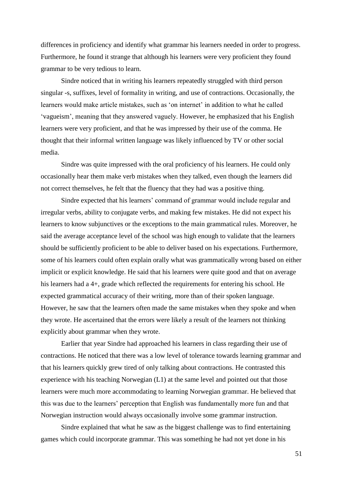differences in proficiency and identify what grammar his learners needed in order to progress. Furthermore, he found it strange that although his learners were very proficient they found grammar to be very tedious to learn.

Sindre noticed that in writing his learners repeatedly struggled with third person singular -s, suffixes, level of formality in writing, and use of contractions. Occasionally, the learners would make article mistakes, such as 'on internet' in addition to what he called 'vagueism', meaning that they answered vaguely. However, he emphasized that his English learners were very proficient, and that he was impressed by their use of the comma. He thought that their informal written language was likely influenced by TV or other social media.

Sindre was quite impressed with the oral proficiency of his learners. He could only occasionally hear them make verb mistakes when they talked, even though the learners did not correct themselves, he felt that the fluency that they had was a positive thing.

Sindre expected that his learners' command of grammar would include regular and irregular verbs, ability to conjugate verbs, and making few mistakes. He did not expect his learners to know subjunctives or the exceptions to the main grammatical rules. Moreover, he said the average acceptance level of the school was high enough to validate that the learners should be sufficiently proficient to be able to deliver based on his expectations. Furthermore, some of his learners could often explain orally what was grammatically wrong based on either implicit or explicit knowledge. He said that his learners were quite good and that on average his learners had a 4+, grade which reflected the requirements for entering his school. He expected grammatical accuracy of their writing, more than of their spoken language. However, he saw that the learners often made the same mistakes when they spoke and when they wrote. He ascertained that the errors were likely a result of the learners not thinking explicitly about grammar when they wrote.

Earlier that year Sindre had approached his learners in class regarding their use of contractions. He noticed that there was a low level of tolerance towards learning grammar and that his learners quickly grew tired of only talking about contractions. He contrasted this experience with his teaching Norwegian (L1) at the same level and pointed out that those learners were much more accommodating to learning Norwegian grammar. He believed that this was due to the learners' perception that English was fundamentally more fun and that Norwegian instruction would always occasionally involve some grammar instruction.

Sindre explained that what he saw as the biggest challenge was to find entertaining games which could incorporate grammar. This was something he had not yet done in his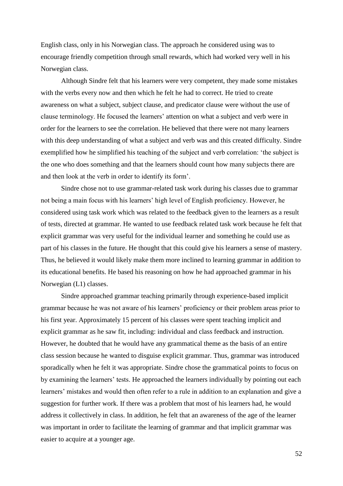English class, only in his Norwegian class. The approach he considered using was to encourage friendly competition through small rewards, which had worked very well in his Norwegian class.

Although Sindre felt that his learners were very competent, they made some mistakes with the verbs every now and then which he felt he had to correct. He tried to create awareness on what a subject, subject clause, and predicator clause were without the use of clause terminology. He focused the learners' attention on what a subject and verb were in order for the learners to see the correlation. He believed that there were not many learners with this deep understanding of what a subject and verb was and this created difficulty. Sindre exemplified how he simplified his teaching of the subject and verb correlation: 'the subject is the one who does something and that the learners should count how many subjects there are and then look at the verb in order to identify its form'.

Sindre chose not to use grammar-related task work during his classes due to grammar not being a main focus with his learners' high level of English proficiency. However, he considered using task work which was related to the feedback given to the learners as a result of tests, directed at grammar. He wanted to use feedback related task work because he felt that explicit grammar was very useful for the individual learner and something he could use as part of his classes in the future. He thought that this could give his learners a sense of mastery. Thus, he believed it would likely make them more inclined to learning grammar in addition to its educational benefits. He based his reasoning on how he had approached grammar in his Norwegian (L1) classes.

Sindre approached grammar teaching primarily through experience-based implicit grammar because he was not aware of his learners' proficiency or their problem areas prior to his first year. Approximately 15 percent of his classes were spent teaching implicit and explicit grammar as he saw fit, including: individual and class feedback and instruction. However, he doubted that he would have any grammatical theme as the basis of an entire class session because he wanted to disguise explicit grammar. Thus, grammar was introduced sporadically when he felt it was appropriate. Sindre chose the grammatical points to focus on by examining the learners' tests. He approached the learners individually by pointing out each learners' mistakes and would then often refer to a rule in addition to an explanation and give a suggestion for further work. If there was a problem that most of his learners had, he would address it collectively in class. In addition, he felt that an awareness of the age of the learner was important in order to facilitate the learning of grammar and that implicit grammar was easier to acquire at a younger age.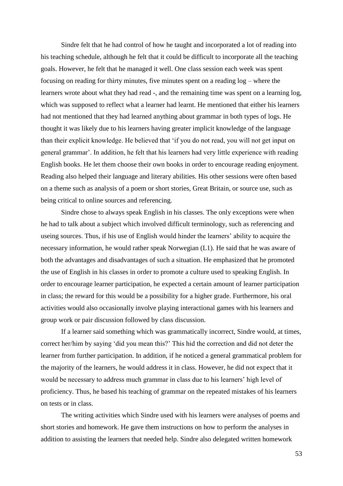Sindre felt that he had control of how he taught and incorporated a lot of reading into his teaching schedule, although he felt that it could be difficult to incorporate all the teaching goals. However, he felt that he managed it well. One class session each week was spent focusing on reading for thirty minutes, five minutes spent on a reading log – where the learners wrote about what they had read -, and the remaining time was spent on a learning log, which was supposed to reflect what a learner had learnt. He mentioned that either his learners had not mentioned that they had learned anything about grammar in both types of logs. He thought it was likely due to his learners having greater implicit knowledge of the language than their explicit knowledge. He believed that 'if you do not read, you will not get input on general grammar'. In addition, he felt that his learners had very little experience with reading English books. He let them choose their own books in order to encourage reading enjoyment. Reading also helped their language and literary abilities. His other sessions were often based on a theme such as analysis of a poem or short stories, Great Britain, or source use, such as being critical to online sources and referencing.

Sindre chose to always speak English in his classes. The only exceptions were when he had to talk about a subject which involved difficult terminology, such as referencing and useing sources. Thus, if his use of English would hinder the learners' ability to acquire the necessary information, he would rather speak Norwegian (L1). He said that he was aware of both the advantages and disadvantages of such a situation. He emphasized that he promoted the use of English in his classes in order to promote a culture used to speaking English. In order to encourage learner participation, he expected a certain amount of learner participation in class; the reward for this would be a possibility for a higher grade. Furthermore, his oral activities would also occasionally involve playing interactional games with his learners and group work or pair discussion followed by class discussion.

If a learner said something which was grammatically incorrect, Sindre would, at times, correct her/him by saying 'did you mean this?' This hid the correction and did not deter the learner from further participation. In addition, if he noticed a general grammatical problem for the majority of the learners, he would address it in class. However, he did not expect that it would be necessary to address much grammar in class due to his learners' high level of proficiency. Thus, he based his teaching of grammar on the repeated mistakes of his learners on tests or in class.

The writing activities which Sindre used with his learners were analyses of poems and short stories and homework. He gave them instructions on how to perform the analyses in addition to assisting the learners that needed help. Sindre also delegated written homework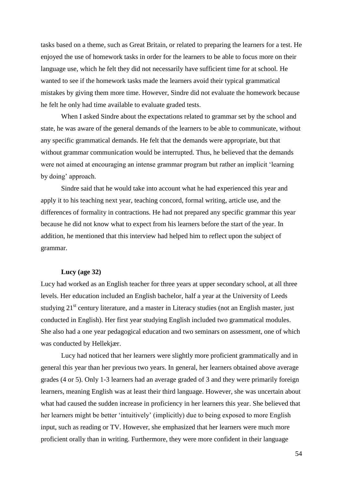tasks based on a theme, such as Great Britain, or related to preparing the learners for a test. He enjoyed the use of homework tasks in order for the learners to be able to focus more on their language use, which he felt they did not necessarily have sufficient time for at school. He wanted to see if the homework tasks made the learners avoid their typical grammatical mistakes by giving them more time. However, Sindre did not evaluate the homework because he felt he only had time available to evaluate graded tests.

When I asked Sindre about the expectations related to grammar set by the school and state, he was aware of the general demands of the learners to be able to communicate, without any specific grammatical demands. He felt that the demands were appropriate, but that without grammar communication would be interrupted. Thus, he believed that the demands were not aimed at encouraging an intense grammar program but rather an implicit 'learning by doing' approach.

Sindre said that he would take into account what he had experienced this year and apply it to his teaching next year, teaching concord, formal writing, article use, and the differences of formality in contractions. He had not prepared any specific grammar this year because he did not know what to expect from his learners before the start of the year. In addition, he mentioned that this interview had helped him to reflect upon the subject of grammar.

## **Lucy (age 32)**

Lucy had worked as an English teacher for three years at upper secondary school, at all three levels. Her education included an English bachelor, half a year at the University of Leeds studying 21<sup>st</sup> century literature, and a master in Literacy studies (not an English master, just conducted in English). Her first year studying English included two grammatical modules. She also had a one year pedagogical education and two seminars on assessment, one of which was conducted by Hellekjær.

Lucy had noticed that her learners were slightly more proficient grammatically and in general this year than her previous two years. In general, her learners obtained above average grades (4 or 5). Only 1-3 learners had an average graded of 3 and they were primarily foreign learners, meaning English was at least their third language. However, she was uncertain about what had caused the sudden increase in proficiency in her learners this year. She believed that her learners might be better 'intuitively' (implicitly) due to being exposed to more English input, such as reading or TV. However, she emphasized that her learners were much more proficient orally than in writing. Furthermore, they were more confident in their language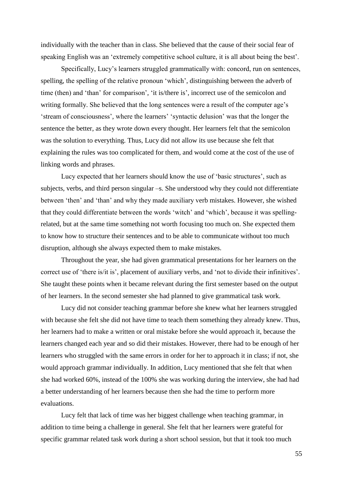individually with the teacher than in class. She believed that the cause of their social fear of speaking English was an 'extremely competitive school culture, it is all about being the best'.

Specifically, Lucy's learners struggled grammatically with: concord, run on sentences, spelling, the spelling of the relative pronoun 'which', distinguishing between the adverb of time (then) and 'than' for comparison', 'it is/there is', incorrect use of the semicolon and writing formally. She believed that the long sentences were a result of the computer age's 'stream of consciousness', where the learners' 'syntactic delusion' was that the longer the sentence the better, as they wrote down every thought. Her learners felt that the semicolon was the solution to everything. Thus, Lucy did not allow its use because she felt that explaining the rules was too complicated for them, and would come at the cost of the use of linking words and phrases.

Lucy expected that her learners should know the use of 'basic structures', such as subjects, verbs, and third person singular –s. She understood why they could not differentiate between 'then' and 'than' and why they made auxiliary verb mistakes. However, she wished that they could differentiate between the words 'witch' and 'which', because it was spellingrelated, but at the same time something not worth focusing too much on. She expected them to know how to structure their sentences and to be able to communicate without too much disruption, although she always expected them to make mistakes.

Throughout the year, she had given grammatical presentations for her learners on the correct use of 'there is/it is', placement of auxiliary verbs, and 'not to divide their infinitives'. She taught these points when it became relevant during the first semester based on the output of her learners. In the second semester she had planned to give grammatical task work.

Lucy did not consider teaching grammar before she knew what her learners struggled with because she felt she did not have time to teach them something they already knew. Thus, her learners had to make a written or oral mistake before she would approach it, because the learners changed each year and so did their mistakes. However, there had to be enough of her learners who struggled with the same errors in order for her to approach it in class; if not, she would approach grammar individually. In addition, Lucy mentioned that she felt that when she had worked 60%, instead of the 100% she was working during the interview, she had had a better understanding of her learners because then she had the time to perform more evaluations.

Lucy felt that lack of time was her biggest challenge when teaching grammar, in addition to time being a challenge in general. She felt that her learners were grateful for specific grammar related task work during a short school session, but that it took too much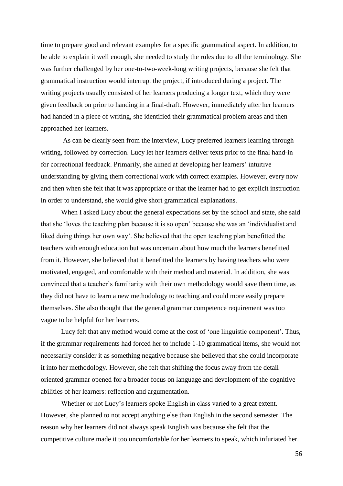time to prepare good and relevant examples for a specific grammatical aspect. In addition, to be able to explain it well enough, she needed to study the rules due to all the terminology. She was further challenged by her one-to-two-week-long writing projects, because she felt that grammatical instruction would interrupt the project, if introduced during a project. The writing projects usually consisted of her learners producing a longer text, which they were given feedback on prior to handing in a final-draft. However, immediately after her learners had handed in a piece of writing, she identified their grammatical problem areas and then approached her learners.

As can be clearly seen from the interview, Lucy preferred learners learning through writing, followed by correction. Lucy let her learners deliver texts prior to the final hand-in for correctional feedback. Primarily, she aimed at developing her learners' intuitive understanding by giving them correctional work with correct examples. However, every now and then when she felt that it was appropriate or that the learner had to get explicit instruction in order to understand, she would give short grammatical explanations.

When I asked Lucy about the general expectations set by the school and state, she said that she 'loves the teaching plan because it is so open' because she was an 'individualist and liked doing things her own way'. She believed that the open teaching plan benefitted the teachers with enough education but was uncertain about how much the learners benefitted from it. However, she believed that it benefitted the learners by having teachers who were motivated, engaged, and comfortable with their method and material. In addition, she was convinced that a teacher's familiarity with their own methodology would save them time, as they did not have to learn a new methodology to teaching and could more easily prepare themselves. She also thought that the general grammar competence requirement was too vague to be helpful for her learners.

Lucy felt that any method would come at the cost of 'one linguistic component'. Thus, if the grammar requirements had forced her to include 1-10 grammatical items, she would not necessarily consider it as something negative because she believed that she could incorporate it into her methodology. However, she felt that shifting the focus away from the detail oriented grammar opened for a broader focus on language and development of the cognitive abilities of her learners: reflection and argumentation.

Whether or not Lucy's learners spoke English in class varied to a great extent. However, she planned to not accept anything else than English in the second semester. The reason why her learners did not always speak English was because she felt that the competitive culture made it too uncomfortable for her learners to speak, which infuriated her.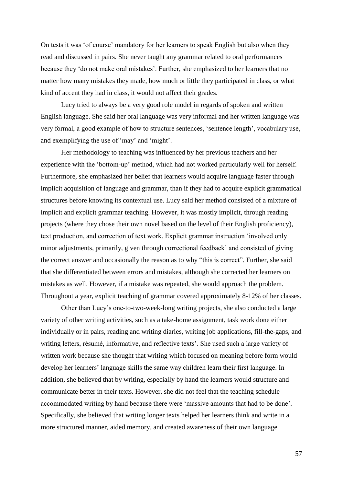On tests it was 'of course' mandatory for her learners to speak English but also when they read and discussed in pairs. She never taught any grammar related to oral performances because they 'do not make oral mistakes'. Further, she emphasized to her learners that no matter how many mistakes they made, how much or little they participated in class, or what kind of accent they had in class, it would not affect their grades.

Lucy tried to always be a very good role model in regards of spoken and written English language. She said her oral language was very informal and her written language was very formal, a good example of how to structure sentences, 'sentence length', vocabulary use, and exemplifying the use of 'may' and 'might'.

Her methodology to teaching was influenced by her previous teachers and her experience with the 'bottom-up' method, which had not worked particularly well for herself. Furthermore, she emphasized her belief that learners would acquire language faster through implicit acquisition of language and grammar, than if they had to acquire explicit grammatical structures before knowing its contextual use. Lucy said her method consisted of a mixture of implicit and explicit grammar teaching. However, it was mostly implicit, through reading projects (where they chose their own novel based on the level of their English proficiency), text production, and correction of text work. Explicit grammar instruction 'involved only minor adjustments, primarily, given through correctional feedback' and consisted of giving the correct answer and occasionally the reason as to why "this is correct". Further, she said that she differentiated between errors and mistakes, although she corrected her learners on mistakes as well. However, if a mistake was repeated, she would approach the problem. Throughout a year, explicit teaching of grammar covered approximately 8-12% of her classes.

Other than Lucy's one-to-two-week-long writing projects, she also conducted a large variety of other writing activities, such as a take-home assignment, task work done either individually or in pairs, reading and writing diaries, writing job applications, fill-the-gaps, and writing letters, résumé, informative, and reflective texts'. She used such a large variety of written work because she thought that writing which focused on meaning before form would develop her learners' language skills the same way children learn their first language. In addition, she believed that by writing, especially by hand the learners would structure and communicate better in their texts. However, she did not feel that the teaching schedule accommodated writing by hand because there were 'massive amounts that had to be done'. Specifically, she believed that writing longer texts helped her learners think and write in a more structured manner, aided memory, and created awareness of their own language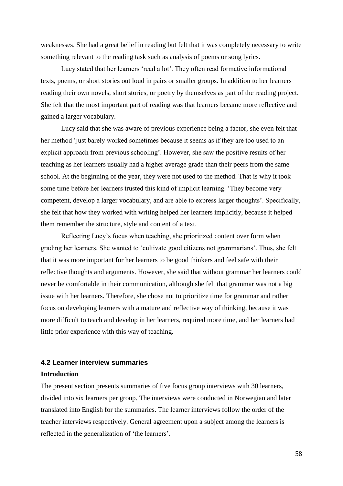weaknesses. She had a great belief in reading but felt that it was completely necessary to write something relevant to the reading task such as analysis of poems or song lyrics.

Lucy stated that her learners 'read a lot'. They often read formative informational texts, poems, or short stories out loud in pairs or smaller groups. In addition to her learners reading their own novels, short stories, or poetry by themselves as part of the reading project. She felt that the most important part of reading was that learners became more reflective and gained a larger vocabulary.

Lucy said that she was aware of previous experience being a factor, she even felt that her method 'just barely worked sometimes because it seems as if they are too used to an explicit approach from previous schooling'. However, she saw the positive results of her teaching as her learners usually had a higher average grade than their peers from the same school. At the beginning of the year, they were not used to the method. That is why it took some time before her learners trusted this kind of implicit learning. 'They become very competent, develop a larger vocabulary, and are able to express larger thoughts'. Specifically, she felt that how they worked with writing helped her learners implicitly, because it helped them remember the structure, style and content of a text.

Reflecting Lucy's focus when teaching, she prioritized content over form when grading her learners. She wanted to 'cultivate good citizens not grammarians'. Thus, she felt that it was more important for her learners to be good thinkers and feel safe with their reflective thoughts and arguments. However, she said that without grammar her learners could never be comfortable in their communication, although she felt that grammar was not a big issue with her learners. Therefore, she chose not to prioritize time for grammar and rather focus on developing learners with a mature and reflective way of thinking, because it was more difficult to teach and develop in her learners, required more time, and her learners had little prior experience with this way of teaching.

# **4.2 Learner interview summaries**

#### **Introduction**

The present section presents summaries of five focus group interviews with 30 learners, divided into six learners per group. The interviews were conducted in Norwegian and later translated into English for the summaries. The learner interviews follow the order of the teacher interviews respectively. General agreement upon a subject among the learners is reflected in the generalization of 'the learners'.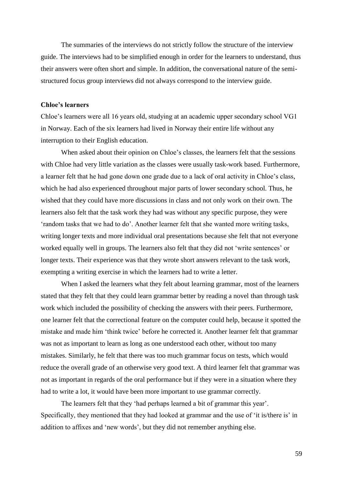The summaries of the interviews do not strictly follow the structure of the interview guide. The interviews had to be simplified enough in order for the learners to understand, thus their answers were often short and simple. In addition, the conversational nature of the semistructured focus group interviews did not always correspond to the interview guide.

# **Chloe's learners**

Chloe's learners were all 16 years old, studying at an academic upper secondary school VG1 in Norway. Each of the six learners had lived in Norway their entire life without any interruption to their English education.

When asked about their opinion on Chloe's classes, the learners felt that the sessions with Chloe had very little variation as the classes were usually task-work based. Furthermore, a learner felt that he had gone down one grade due to a lack of oral activity in Chloe's class, which he had also experienced throughout major parts of lower secondary school. Thus, he wished that they could have more discussions in class and not only work on their own. The learners also felt that the task work they had was without any specific purpose, they were 'random tasks that we had to do'. Another learner felt that she wanted more writing tasks, writing longer texts and more individual oral presentations because she felt that not everyone worked equally well in groups. The learners also felt that they did not 'write sentences' or longer texts. Their experience was that they wrote short answers relevant to the task work, exempting a writing exercise in which the learners had to write a letter.

When I asked the learners what they felt about learning grammar, most of the learners stated that they felt that they could learn grammar better by reading a novel than through task work which included the possibility of checking the answers with their peers. Furthermore, one learner felt that the correctional feature on the computer could help, because it spotted the mistake and made him 'think twice' before he corrected it. Another learner felt that grammar was not as important to learn as long as one understood each other, without too many mistakes. Similarly, he felt that there was too much grammar focus on tests, which would reduce the overall grade of an otherwise very good text. A third learner felt that grammar was not as important in regards of the oral performance but if they were in a situation where they had to write a lot, it would have been more important to use grammar correctly.

The learners felt that they 'had perhaps learned a bit of grammar this year'. Specifically, they mentioned that they had looked at grammar and the use of 'it is/there is' in addition to affixes and 'new words', but they did not remember anything else.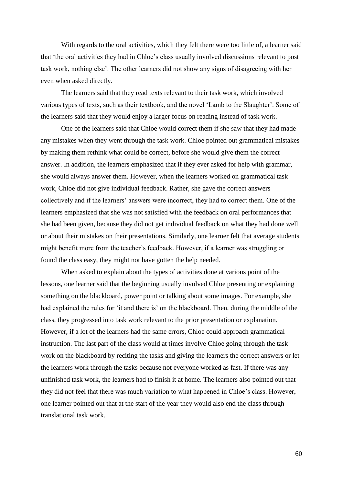With regards to the oral activities, which they felt there were too little of, a learner said that 'the oral activities they had in Chloe's class usually involved discussions relevant to post task work, nothing else'. The other learners did not show any signs of disagreeing with her even when asked directly.

The learners said that they read texts relevant to their task work, which involved various types of texts, such as their textbook, and the novel 'Lamb to the Slaughter'. Some of the learners said that they would enjoy a larger focus on reading instead of task work.

One of the learners said that Chloe would correct them if she saw that they had made any mistakes when they went through the task work. Chloe pointed out grammatical mistakes by making them rethink what could be correct, before she would give them the correct answer. In addition, the learners emphasized that if they ever asked for help with grammar, she would always answer them. However, when the learners worked on grammatical task work, Chloe did not give individual feedback. Rather, she gave the correct answers collectively and if the learners' answers were incorrect, they had to correct them. One of the learners emphasized that she was not satisfied with the feedback on oral performances that she had been given, because they did not get individual feedback on what they had done well or about their mistakes on their presentations. Similarly, one learner felt that average students might benefit more from the teacher's feedback. However, if a learner was struggling or found the class easy, they might not have gotten the help needed.

When asked to explain about the types of activities done at various point of the lessons, one learner said that the beginning usually involved Chloe presenting or explaining something on the blackboard, power point or talking about some images. For example, she had explained the rules for 'it and there is' on the blackboard. Then, during the middle of the class, they progressed into task work relevant to the prior presentation or explanation. However, if a lot of the learners had the same errors, Chloe could approach grammatical instruction. The last part of the class would at times involve Chloe going through the task work on the blackboard by reciting the tasks and giving the learners the correct answers or let the learners work through the tasks because not everyone worked as fast. If there was any unfinished task work, the learners had to finish it at home. The learners also pointed out that they did not feel that there was much variation to what happened in Chloe's class. However, one learner pointed out that at the start of the year they would also end the class through translational task work.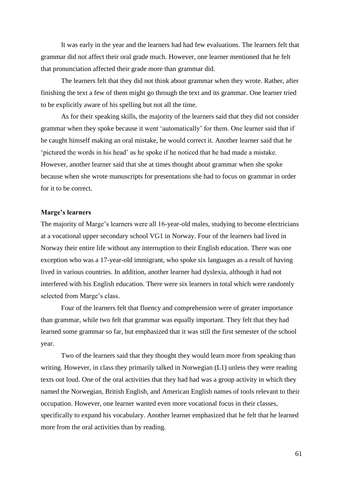It was early in the year and the learners had had few evaluations. The learners felt that grammar did not affect their oral grade much. However, one learner mentioned that he felt that pronunciation affected their grade more than grammar did.

The learners felt that they did not think about grammar when they wrote. Rather, after finishing the text a few of them might go through the text and its grammar. One learner tried to be explicitly aware of his spelling but not all the time.

As for their speaking skills, the majority of the learners said that they did not consider grammar when they spoke because it went 'automatically' for them. One learner said that if he caught himself making an oral mistake, he would correct it. Another learner said that he 'pictured the words in his head' as he spoke if he noticed that he had made a mistake. However, another learner said that she at times thought about grammar when she spoke because when she wrote manuscripts for presentations she had to focus on grammar in order for it to be correct.

#### **Marge's learners**

The majority of Marge's learners were all 16-year-old males, studying to become electricians at a vocational upper secondary school VG1 in Norway. Four of the learners had lived in Norway their entire life without any interruption to their English education. There was one exception who was a 17-year-old immigrant, who spoke six languages as a result of having lived in various countries. In addition, another learner had dyslexia, although it had not interfered with his English education. There were six learners in total which were randomly selected from Marge's class.

Four of the learners felt that fluency and comprehension were of greater importance than grammar, while two felt that grammar was equally important. They felt that they had learned some grammar so far, but emphasized that it was still the first semester of the school year.

Two of the learners said that they thought they would learn more from speaking than writing. However, in class they primarily talked in Norwegian (L1) unless they were reading texts out loud. One of the oral activities that they had had was a group activity in which they named the Norwegian, British English, and American English names of tools relevant to their occupation. However, one learner wanted even more vocational focus in their classes, specifically to expand his vocabulary. Another learner emphasized that he felt that he learned more from the oral activities than by reading.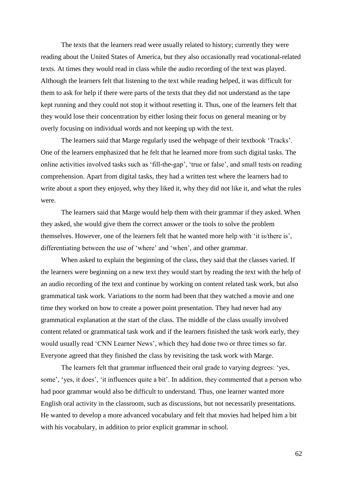The texts that the learners read were usually related to history; currently they were reading about the United States of America, but they also occasionally read vocational-related texts. At times they would read in class while the audio recording of the text was played. Although the learners felt that listening to the text while reading helped, it was difficult for them to ask for help if there were parts of the texts that they did not understand as the tape kept running and they could not stop it without resetting it. Thus, one of the learners felt that they would lose their concentration by either losing their focus on general meaning or by overly focusing on individual words and not keeping up with the text.

The learners said that Marge regularly used the webpage of their textbook 'Tracks'. One of the learners emphasized that he felt that he learned more from such digital tasks. The online activities involved tasks such as 'fill-the-gap', 'true or false', and small tests on reading comprehension. Apart from digital tasks, they had a written test where the learners had to write about a sport they enjoyed, why they liked it, why they did not like it, and what the rules were.

The learners said that Marge would help them with their grammar if they asked. When they asked, she would give them the correct answer or the tools to solve the problem themselves. However, one of the learners felt that he wanted more help with 'it is/there is', differentiating between the use of 'where' and 'when', and other grammar.

When asked to explain the beginning of the class, they said that the classes varied. If the learners were beginning on a new text they would start by reading the text with the help of an audio recording of the text and continue by working on content related task work, but also grammatical task work. Variations to the norm had been that they watched a movie and one time they worked on how to create a power point presentation. They had never had any grammatical explanation at the start of the class. The middle of the class usually involved content related or grammatical task work and if the learners finished the task work early, they would usually read 'CNN Learner News', which they had done two or three times so far. Everyone agreed that they finished the class by revisiting the task work with Marge.

The learners felt that grammar influenced their oral grade to varying degrees: 'yes, some', 'yes, it does', 'it influences quite a bit'. In addition, they commented that a person who had poor grammar would also be difficult to understand. Thus, one learner wanted more English oral activity in the classroom, such as discussions, but not necessarily presentations. He wanted to develop a more advanced vocabulary and felt that movies had helped him a bit with his vocabulary, in addition to prior explicit grammar in school.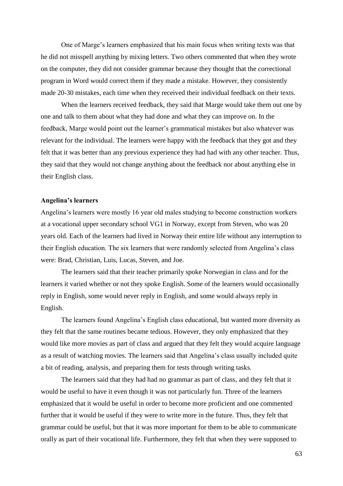One of Marge's learners emphasized that his main focus when writing texts was that he did not misspell anything by mixing letters. Two others commented that when they wrote on the computer, they did not consider grammar because they thought that the correctional program in Word would correct them if they made a mistake. However, they consistently made 20-30 mistakes, each time when they received their individual feedback on their texts.

When the learners received feedback, they said that Marge would take them out one by one and talk to them about what they had done and what they can improve on. In the feedback, Marge would point out the learner's grammatical mistakes but also whatever was relevant for the individual. The learners were happy with the feedback that they got and they felt that it was better than any previous experience they had had with any other teacher. Thus, they said that they would not change anything about the feedback nor about anything else in their English class.

## **Angelina's learners**

Angelina's learners were mostly 16 year old males studying to become construction workers at a vocational upper secondary school VG1 in Norway, except from Steven, who was 20 years old. Each of the learners had lived in Norway their entire life without any interruption to their English education. The six learners that were randomly selected from Angelina's class were: Brad, Christian, Luis, Lucas, Steven, and Joe.

The learners said that their teacher primarily spoke Norwegian in class and for the learners it varied whether or not they spoke English. Some of the learners would occasionally reply in English, some would never reply in English, and some would always reply in English.

The learners found Angelina's English class educational, but wanted more diversity as they felt that the same routines became tedious. However, they only emphasized that they would like more movies as part of class and argued that they felt they would acquire language as a result of watching movies. The learners said that Angelina's class usually included quite a bit of reading, analysis, and preparing them for tests through writing tasks.

The learners said that they had had no grammar as part of class, and they felt that it would be useful to have it even though it was not particularly fun. Three of the learners emphasized that it would be useful in order to become more proficient and one commented further that it would be useful if they were to write more in the future. Thus, they felt that grammar could be useful, but that it was more important for them to be able to communicate orally as part of their vocational life. Furthermore, they felt that when they were supposed to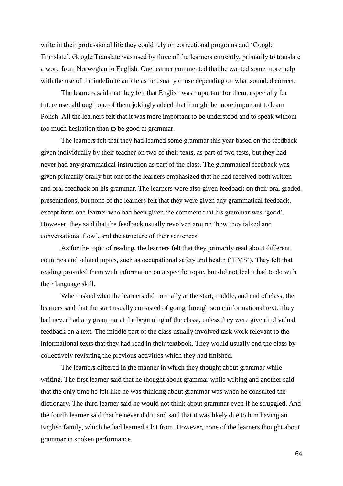write in their professional life they could rely on correctional programs and 'Google Translate'. Google Translate was used by three of the learners currently, primarily to translate a word from Norwegian to English. One learner commented that he wanted some more help with the use of the indefinite article as he usually chose depending on what sounded correct.

The learners said that they felt that English was important for them, especially for future use, although one of them jokingly added that it might be more important to learn Polish. All the learners felt that it was more important to be understood and to speak without too much hesitation than to be good at grammar.

The learners felt that they had learned some grammar this year based on the feedback given individually by their teacher on two of their texts, as part of two tests, but they had never had any grammatical instruction as part of the class. The grammatical feedback was given primarily orally but one of the learners emphasized that he had received both written and oral feedback on his grammar. The learners were also given feedback on their oral graded presentations, but none of the learners felt that they were given any grammatical feedback, except from one learner who had been given the comment that his grammar was 'good'. However, they said that the feedback usually revolved around 'how they talked and conversational flow', and the structure of their sentences.

As for the topic of reading, the learners felt that they primarily read about different countries and -elated topics, such as occupational safety and health ('HMS'). They felt that reading provided them with information on a specific topic, but did not feel it had to do with their language skill.

When asked what the learners did normally at the start, middle, and end of class, the learners said that the start usually consisted of going through some informational text. They had never had any grammar at the beginning of the classt, unless they were given individual feedback on a text. The middle part of the class usually involved task work relevant to the informational texts that they had read in their textbook. They would usually end the class by collectively revisiting the previous activities which they had finished.

The learners differed in the manner in which they thought about grammar while writing. The first learner said that he thought about grammar while writing and another said that the only time he felt like he was thinking about grammar was when he consulted the dictionary. The third learner said he would not think about grammar even if he struggled. And the fourth learner said that he never did it and said that it was likely due to him having an English family, which he had learned a lot from. However, none of the learners thought about grammar in spoken performance.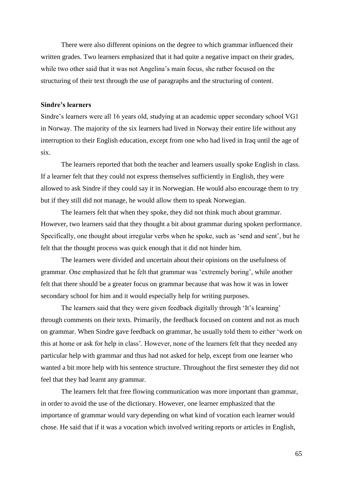There were also different opinions on the degree to which grammar influenced their written grades. Two learners emphasized that it had quite a negative impact on their grades, while two other said that it was not Angelina's main focus, she rather focused on the structuring of their text through the use of paragraphs and the structuring of content.

# **Sindre's learners**

Sindre's learners were all 16 years old, studying at an academic upper secondary school VG1 in Norway. The majority of the six learners had lived in Norway their entire life without any interruption to their English education, except from one who had lived in Iraq until the age of six.

The learners reported that both the teacher and learners usually spoke English in class. If a learner felt that they could not express themselves sufficiently in English, they were allowed to ask Sindre if they could say it in Norwegian. He would also encourage them to try but if they still did not manage, he would allow them to speak Norwegian.

The learners felt that when they spoke, they did not think much about grammar. However, two learners said that they thought a bit about grammar during spoken performance. Specifically, one thought about irregular verbs when he spoke, such as 'send and sent', but he felt that the thought process was quick enough that it did not hinder him.

The learners were divided and uncertain about their opinions on the usefulness of grammar. One emphasized that he felt that grammar was 'extremely boring', while another felt that there should be a greater focus on grammar because that was how it was in lower secondary school for him and it would especially help for writing purposes.

The learners said that they were given feedback digitally through 'It's learning' through comments on their texts. Primarily, the feedback focused on content and not as much on grammar. When Sindre gave feedback on grammar, he usually told them to either 'work on this at home or ask for help in class'. However, none of the learners felt that they needed any particular help with grammar and thus had not asked for help, except from one learner who wanted a bit more help with his sentence structure. Throughout the first semester they did not feel that they had learnt any grammar.

The learners felt that free flowing communication was more important than grammar, in order to avoid the use of the dictionary. However, one learner emphasized that the importance of grammar would vary depending on what kind of vocation each learner would chose. He said that if it was a vocation which involved writing reports or articles in English,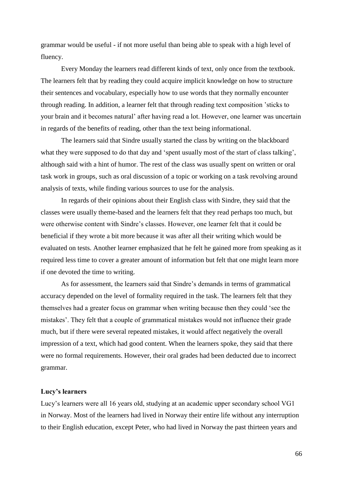grammar would be useful - if not more useful than being able to speak with a high level of fluency.

Every Monday the learners read different kinds of text, only once from the textbook. The learners felt that by reading they could acquire implicit knowledge on how to structure their sentences and vocabulary, especially how to use words that they normally encounter through reading. In addition, a learner felt that through reading text composition 'sticks to your brain and it becomes natural' after having read a lot. However, one learner was uncertain in regards of the benefits of reading, other than the text being informational.

The learners said that Sindre usually started the class by writing on the blackboard what they were supposed to do that day and 'spent usually most of the start of class talking', although said with a hint of humor. The rest of the class was usually spent on written or oral task work in groups, such as oral discussion of a topic or working on a task revolving around analysis of texts, while finding various sources to use for the analysis.

In regards of their opinions about their English class with Sindre, they said that the classes were usually theme-based and the learners felt that they read perhaps too much, but were otherwise content with Sindre's classes. However, one learner felt that it could be beneficial if they wrote a bit more because it was after all their writing which would be evaluated on tests. Another learner emphasized that he felt he gained more from speaking as it required less time to cover a greater amount of information but felt that one might learn more if one devoted the time to writing.

As for assessment, the learners said that Sindre's demands in terms of grammatical accuracy depended on the level of formality required in the task. The learners felt that they themselves had a greater focus on grammar when writing because then they could 'see the mistakes'. They felt that a couple of grammatical mistakes would not influence their grade much, but if there were several repeated mistakes, it would affect negatively the overall impression of a text, which had good content. When the learners spoke, they said that there were no formal requirements. However, their oral grades had been deducted due to incorrect grammar.

## **Lucy's learners**

Lucy's learners were all 16 years old, studying at an academic upper secondary school VG1 in Norway. Most of the learners had lived in Norway their entire life without any interruption to their English education, except Peter, who had lived in Norway the past thirteen years and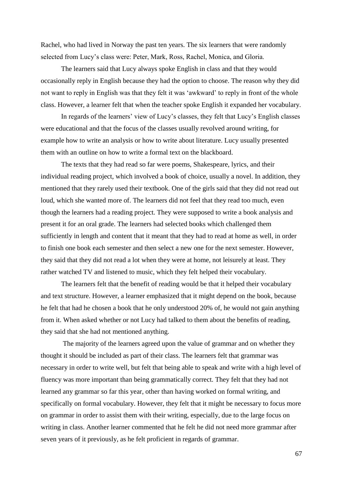Rachel, who had lived in Norway the past ten years. The six learners that were randomly selected from Lucy's class were: Peter, Mark, Ross, Rachel, Monica, and Gloria.

The learners said that Lucy always spoke English in class and that they would occasionally reply in English because they had the option to choose. The reason why they did not want to reply in English was that they felt it was 'awkward' to reply in front of the whole class. However, a learner felt that when the teacher spoke English it expanded her vocabulary.

In regards of the learners' view of Lucy's classes, they felt that Lucy's English classes were educational and that the focus of the classes usually revolved around writing, for example how to write an analysis or how to write about literature. Lucy usually presented them with an outline on how to write a formal text on the blackboard.

The texts that they had read so far were poems, Shakespeare, lyrics, and their individual reading project, which involved a book of choice, usually a novel. In addition, they mentioned that they rarely used their textbook. One of the girls said that they did not read out loud, which she wanted more of. The learners did not feel that they read too much, even though the learners had a reading project. They were supposed to write a book analysis and present it for an oral grade. The learners had selected books which challenged them sufficiently in length and content that it meant that they had to read at home as well, in order to finish one book each semester and then select a new one for the next semester. However, they said that they did not read a lot when they were at home, not leisurely at least. They rather watched TV and listened to music, which they felt helped their vocabulary.

The learners felt that the benefit of reading would be that it helped their vocabulary and text structure. However, a learner emphasized that it might depend on the book, because he felt that had he chosen a book that he only understood 20% of, he would not gain anything from it. When asked whether or not Lucy had talked to them about the benefits of reading, they said that she had not mentioned anything.

The majority of the learners agreed upon the value of grammar and on whether they thought it should be included as part of their class. The learners felt that grammar was necessary in order to write well, but felt that being able to speak and write with a high level of fluency was more important than being grammatically correct. They felt that they had not learned any grammar so far this year, other than having worked on formal writing, and specifically on formal vocabulary. However, they felt that it might be necessary to focus more on grammar in order to assist them with their writing, especially, due to the large focus on writing in class. Another learner commented that he felt he did not need more grammar after seven years of it previously, as he felt proficient in regards of grammar.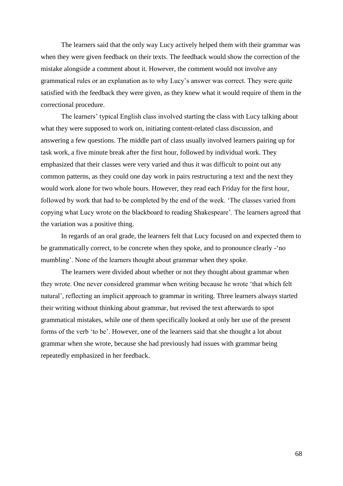The learners said that the only way Lucy actively helped them with their grammar was when they were given feedback on their texts. The feedback would show the correction of the mistake alongside a comment about it. However, the comment would not involve any grammatical rules or an explanation as to why Lucy's answer was correct. They were quite satisfied with the feedback they were given, as they knew what it would require of them in the correctional procedure.

The learners' typical English class involved starting the class with Lucy talking about what they were supposed to work on, initiating content-related class discussion, and answering a few questions. The middle part of class usually involved learners pairing up for task work, a five minute break after the first hour, followed by individual work. They emphasized that their classes were very varied and thus it was difficult to point out any common patterns, as they could one day work in pairs restructuring a text and the next they would work alone for two whole hours. However, they read each Friday for the first hour, followed by work that had to be completed by the end of the week. 'The classes varied from copying what Lucy wrote on the blackboard to reading Shakespeare'. The learners agreed that the variation was a positive thing.

In regards of an oral grade, the learners felt that Lucy focused on and expected them to be grammatically correct, to be concrete when they spoke, and to pronounce clearly -'no mumbling'. None of the learners thought about grammar when they spoke.

The learners were divided about whether or not they thought about grammar when they wrote. One never considered grammar when writing because he wrote 'that which felt natural', reflecting an implicit approach to grammar in writing. Three learners always started their writing without thinking about grammar, but revised the text afterwards to spot grammatical mistakes, while one of them specifically looked at only her use of the present forms of the verb 'to be'. However, one of the learners said that she thought a lot about grammar when she wrote, because she had previously had issues with grammar being repeatedly emphasized in her feedback.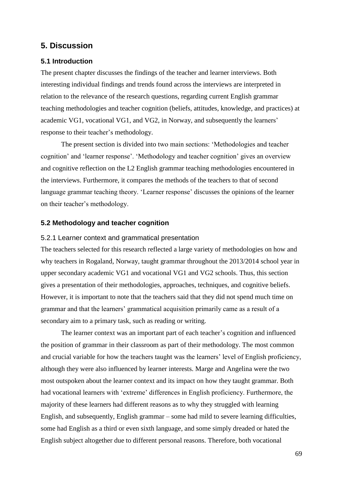# **5. Discussion**

## **5.1 Introduction**

The present chapter discusses the findings of the teacher and learner interviews. Both interesting individual findings and trends found across the interviews are interpreted in relation to the relevance of the research questions, regarding current English grammar teaching methodologies and teacher cognition (beliefs, attitudes, knowledge, and practices) at academic VG1, vocational VG1, and VG2, in Norway, and subsequently the learners' response to their teacher's methodology.

The present section is divided into two main sections: 'Methodologies and teacher cognition' and 'learner response'. 'Methodology and teacher cognition' gives an overview and cognitive reflection on the L2 English grammar teaching methodologies encountered in the interviews. Furthermore, it compares the methods of the teachers to that of second language grammar teaching theory. 'Learner response' discusses the opinions of the learner on their teacher's methodology.

## **5.2 Methodology and teacher cognition**

#### 5.2.1 Learner context and grammatical presentation

The teachers selected for this research reflected a large variety of methodologies on how and why teachers in Rogaland, Norway, taught grammar throughout the 2013/2014 school year in upper secondary academic VG1 and vocational VG1 and VG2 schools. Thus, this section gives a presentation of their methodologies, approaches, techniques, and cognitive beliefs. However, it is important to note that the teachers said that they did not spend much time on grammar and that the learners' grammatical acquisition primarily came as a result of a secondary aim to a primary task, such as reading or writing.

The learner context was an important part of each teacher's cognition and influenced the position of grammar in their classroom as part of their methodology. The most common and crucial variable for how the teachers taught was the learners' level of English proficiency, although they were also influenced by learner interests. Marge and Angelina were the two most outspoken about the learner context and its impact on how they taught grammar. Both had vocational learners with 'extreme' differences in English proficiency. Furthermore, the majority of these learners had different reasons as to why they struggled with learning English, and subsequently, English grammar – some had mild to severe learning difficulties, some had English as a third or even sixth language, and some simply dreaded or hated the English subject altogether due to different personal reasons. Therefore, both vocational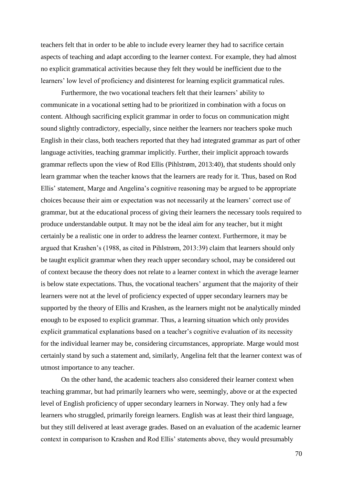teachers felt that in order to be able to include every learner they had to sacrifice certain aspects of teaching and adapt according to the learner context. For example, they had almost no explicit grammatical activities because they felt they would be inefficient due to the learners' low level of proficiency and disinterest for learning explicit grammatical rules.

Furthermore, the two vocational teachers felt that their learners' ability to communicate in a vocational setting had to be prioritized in combination with a focus on content. Although sacrificing explicit grammar in order to focus on communication might sound slightly contradictory, especially, since neither the learners nor teachers spoke much English in their class, both teachers reported that they had integrated grammar as part of other language activities, teaching grammar implicitly. Further, their implicit approach towards grammar reflects upon the view of Rod Ellis (Pihlstrøm, 2013:40), that students should only learn grammar when the teacher knows that the learners are ready for it. Thus, based on Rod Ellis' statement, Marge and Angelina's cognitive reasoning may be argued to be appropriate choices because their aim or expectation was not necessarily at the learners' correct use of grammar, but at the educational process of giving their learners the necessary tools required to produce understandable output. It may not be the ideal aim for any teacher, but it might certainly be a realistic one in order to address the learner context. Furthermore, it may be argued that Krashen's (1988, as cited in Pihlstrøm, 2013:39) claim that learners should only be taught explicit grammar when they reach upper secondary school, may be considered out of context because the theory does not relate to a learner context in which the average learner is below state expectations. Thus, the vocational teachers' argument that the majority of their learners were not at the level of proficiency expected of upper secondary learners may be supported by the theory of Ellis and Krashen, as the learners might not be analytically minded enough to be exposed to explicit grammar. Thus, a learning situation which only provides explicit grammatical explanations based on a teacher's cognitive evaluation of its necessity for the individual learner may be, considering circumstances, appropriate. Marge would most certainly stand by such a statement and, similarly, Angelina felt that the learner context was of utmost importance to any teacher.

On the other hand, the academic teachers also considered their learner context when teaching grammar, but had primarily learners who were, seemingly, above or at the expected level of English proficiency of upper secondary learners in Norway. They only had a few learners who struggled, primarily foreign learners. English was at least their third language, but they still delivered at least average grades. Based on an evaluation of the academic learner context in comparison to Krashen and Rod Ellis' statements above, they would presumably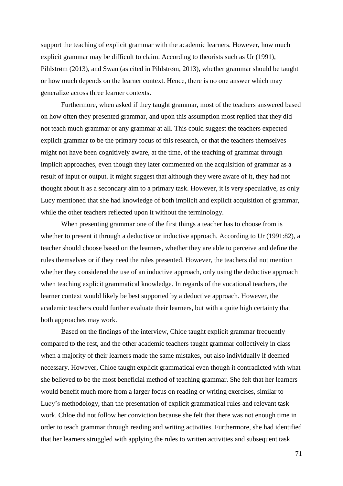support the teaching of explicit grammar with the academic learners. However, how much explicit grammar may be difficult to claim. According to theorists such as Ur (1991), Pihlstrøm (2013), and Swan (as cited in Pihlstrøm, 2013), whether grammar should be taught or how much depends on the learner context. Hence, there is no one answer which may generalize across three learner contexts.

Furthermore, when asked if they taught grammar, most of the teachers answered based on how often they presented grammar, and upon this assumption most replied that they did not teach much grammar or any grammar at all. This could suggest the teachers expected explicit grammar to be the primary focus of this research, or that the teachers themselves might not have been cognitively aware, at the time, of the teaching of grammar through implicit approaches, even though they later commented on the acquisition of grammar as a result of input or output. It might suggest that although they were aware of it, they had not thought about it as a secondary aim to a primary task. However, it is very speculative, as only Lucy mentioned that she had knowledge of both implicit and explicit acquisition of grammar, while the other teachers reflected upon it without the terminology.

When presenting grammar one of the first things a teacher has to choose from is whether to present it through a deductive or inductive approach. According to Ur (1991:82), a teacher should choose based on the learners, whether they are able to perceive and define the rules themselves or if they need the rules presented. However, the teachers did not mention whether they considered the use of an inductive approach, only using the deductive approach when teaching explicit grammatical knowledge. In regards of the vocational teachers, the learner context would likely be best supported by a deductive approach. However, the academic teachers could further evaluate their learners, but with a quite high certainty that both approaches may work.

Based on the findings of the interview, Chloe taught explicit grammar frequently compared to the rest, and the other academic teachers taught grammar collectively in class when a majority of their learners made the same mistakes, but also individually if deemed necessary. However, Chloe taught explicit grammatical even though it contradicted with what she believed to be the most beneficial method of teaching grammar. She felt that her learners would benefit much more from a larger focus on reading or writing exercises, similar to Lucy's methodology, than the presentation of explicit grammatical rules and relevant task work. Chloe did not follow her conviction because she felt that there was not enough time in order to teach grammar through reading and writing activities. Furthermore, she had identified that her learners struggled with applying the rules to written activities and subsequent task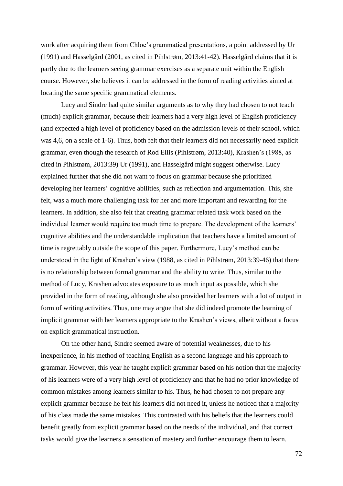work after acquiring them from Chloe's grammatical presentations, a point addressed by Ur (1991) and Hasselgård (2001, as cited in Pihlstrøm, 2013:41-42). Hasselgård claims that it is partly due to the learners seeing grammar exercises as a separate unit within the English course. However, she believes it can be addressed in the form of reading activities aimed at locating the same specific grammatical elements.

Lucy and Sindre had quite similar arguments as to why they had chosen to not teach (much) explicit grammar, because their learners had a very high level of English proficiency (and expected a high level of proficiency based on the admission levels of their school, which was 4,6, on a scale of 1-6). Thus, both felt that their learners did not necessarily need explicit grammar, even though the research of Rod Ellis (Pihlstrøm, 2013:40), Krashen's (1988, as cited in Pihlstrøm, 2013:39) Ur (1991), and Hasselgård might suggest otherwise. Lucy explained further that she did not want to focus on grammar because she prioritized developing her learners' cognitive abilities, such as reflection and argumentation. This, she felt, was a much more challenging task for her and more important and rewarding for the learners. In addition, she also felt that creating grammar related task work based on the individual learner would require too much time to prepare. The development of the learners' cognitive abilities and the understandable implication that teachers have a limited amount of time is regrettably outside the scope of this paper. Furthermore, Lucy's method can be understood in the light of Krashen's view (1988, as cited in Pihlstrøm, 2013:39-46) that there is no relationship between formal grammar and the ability to write. Thus, similar to the method of Lucy, Krashen advocates exposure to as much input as possible, which she provided in the form of reading, although she also provided her learners with a lot of output in form of writing activities. Thus, one may argue that she did indeed promote the learning of implicit grammar with her learners appropriate to the Krashen's views, albeit without a focus on explicit grammatical instruction.

On the other hand, Sindre seemed aware of potential weaknesses, due to his inexperience, in his method of teaching English as a second language and his approach to grammar. However, this year he taught explicit grammar based on his notion that the majority of his learners were of a very high level of proficiency and that he had no prior knowledge of common mistakes among learners similar to his. Thus, he had chosen to not prepare any explicit grammar because he felt his learners did not need it, unless he noticed that a majority of his class made the same mistakes. This contrasted with his beliefs that the learners could benefit greatly from explicit grammar based on the needs of the individual, and that correct tasks would give the learners a sensation of mastery and further encourage them to learn.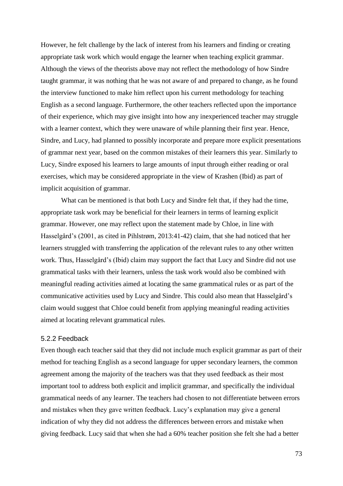However, he felt challenge by the lack of interest from his learners and finding or creating appropriate task work which would engage the learner when teaching explicit grammar. Although the views of the theorists above may not reflect the methodology of how Sindre taught grammar, it was nothing that he was not aware of and prepared to change, as he found the interview functioned to make him reflect upon his current methodology for teaching English as a second language. Furthermore, the other teachers reflected upon the importance of their experience, which may give insight into how any inexperienced teacher may struggle with a learner context, which they were unaware of while planning their first year. Hence, Sindre, and Lucy, had planned to possibly incorporate and prepare more explicit presentations of grammar next year, based on the common mistakes of their learners this year. Similarly to Lucy, Sindre exposed his learners to large amounts of input through either reading or oral exercises, which may be considered appropriate in the view of Krashen (Ibid) as part of implicit acquisition of grammar.

What can be mentioned is that both Lucy and Sindre felt that, if they had the time, appropriate task work may be beneficial for their learners in terms of learning explicit grammar. However, one may reflect upon the statement made by Chloe, in line with Hasselgård's (2001, as cited in Pihlstrøm, 2013:41-42) claim, that she had noticed that her learners struggled with transferring the application of the relevant rules to any other written work. Thus, Hasselgård's (Ibid) claim may support the fact that Lucy and Sindre did not use grammatical tasks with their learners, unless the task work would also be combined with meaningful reading activities aimed at locating the same grammatical rules or as part of the communicative activities used by Lucy and Sindre. This could also mean that Hasselgård's claim would suggest that Chloe could benefit from applying meaningful reading activities aimed at locating relevant grammatical rules.

### 5.2.2 Feedback

Even though each teacher said that they did not include much explicit grammar as part of their method for teaching English as a second language for upper secondary learners, the common agreement among the majority of the teachers was that they used feedback as their most important tool to address both explicit and implicit grammar, and specifically the individual grammatical needs of any learner. The teachers had chosen to not differentiate between errors and mistakes when they gave written feedback. Lucy's explanation may give a general indication of why they did not address the differences between errors and mistake when giving feedback. Lucy said that when she had a 60% teacher position she felt she had a better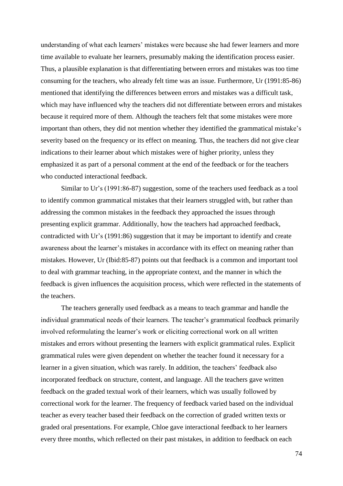understanding of what each learners' mistakes were because she had fewer learners and more time available to evaluate her learners, presumably making the identification process easier. Thus, a plausible explanation is that differentiating between errors and mistakes was too time consuming for the teachers, who already felt time was an issue. Furthermore, Ur (1991:85-86) mentioned that identifying the differences between errors and mistakes was a difficult task, which may have influenced why the teachers did not differentiate between errors and mistakes because it required more of them. Although the teachers felt that some mistakes were more important than others, they did not mention whether they identified the grammatical mistake's severity based on the frequency or its effect on meaning. Thus, the teachers did not give clear indications to their learner about which mistakes were of higher priority, unless they emphasized it as part of a personal comment at the end of the feedback or for the teachers who conducted interactional feedback.

Similar to Ur's (1991:86-87) suggestion, some of the teachers used feedback as a tool to identify common grammatical mistakes that their learners struggled with, but rather than addressing the common mistakes in the feedback they approached the issues through presenting explicit grammar. Additionally, how the teachers had approached feedback, contradicted with Ur's (1991:86) suggestion that it may be important to identify and create awareness about the learner's mistakes in accordance with its effect on meaning rather than mistakes. However, Ur (Ibid:85-87) points out that feedback is a common and important tool to deal with grammar teaching, in the appropriate context, and the manner in which the feedback is given influences the acquisition process, which were reflected in the statements of the teachers.

The teachers generally used feedback as a means to teach grammar and handle the individual grammatical needs of their learners. The teacher's grammatical feedback primarily involved reformulating the learner's work or eliciting correctional work on all written mistakes and errors without presenting the learners with explicit grammatical rules. Explicit grammatical rules were given dependent on whether the teacher found it necessary for a learner in a given situation, which was rarely. In addition, the teachers' feedback also incorporated feedback on structure, content, and language. All the teachers gave written feedback on the graded textual work of their learners, which was usually followed by correctional work for the learner. The frequency of feedback varied based on the individual teacher as every teacher based their feedback on the correction of graded written texts or graded oral presentations. For example, Chloe gave interactional feedback to her learners every three months, which reflected on their past mistakes, in addition to feedback on each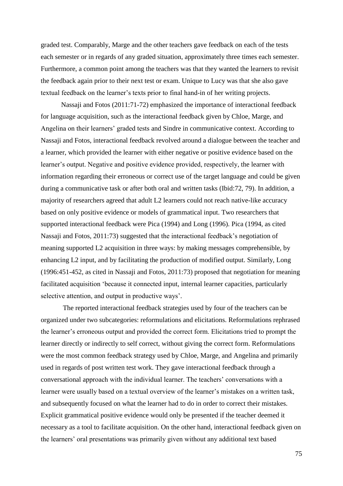graded test. Comparably, Marge and the other teachers gave feedback on each of the tests each semester or in regards of any graded situation, approximately three times each semester. Furthermore, a common point among the teachers was that they wanted the learners to revisit the feedback again prior to their next test or exam. Unique to Lucy was that she also gave textual feedback on the learner's texts prior to final hand-in of her writing projects.

Nassaji and Fotos (2011:71-72) emphasized the importance of interactional feedback for language acquisition, such as the interactional feedback given by Chloe, Marge, and Angelina on their learners' graded tests and Sindre in communicative context. According to Nassaji and Fotos, interactional feedback revolved around a dialogue between the teacher and a learner, which provided the learner with either negative or positive evidence based on the learner's output. Negative and positive evidence provided, respectively, the learner with information regarding their erroneous or correct use of the target language and could be given during a communicative task or after both oral and written tasks (Ibid:72, 79). In addition, a majority of researchers agreed that adult L2 learners could not reach native-like accuracy based on only positive evidence or models of grammatical input. Two researchers that supported interactional feedback were Pica (1994) and Long (1996). Pica (1994, as cited Nassaji and Fotos, 2011:73) suggested that the interactional feedback's negotiation of meaning supported L2 acquisition in three ways: by making messages comprehensible, by enhancing L2 input, and by facilitating the production of modified output. Similarly, Long (1996:451-452, as cited in Nassaji and Fotos, 2011:73) proposed that negotiation for meaning facilitated acquisition 'because it connected input, internal learner capacities, particularly selective attention, and output in productive ways'.

The reported interactional feedback strategies used by four of the teachers can be organized under two subcategories: reformulations and elicitations. Reformulations rephrased the learner's erroneous output and provided the correct form. Elicitations tried to prompt the learner directly or indirectly to self correct, without giving the correct form. Reformulations were the most common feedback strategy used by Chloe, Marge, and Angelina and primarily used in regards of post written test work. They gave interactional feedback through a conversational approach with the individual learner. The teachers' conversations with a learner were usually based on a textual overview of the learner's mistakes on a written task, and subsequently focused on what the learner had to do in order to correct their mistakes. Explicit grammatical positive evidence would only be presented if the teacher deemed it necessary as a tool to facilitate acquisition. On the other hand, interactional feedback given on the learners' oral presentations was primarily given without any additional text based

75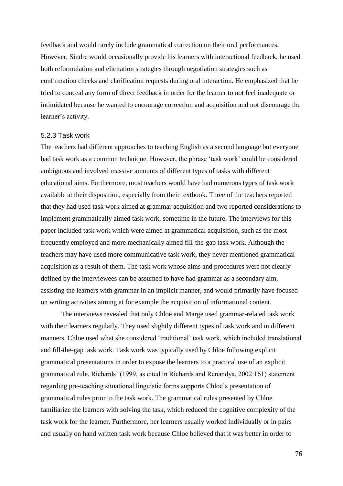feedback and would rarely include grammatical correction on their oral performances. However, Sindre would occasionally provide his learners with interactional feedback, he used both reformulation and elicitation strategies through negotiation strategies such as confirmation checks and clarification requests during oral interaction. He emphasized that he tried to conceal any form of direct feedback in order for the learner to not feel inadequate or intimidated because he wanted to encourage correction and acquisition and not discourage the learner's activity.

#### 5.2.3 Task work

The teachers had different approaches to teaching English as a second language but everyone had task work as a common technique. However, the phrase 'task work' could be considered ambiguous and involved massive amounts of different types of tasks with different educational aims. Furthermore, most teachers would have had numerous types of task work available at their disposition, especially from their textbook. Three of the teachers reported that they had used task work aimed at grammar acquisition and two reported considerations to implement grammatically aimed task work, sometime in the future. The interviews for this paper included task work which were aimed at grammatical acquisition, such as the most frequently employed and more mechanically aimed fill-the-gap task work. Although the teachers may have used more communicative task work, they never mentioned grammatical acquisition as a result of them. The task work whose aims and procedures were not clearly defined by the interviewees can be assumed to have had grammar as a secondary aim, assisting the learners with grammar in an implicit manner, and would primarily have focused on writing activities aiming at for example the acquisition of informational content.

The interviews revealed that only Chloe and Marge used grammar-related task work with their learners regularly. They used slightly different types of task work and in different manners. Chloe used what she considered 'traditional' task work, which included translational and fill-the-gap task work. Task work was typically used by Chloe following explicit grammatical presentations in order to expose the learners to a practical use of an explicit grammatical rule. Richards' (1999, as cited in Richards and Renandya, 2002:161) statement regarding pre-teaching situational linguistic forms supports Chloe's presentation of grammatical rules prior to the task work. The grammatical rules presented by Chloe familiarize the learners with solving the task, which reduced the cognitive complexity of the task work for the learner. Furthermore, her learners usually worked individually or in pairs and usually on hand written task work because Chloe believed that it was better in order to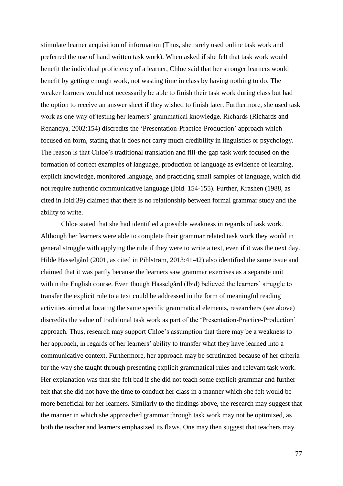stimulate learner acquisition of information (Thus, she rarely used online task work and preferred the use of hand written task work). When asked if she felt that task work would benefit the individual proficiency of a learner, Chloe said that her stronger learners would benefit by getting enough work, not wasting time in class by having nothing to do. The weaker learners would not necessarily be able to finish their task work during class but had the option to receive an answer sheet if they wished to finish later. Furthermore, she used task work as one way of testing her learners' grammatical knowledge. Richards (Richards and Renandya, 2002:154) discredits the 'Presentation-Practice-Production' approach which focused on form, stating that it does not carry much credibility in linguistics or psychology. The reason is that Chloe's traditional translation and fill-the-gap task work focused on the formation of correct examples of language, production of language as evidence of learning, explicit knowledge, monitored language, and practicing small samples of language, which did not require authentic communicative language (Ibid. 154-155). Further, Krashen (1988, as cited in Ibid:39) claimed that there is no relationship between formal grammar study and the ability to write.

Chloe stated that she had identified a possible weakness in regards of task work. Although her learners were able to complete their grammar related task work they would in general struggle with applying the rule if they were to write a text, even if it was the next day. Hilde Hasselgård (2001, as cited in Pihlstrøm, 2013:41-42) also identified the same issue and claimed that it was partly because the learners saw grammar exercises as a separate unit within the English course. Even though Hasselgård (Ibid) believed the learners' struggle to transfer the explicit rule to a text could be addressed in the form of meaningful reading activities aimed at locating the same specific grammatical elements, researchers (see above) discredits the value of traditional task work as part of the 'Presentation-Practice-Production' approach. Thus, research may support Chloe's assumption that there may be a weakness to her approach, in regards of her learners' ability to transfer what they have learned into a communicative context. Furthermore, her approach may be scrutinized because of her criteria for the way she taught through presenting explicit grammatical rules and relevant task work. Her explanation was that she felt bad if she did not teach some explicit grammar and further felt that she did not have the time to conduct her class in a manner which she felt would be more beneficial for her learners. Similarly to the findings above, the research may suggest that the manner in which she approached grammar through task work may not be optimized, as both the teacher and learners emphasized its flaws. One may then suggest that teachers may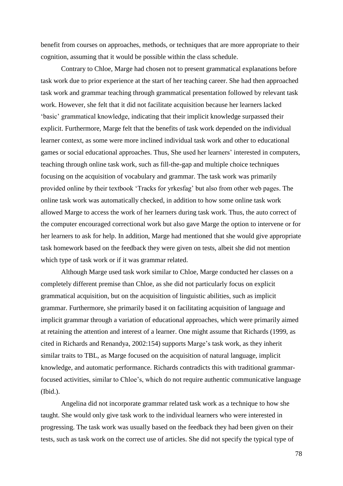benefit from courses on approaches, methods, or techniques that are more appropriate to their cognition, assuming that it would be possible within the class schedule.

Contrary to Chloe, Marge had chosen not to present grammatical explanations before task work due to prior experience at the start of her teaching career. She had then approached task work and grammar teaching through grammatical presentation followed by relevant task work. However, she felt that it did not facilitate acquisition because her learners lacked 'basic' grammatical knowledge, indicating that their implicit knowledge surpassed their explicit. Furthermore, Marge felt that the benefits of task work depended on the individual learner context, as some were more inclined individual task work and other to educational games or social educational approaches. Thus, She used her learners' interested in computers, teaching through online task work, such as fill-the-gap and multiple choice techniques focusing on the acquisition of vocabulary and grammar. The task work was primarily provided online by their textbook 'Tracks for yrkesfag' but also from other web pages. The online task work was automatically checked, in addition to how some online task work allowed Marge to access the work of her learners during task work. Thus, the auto correct of the computer encouraged correctional work but also gave Marge the option to intervene or for her learners to ask for help. In addition, Marge had mentioned that she would give appropriate task homework based on the feedback they were given on tests, albeit she did not mention which type of task work or if it was grammar related.

Although Marge used task work similar to Chloe, Marge conducted her classes on a completely different premise than Chloe, as she did not particularly focus on explicit grammatical acquisition, but on the acquisition of linguistic abilities, such as implicit grammar. Furthermore, she primarily based it on facilitating acquisition of language and implicit grammar through a variation of educational approaches, which were primarily aimed at retaining the attention and interest of a learner. One might assume that Richards (1999, as cited in Richards and Renandya, 2002:154) supports Marge's task work, as they inherit similar traits to TBL, as Marge focused on the acquisition of natural language, implicit knowledge, and automatic performance. Richards contradicts this with traditional grammarfocused activities, similar to Chloe's, which do not require authentic communicative language (Ibid.).

Angelina did not incorporate grammar related task work as a technique to how she taught. She would only give task work to the individual learners who were interested in progressing. The task work was usually based on the feedback they had been given on their tests, such as task work on the correct use of articles. She did not specify the typical type of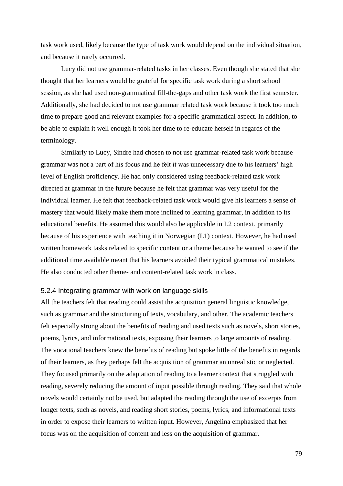task work used, likely because the type of task work would depend on the individual situation, and because it rarely occurred.

Lucy did not use grammar-related tasks in her classes. Even though she stated that she thought that her learners would be grateful for specific task work during a short school session, as she had used non-grammatical fill-the-gaps and other task work the first semester. Additionally, she had decided to not use grammar related task work because it took too much time to prepare good and relevant examples for a specific grammatical aspect. In addition, to be able to explain it well enough it took her time to re-educate herself in regards of the terminology.

Similarly to Lucy, Sindre had chosen to not use grammar-related task work because grammar was not a part of his focus and he felt it was unnecessary due to his learners' high level of English proficiency. He had only considered using feedback-related task work directed at grammar in the future because he felt that grammar was very useful for the individual learner. He felt that feedback-related task work would give his learners a sense of mastery that would likely make them more inclined to learning grammar, in addition to its educational benefits. He assumed this would also be applicable in L2 context, primarily because of his experience with teaching it in Norwegian (L1) context. However, he had used written homework tasks related to specific content or a theme because he wanted to see if the additional time available meant that his learners avoided their typical grammatical mistakes. He also conducted other theme- and content-related task work in class.

## 5.2.4 Integrating grammar with work on language skills

All the teachers felt that reading could assist the acquisition general linguistic knowledge, such as grammar and the structuring of texts, vocabulary, and other. The academic teachers felt especially strong about the benefits of reading and used texts such as novels, short stories, poems, lyrics, and informational texts, exposing their learners to large amounts of reading. The vocational teachers knew the benefits of reading but spoke little of the benefits in regards of their learners, as they perhaps felt the acquisition of grammar an unrealistic or neglected. They focused primarily on the adaptation of reading to a learner context that struggled with reading, severely reducing the amount of input possible through reading. They said that whole novels would certainly not be used, but adapted the reading through the use of excerpts from longer texts, such as novels, and reading short stories, poems, lyrics, and informational texts in order to expose their learners to written input. However, Angelina emphasized that her focus was on the acquisition of content and less on the acquisition of grammar.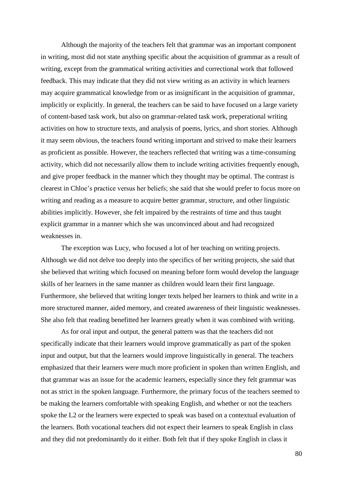Although the majority of the teachers felt that grammar was an important component in writing, most did not state anything specific about the acquisition of grammar as a result of writing, except from the grammatical writing activities and correctional work that followed feedback. This may indicate that they did not view writing as an activity in which learners may acquire grammatical knowledge from or as insignificant in the acquisition of grammar, implicitly or explicitly. In general, the teachers can be said to have focused on a large variety of content-based task work, but also on grammar-related task work, preperational writing activities on how to structure texts, and analysis of poems, lyrics, and short stories. Although it may seem obvious, the teachers found writing important and strived to make their learners as proficient as possible. However, the teachers reflected that writing was a time-consuming activity, which did not necessarily allow them to include writing activities frequently enough, and give proper feedback in the manner which they thought may be optimal. The contrast is clearest in Chloe's practice versus her beliefs; she said that she would prefer to focus more on writing and reading as a measure to acquire better grammar, structure, and other linguistic abilities implicitly. However, she felt impaired by the restraints of time and thus taught explicit grammar in a manner which she was unconvinced about and had recognized weaknesses in.

The exception was Lucy, who focused a lot of her teaching on writing projects. Although we did not delve too deeply into the specifics of her writing projects, she said that she believed that writing which focused on meaning before form would develop the language skills of her learners in the same manner as children would learn their first language. Furthermore, she believed that writing longer texts helped her learners to think and write in a more structured manner, aided memory, and created awareness of their linguistic weaknesses. She also felt that reading benefitted her learners greatly when it was combined with writing.

As for oral input and output, the general pattern was that the teachers did not specifically indicate that their learners would improve grammatically as part of the spoken input and output, but that the learners would improve linguistically in general. The teachers emphasized that their learners were much more proficient in spoken than written English, and that grammar was an issue for the academic learners, especially since they felt grammar was not as strict in the spoken language. Furthermore, the primary focus of the teachers seemed to be making the learners comfortable with speaking English, and whether or not the teachers spoke the L2 or the learners were expected to speak was based on a contextual evaluation of the learners. Both vocational teachers did not expect their learners to speak English in class and they did not predominantly do it either. Both felt that if they spoke English in class it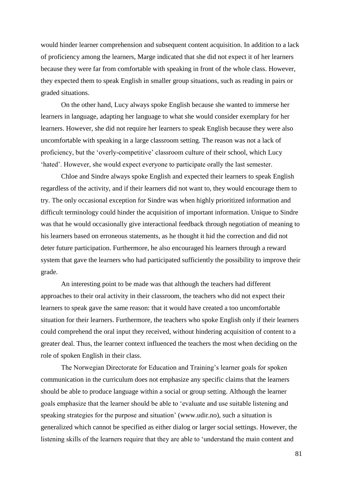would hinder learner comprehension and subsequent content acquisition. In addition to a lack of proficiency among the learners, Marge indicated that she did not expect it of her learners because they were far from comfortable with speaking in front of the whole class. However, they expected them to speak English in smaller group situations, such as reading in pairs or graded situations.

On the other hand, Lucy always spoke English because she wanted to immerse her learners in language, adapting her language to what she would consider exemplary for her learners. However, she did not require her learners to speak English because they were also uncomfortable with speaking in a large classroom setting. The reason was not a lack of proficiency, but the 'overly-competitive' classroom culture of their school, which Lucy 'hated'. However, she would expect everyone to participate orally the last semester.

Chloe and Sindre always spoke English and expected their learners to speak English regardless of the activity, and if their learners did not want to, they would encourage them to try. The only occasional exception for Sindre was when highly prioritized information and difficult terminology could hinder the acquisition of important information. Unique to Sindre was that he would occasionally give interactional feedback through negotiation of meaning to his learners based on erroneous statements, as he thought it hid the correction and did not deter future participation. Furthermore, he also encouraged his learners through a reward system that gave the learners who had participated sufficiently the possibility to improve their grade.

An interesting point to be made was that although the teachers had different approaches to their oral activity in their classroom, the teachers who did not expect their learners to speak gave the same reason: that it would have created a too uncomfortable situation for their learners. Furthermore, the teachers who spoke English only if their learners could comprehend the oral input they received, without hindering acquisition of content to a greater deal. Thus, the learner context influenced the teachers the most when deciding on the role of spoken English in their class.

The Norwegian Directorate for Education and Training's learner goals for spoken communication in the curriculum does not emphasize any specific claims that the learners should be able to produce language within a social or group setting. Although the learner goals emphasize that the learner should be able to 'evaluate and use suitable listening and speaking strategies for the purpose and situation' (www.udir.no), such a situation is generalized which cannot be specified as either dialog or larger social settings. However, the listening skills of the learners require that they are able to 'understand the main content and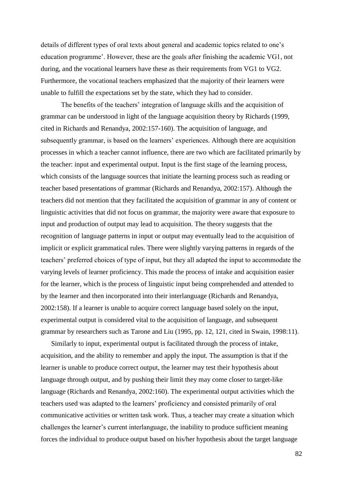details of different types of oral texts about general and academic topics related to one's education programme'. However, these are the goals after finishing the academic VG1, not during, and the vocational learners have these as their requirements from VG1 to VG2. Furthermore, the vocational teachers emphasized that the majority of their learners were unable to fulfill the expectations set by the state, which they had to consider.

The benefits of the teachers' integration of language skills and the acquisition of grammar can be understood in light of the language acquisition theory by Richards (1999, cited in Richards and Renandya, 2002:157-160). The acquisition of language, and subsequently grammar, is based on the learners' experiences. Although there are acquisition processes in which a teacher cannot influence, there are two which are facilitated primarily by the teacher: input and experimental output. Input is the first stage of the learning process, which consists of the language sources that initiate the learning process such as reading or teacher based presentations of grammar (Richards and Renandya, 2002:157). Although the teachers did not mention that they facilitated the acquisition of grammar in any of content or linguistic activities that did not focus on grammar, the majority were aware that exposure to input and production of output may lead to acquisition. The theory suggests that the recognition of language patterns in input or output may eventually lead to the acquisition of implicit or explicit grammatical rules. There were slightly varying patterns in regards of the teachers' preferred choices of type of input, but they all adapted the input to accommodate the varying levels of learner proficiency. This made the process of intake and acquisition easier for the learner, which is the process of linguistic input being comprehended and attended to by the learner and then incorporated into their interlanguage (Richards and Renandya, 2002:158). If a learner is unable to acquire correct language based solely on the input, experimental output is considered vital to the acquisition of language, and subsequent grammar by researchers such as Tarone and Liu (1995, pp. 12, 121, cited in Swain, 1998:11).

Similarly to input, experimental output is facilitated through the process of intake, acquisition, and the ability to remember and apply the input. The assumption is that if the learner is unable to produce correct output, the learner may test their hypothesis about language through output, and by pushing their limit they may come closer to target-like language (Richards and Renandya, 2002:160). The experimental output activities which the teachers used was adapted to the learners' proficiency and consisted primarily of oral communicative activities or written task work. Thus, a teacher may create a situation which challenges the learner's current interlanguage, the inability to produce sufficient meaning forces the individual to produce output based on his/her hypothesis about the target language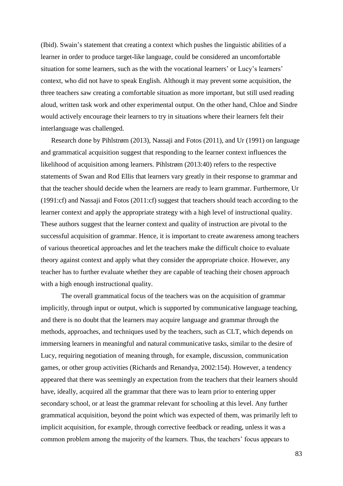(Ibid). Swain's statement that creating a context which pushes the linguistic abilities of a learner in order to produce target-like language, could be considered an uncomfortable situation for some learners, such as the with the vocational learners' or Lucy's learners' context, who did not have to speak English. Although it may prevent some acquisition, the three teachers saw creating a comfortable situation as more important, but still used reading aloud, written task work and other experimental output. On the other hand, Chloe and Sindre would actively encourage their learners to try in situations where their learners felt their interlanguage was challenged.

Research done by Pihlstrøm (2013), Nassaji and Fotos (2011), and Ur (1991) on language and grammatical acquisition suggest that responding to the learner context influences the likelihood of acquisition among learners. Pihlstrøm (2013:40) refers to the respective statements of Swan and Rod Ellis that learners vary greatly in their response to grammar and that the teacher should decide when the learners are ready to learn grammar. Furthermore, Ur (1991:cf) and Nassaji and Fotos (2011:cf) suggest that teachers should teach according to the learner context and apply the appropriate strategy with a high level of instructional quality. These authors suggest that the learner context and quality of instruction are pivotal to the successful acquisition of grammar. Hence, it is important to create awareness among teachers of various theoretical approaches and let the teachers make the difficult choice to evaluate theory against context and apply what they consider the appropriate choice. However, any teacher has to further evaluate whether they are capable of teaching their chosen approach with a high enough instructional quality.

The overall grammatical focus of the teachers was on the acquisition of grammar implicitly, through input or output, which is supported by communicative language teaching, and there is no doubt that the learners may acquire language and grammar through the methods, approaches, and techniques used by the teachers, such as CLT, which depends on immersing learners in meaningful and natural communicative tasks, similar to the desire of Lucy, requiring negotiation of meaning through, for example, discussion, communication games, or other group activities (Richards and Renandya, 2002:154). However, a tendency appeared that there was seemingly an expectation from the teachers that their learners should have, ideally, acquired all the grammar that there was to learn prior to entering upper secondary school, or at least the grammar relevant for schooling at this level. Any further grammatical acquisition, beyond the point which was expected of them, was primarily left to implicit acquisition, for example, through corrective feedback or reading, unless it was a common problem among the majority of the learners. Thus, the teachers' focus appears to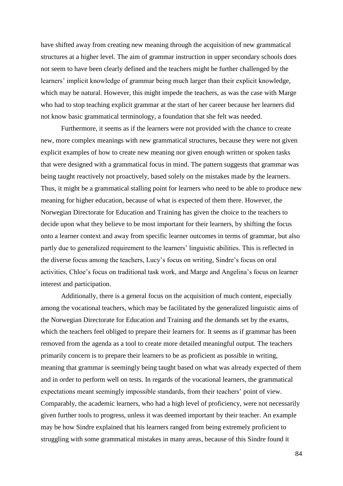have shifted away from creating new meaning through the acquisition of new grammatical structures at a higher level. The aim of grammar instruction in upper secondary schools does not seem to have been clearly defined and the teachers might be further challenged by the learners' implicit knowledge of grammar being much larger than their explicit knowledge, which may be natural. However, this might impede the teachers, as was the case with Marge who had to stop teaching explicit grammar at the start of her career because her learners did not know basic grammatical terminology, a foundation that she felt was needed.

Furthermore, it seems as if the learners were not provided with the chance to create new, more complex meanings with new grammatical structures, because they were not given explicit examples of how to create new meaning nor given enough written or spoken tasks that were designed with a grammatical focus in mind. The pattern suggests that grammar was being taught reactively not proactively, based solely on the mistakes made by the learners. Thus, it might be a grammatical stalling point for learners who need to be able to produce new meaning for higher education, because of what is expected of them there. However, the Norwegian Directorate for Education and Training has given the choice to the teachers to decide upon what they believe to be most important for their learners, by shifting the focus onto a learner context and away from specific learner outcomes in terms of grammar, but also partly due to generalized requirement to the learners' linguistic abilities. This is reflected in the diverse focus among the teachers, Lucy's focus on writing, Sindre's focus on oral activities, Chloe's focus on traditional task work, and Marge and Angelina's focus on learner interest and participation.

Additionally, there is a general focus on the acquisition of much content, especially among the vocational teachers, which may be facilitated by the generalized linguistic aims of the Norwegian Directorate for Education and Training and the demands set by the exams, which the teachers feel obliged to prepare their learners for. It seems as if grammar has been removed from the agenda as a tool to create more detailed meaningful output. The teachers primarily concern is to prepare their learners to be as proficient as possible in writing, meaning that grammar is seemingly being taught based on what was already expected of them and in order to perform well on tests. In regards of the vocational learners, the grammatical expectations meant seemingly impossible standards, from their teachers' point of view. Comparably, the academic learners, who had a high level of proficiency, were not necessarily given further tools to progress, unless it was deemed important by their teacher. An example may be how Sindre explained that his learners ranged from being extremely proficient to struggling with some grammatical mistakes in many areas, because of this Sindre found it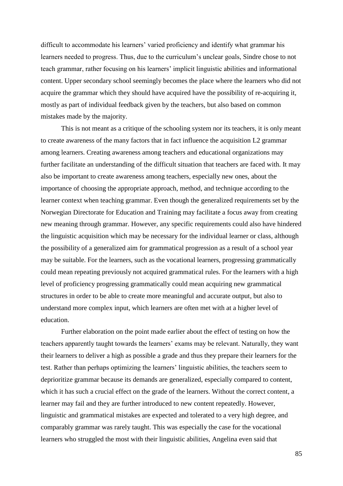difficult to accommodate his learners' varied proficiency and identify what grammar his learners needed to progress. Thus, due to the curriculum's unclear goals, Sindre chose to not teach grammar, rather focusing on his learners' implicit linguistic abilities and informational content. Upper secondary school seemingly becomes the place where the learners who did not acquire the grammar which they should have acquired have the possibility of re-acquiring it, mostly as part of individual feedback given by the teachers, but also based on common mistakes made by the majority.

This is not meant as a critique of the schooling system nor its teachers, it is only meant to create awareness of the many factors that in fact influence the acquisition L2 grammar among learners. Creating awareness among teachers and educational organizations may further facilitate an understanding of the difficult situation that teachers are faced with. It may also be important to create awareness among teachers, especially new ones, about the importance of choosing the appropriate approach, method, and technique according to the learner context when teaching grammar. Even though the generalized requirements set by the Norwegian Directorate for Education and Training may facilitate a focus away from creating new meaning through grammar. However, any specific requirements could also have hindered the linguistic acquisition which may be necessary for the individual learner or class, although the possibility of a generalized aim for grammatical progression as a result of a school year may be suitable. For the learners, such as the vocational learners, progressing grammatically could mean repeating previously not acquired grammatical rules. For the learners with a high level of proficiency progressing grammatically could mean acquiring new grammatical structures in order to be able to create more meaningful and accurate output, but also to understand more complex input, which learners are often met with at a higher level of education.

Further elaboration on the point made earlier about the effect of testing on how the teachers apparently taught towards the learners' exams may be relevant. Naturally, they want their learners to deliver a high as possible a grade and thus they prepare their learners for the test. Rather than perhaps optimizing the learners' linguistic abilities, the teachers seem to deprioritize grammar because its demands are generalized, especially compared to content, which it has such a crucial effect on the grade of the learners. Without the correct content, a learner may fail and they are further introduced to new content repeatedly. However, linguistic and grammatical mistakes are expected and tolerated to a very high degree, and comparably grammar was rarely taught. This was especially the case for the vocational learners who struggled the most with their linguistic abilities, Angelina even said that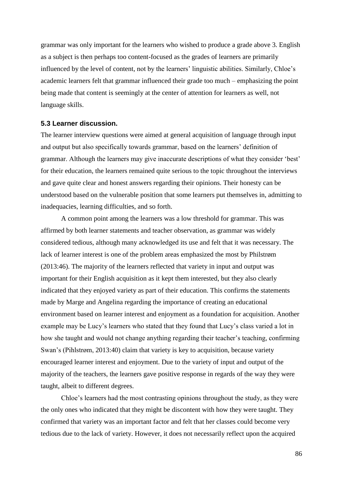grammar was only important for the learners who wished to produce a grade above 3. English as a subject is then perhaps too content-focused as the grades of learners are primarily influenced by the level of content, not by the learners' linguistic abilities. Similarly, Chloe's academic learners felt that grammar influenced their grade too much – emphasizing the point being made that content is seemingly at the center of attention for learners as well, not language skills.

## **5.3 Learner discussion.**

The learner interview questions were aimed at general acquisition of language through input and output but also specifically towards grammar, based on the learners' definition of grammar. Although the learners may give inaccurate descriptions of what they consider 'best' for their education, the learners remained quite serious to the topic throughout the interviews and gave quite clear and honest answers regarding their opinions. Their honesty can be understood based on the vulnerable position that some learners put themselves in, admitting to inadequacies, learning difficulties, and so forth.

A common point among the learners was a low threshold for grammar. This was affirmed by both learner statements and teacher observation, as grammar was widely considered tedious, although many acknowledged its use and felt that it was necessary. The lack of learner interest is one of the problem areas emphasized the most by Philstrøm (2013:46). The majority of the learners reflected that variety in input and output was important for their English acquisition as it kept them interested, but they also clearly indicated that they enjoyed variety as part of their education. This confirms the statements made by Marge and Angelina regarding the importance of creating an educational environment based on learner interest and enjoyment as a foundation for acquisition. Another example may be Lucy's learners who stated that they found that Lucy's class varied a lot in how she taught and would not change anything regarding their teacher's teaching, confirming Swan's (Pihlstrøm, 2013:40) claim that variety is key to acquisition, because variety encouraged learner interest and enjoyment. Due to the variety of input and output of the majority of the teachers, the learners gave positive response in regards of the way they were taught, albeit to different degrees.

Chloe's learners had the most contrasting opinions throughout the study, as they were the only ones who indicated that they might be discontent with how they were taught. They confirmed that variety was an important factor and felt that her classes could become very tedious due to the lack of variety. However, it does not necessarily reflect upon the acquired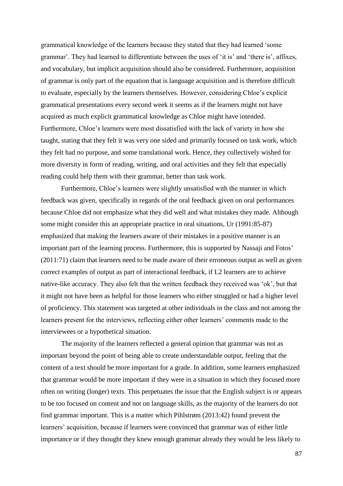grammatical knowledge of the learners because they stated that they had learned 'some grammar'. They had learned to differentiate between the uses of 'it is' and 'there is', affixes, and vocabulary, but implicit acquisition should also be considered. Furthermore, acquisition of grammar is only part of the equation that is language acquisition and is therefore difficult to evaluate, especially by the learners themselves. However, considering Chloe's explicit grammatical presentations every second week it seems as if the learners might not have acquired as much explicit grammatical knowledge as Chloe might have intended. Furthermore, Chloe's learners were most dissatisfied with the lack of variety in how she taught, stating that they felt it was very one sided and primarily focused on task work, which they felt had no purpose, and some translational work. Hence, they collectively wished for more diversity in form of reading, writing, and oral activities and they felt that especially reading could help them with their grammar, better than task work.

Furthermore, Chloe's learners were slightly unsatisfied with the manner in which feedback was given, specifically in regards of the oral feedback given on oral performances because Chloe did not emphasize what they did well and what mistakes they made. Although some might consider this an appropriate practice in oral situations, Ur (1991:85-87) emphasized that making the learners aware of their mistakes in a positive manner is an important part of the learning process. Furthermore, this is supported by Nassaji and Fotos' (2011:71) claim that learners need to be made aware of their erroneous output as well as given correct examples of output as part of interactional feedback, if L2 learners are to achieve native-like accuracy. They also felt that the written feedback they received was 'ok', but that it might not have been as helpful for those learners who either struggled or had a higher level of proficiency. This statement was targeted at other individuals in the class and not among the learners present for the interviews, reflecting either other learners' comments made to the interviewees or a hypothetical situation.

The majority of the learners reflected a general opinion that grammar was not as important beyond the point of being able to create understandable output, feeling that the content of a text should be more important for a grade. In addition, some learners emphasized that grammar would be more important if they were in a situation in which they focused more often on writing (longer) texts. This perpetuates the issue that the English subject is or appears to be too focused on content and not on language skills, as the majority of the learners do not find grammar important. This is a matter which Pihlstrøm (2013:42) found prevent the learners' acquisition, because if learners were convinced that grammar was of either little importance or if they thought they knew enough grammar already they would be less likely to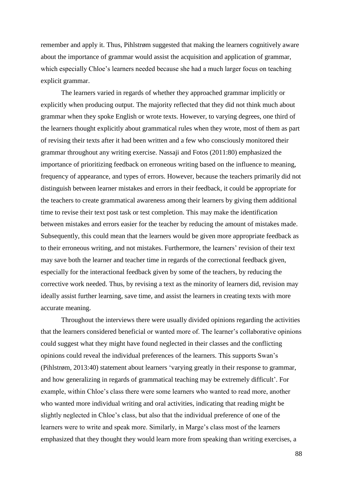remember and apply it. Thus, Pihlstrøm suggested that making the learners cognitively aware about the importance of grammar would assist the acquisition and application of grammar, which especially Chloe's learners needed because she had a much larger focus on teaching explicit grammar.

The learners varied in regards of whether they approached grammar implicitly or explicitly when producing output. The majority reflected that they did not think much about grammar when they spoke English or wrote texts. However, to varying degrees, one third of the learners thought explicitly about grammatical rules when they wrote, most of them as part of revising their texts after it had been written and a few who consciously monitored their grammar throughout any writing exercise. Nassaji and Fotos (2011:80) emphasized the importance of prioritizing feedback on erroneous writing based on the influence to meaning, frequency of appearance, and types of errors. However, because the teachers primarily did not distinguish between learner mistakes and errors in their feedback, it could be appropriate for the teachers to create grammatical awareness among their learners by giving them additional time to revise their text post task or test completion. This may make the identification between mistakes and errors easier for the teacher by reducing the amount of mistakes made. Subsequently, this could mean that the learners would be given more appropriate feedback as to their erroneous writing, and not mistakes. Furthermore, the learners' revision of their text may save both the learner and teacher time in regards of the correctional feedback given, especially for the interactional feedback given by some of the teachers, by reducing the corrective work needed. Thus, by revising a text as the minority of learners did, revision may ideally assist further learning, save time, and assist the learners in creating texts with more accurate meaning.

Throughout the interviews there were usually divided opinions regarding the activities that the learners considered beneficial or wanted more of. The learner's collaborative opinions could suggest what they might have found neglected in their classes and the conflicting opinions could reveal the individual preferences of the learners. This supports Swan's (Pihlstrøm, 2013:40) statement about learners 'varying greatly in their response to grammar, and how generalizing in regards of grammatical teaching may be extremely difficult'. For example, within Chloe's class there were some learners who wanted to read more, another who wanted more individual writing and oral activities, indicating that reading might be slightly neglected in Chloe's class, but also that the individual preference of one of the learners were to write and speak more. Similarly, in Marge's class most of the learners emphasized that they thought they would learn more from speaking than writing exercises, a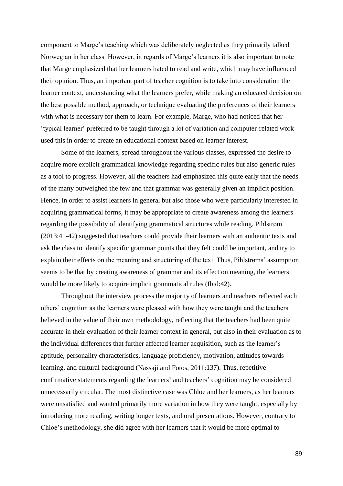component to Marge's teaching which was deliberately neglected as they primarily talked Norwegian in her class. However, in regards of Marge's learners it is also important to note that Marge emphasized that her learners hated to read and write, which may have influenced their opinion. Thus, an important part of teacher cognition is to take into consideration the learner context, understanding what the learners prefer, while making an educated decision on the best possible method, approach, or technique evaluating the preferences of their learners with what is necessary for them to learn. For example, Marge, who had noticed that her 'typical learner' preferred to be taught through a lot of variation and computer-related work used this in order to create an educational context based on learner interest.

Some of the learners, spread throughout the various classes, expressed the desire to acquire more explicit grammatical knowledge regarding specific rules but also generic rules as a tool to progress. However, all the teachers had emphasized this quite early that the needs of the many outweighed the few and that grammar was generally given an implicit position. Hence, in order to assist learners in general but also those who were particularly interested in acquiring grammatical forms, it may be appropriate to create awareness among the learners regarding the possibility of identifying grammatical structures while reading. Pihlstrøm (2013:41-42) suggested that teachers could provide their learners with an authentic texts and ask the class to identify specific grammar points that they felt could be important, and try to explain their effects on the meaning and structuring of the text. Thus, Pihlstrøms' assumption seems to be that by creating awareness of grammar and its effect on meaning, the learners would be more likely to acquire implicit grammatical rules (Ibid:42).

Throughout the interview process the majority of learners and teachers reflected each others' cognition as the learners were pleased with how they were taught and the teachers believed in the value of their own methodology, reflecting that the teachers had been quite accurate in their evaluation of their learner context in general, but also in their evaluation as to the individual differences that further affected learner acquisition, such as the learner's aptitude, personality characteristics, language proficiency, motivation, attitudes towards learning, and cultural background (Nassaji and Fotos, 2011:137). Thus, repetitive confirmative statements regarding the learners' and teachers' cognition may be considered unnecessarily circular. The most distinctive case was Chloe and her learners, as her learners were unsatisfied and wanted primarily more variation in how they were taught, especially by introducing more reading, writing longer texts, and oral presentations. However, contrary to Chloe's methodology, she did agree with her learners that it would be more optimal to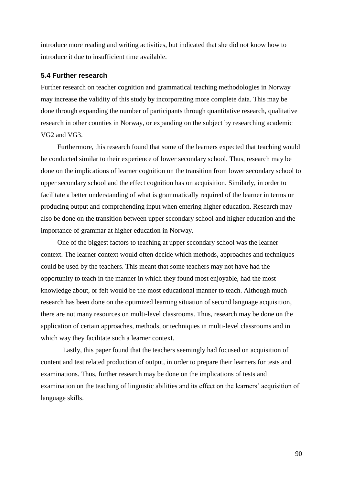introduce more reading and writing activities, but indicated that she did not know how to introduce it due to insufficient time available.

## **5.4 Further research**

Further research on teacher cognition and grammatical teaching methodologies in Norway may increase the validity of this study by incorporating more complete data. This may be done through expanding the number of participants through quantitative research, qualitative research in other counties in Norway, or expanding on the subject by researching academic VG2 and VG3.

Furthermore, this research found that some of the learners expected that teaching would be conducted similar to their experience of lower secondary school. Thus, research may be done on the implications of learner cognition on the transition from lower secondary school to upper secondary school and the effect cognition has on acquisition. Similarly, in order to facilitate a better understanding of what is grammatically required of the learner in terms or producing output and comprehending input when entering higher education. Research may also be done on the transition between upper secondary school and higher education and the importance of grammar at higher education in Norway.

One of the biggest factors to teaching at upper secondary school was the learner context. The learner context would often decide which methods, approaches and techniques could be used by the teachers. This meant that some teachers may not have had the opportunity to teach in the manner in which they found most enjoyable, had the most knowledge about, or felt would be the most educational manner to teach. Although much research has been done on the optimized learning situation of second language acquisition, there are not many resources on multi-level classrooms. Thus, research may be done on the application of certain approaches, methods, or techniques in multi-level classrooms and in which way they facilitate such a learner context.

Lastly, this paper found that the teachers seemingly had focused on acquisition of content and test related production of output, in order to prepare their learners for tests and examinations. Thus, further research may be done on the implications of tests and examination on the teaching of linguistic abilities and its effect on the learners' acquisition of language skills.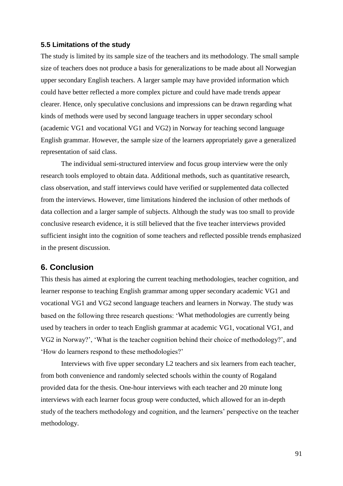## **5.5 Limitations of the study**

The study is limited by its sample size of the teachers and its methodology. The small sample size of teachers does not produce a basis for generalizations to be made about all Norwegian upper secondary English teachers. A larger sample may have provided information which could have better reflected a more complex picture and could have made trends appear clearer. Hence, only speculative conclusions and impressions can be drawn regarding what kinds of methods were used by second language teachers in upper secondary school (academic VG1 and vocational VG1 and VG2) in Norway for teaching second language English grammar. However, the sample size of the learners appropriately gave a generalized representation of said class.

The individual semi-structured interview and focus group interview were the only research tools employed to obtain data. Additional methods, such as quantitative research, class observation, and staff interviews could have verified or supplemented data collected from the interviews. However, time limitations hindered the inclusion of other methods of data collection and a larger sample of subjects. Although the study was too small to provide conclusive research evidence, it is still believed that the five teacher interviews provided sufficient insight into the cognition of some teachers and reflected possible trends emphasized in the present discussion.

# **6. Conclusion**

This thesis has aimed at exploring the current teaching methodologies, teacher cognition, and learner response to teaching English grammar among upper secondary academic VG1 and vocational VG1 and VG2 second language teachers and learners in Norway. The study was based on the following three research questions: 'What methodologies are currently being used by teachers in order to teach English grammar at academic VG1, vocational VG1, and VG2 in Norway?', 'What is the teacher cognition behind their choice of methodology?', and 'How do learners respond to these methodologies?'

Interviews with five upper secondary L2 teachers and six learners from each teacher, from both convenience and randomly selected schools within the county of Rogaland provided data for the thesis. One-hour interviews with each teacher and 20 minute long interviews with each learner focus group were conducted, which allowed for an in-depth study of the teachers methodology and cognition, and the learners' perspective on the teacher methodology.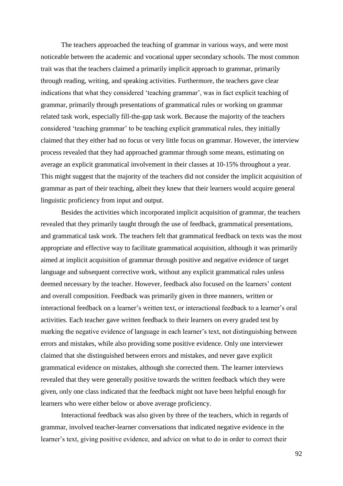The teachers approached the teaching of grammar in various ways, and were most noticeable between the academic and vocational upper secondary schools. The most common trait was that the teachers claimed a primarily implicit approach to grammar, primarily through reading, writing, and speaking activities. Furthermore, the teachers gave clear indications that what they considered 'teaching grammar', was in fact explicit teaching of grammar, primarily through presentations of grammatical rules or working on grammar related task work, especially fill-the-gap task work. Because the majority of the teachers considered 'teaching grammar' to be teaching explicit grammatical rules, they initially claimed that they either had no focus or very little focus on grammar. However, the interview process revealed that they had approached grammar through some means, estimating on average an explicit grammatical involvement in their classes at 10-15% throughout a year. This might suggest that the majority of the teachers did not consider the implicit acquisition of grammar as part of their teaching, albeit they knew that their learners would acquire general linguistic proficiency from input and output.

Besides the activities which incorporated implicit acquisition of grammar, the teachers revealed that they primarily taught through the use of feedback, grammatical presentations, and grammatical task work. The teachers felt that grammatical feedback on texts was the most appropriate and effective way to facilitate grammatical acquisition, although it was primarily aimed at implicit acquisition of grammar through positive and negative evidence of target language and subsequent corrective work, without any explicit grammatical rules unless deemed necessary by the teacher. However, feedback also focused on the learners' content and overall composition. Feedback was primarily given in three manners, written or interactional feedback on a learner's written text, or interactional feedback to a learner's oral activities. Each teacher gave written feedback to their learners on every graded test by marking the negative evidence of language in each learner's text, not distinguishing between errors and mistakes, while also providing some positive evidence. Only one interviewer claimed that she distinguished between errors and mistakes, and never gave explicit grammatical evidence on mistakes, although she corrected them. The learner interviews revealed that they were generally positive towards the written feedback which they were given, only one class indicated that the feedback might not have been helpful enough for learners who were either below or above average proficiency.

Interactional feedback was also given by three of the teachers, which in regards of grammar, involved teacher-learner conversations that indicated negative evidence in the learner's text, giving positive evidence, and advice on what to do in order to correct their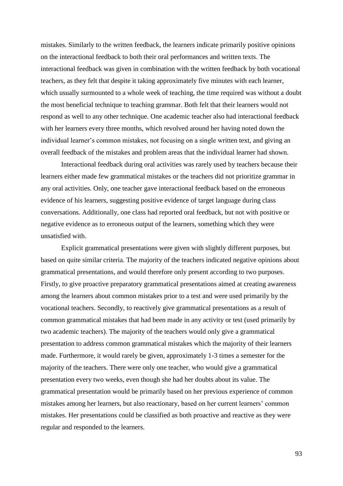mistakes. Similarly to the written feedback, the learners indicate primarily positive opinions on the interactional feedback to both their oral performances and written texts. The interactional feedback was given in combination with the written feedback by both vocational teachers, as they felt that despite it taking approximately five minutes with each learner, which usually surmounted to a whole week of teaching, the time required was without a doubt the most beneficial technique to teaching grammar. Both felt that their learners would not respond as well to any other technique. One academic teacher also had interactional feedback with her learners every three months, which revolved around her having noted down the individual learner's common mistakes, not focusing on a single written text, and giving an overall feedback of the mistakes and problem areas that the individual learner had shown.

Interactional feedback during oral activities was rarely used by teachers because their learners either made few grammatical mistakes or the teachers did not prioritize grammar in any oral activities. Only, one teacher gave interactional feedback based on the erroneous evidence of his learners, suggesting positive evidence of target language during class conversations. Additionally, one class had reported oral feedback, but not with positive or negative evidence as to erroneous output of the learners, something which they were unsatisfied with.

Explicit grammatical presentations were given with slightly different purposes, but based on quite similar criteria. The majority of the teachers indicated negative opinions about grammatical presentations, and would therefore only present according to two purposes. Firstly, to give proactive preparatory grammatical presentations aimed at creating awareness among the learners about common mistakes prior to a test and were used primarily by the vocational teachers. Secondly, to reactively give grammatical presentations as a result of common grammatical mistakes that had been made in any activity or test (used primarily by two academic teachers). The majority of the teachers would only give a grammatical presentation to address common grammatical mistakes which the majority of their learners made. Furthermore, it would rarely be given, approximately 1-3 times a semester for the majority of the teachers. There were only one teacher, who would give a grammatical presentation every two weeks, even though she had her doubts about its value. The grammatical presentation would be primarily based on her previous experience of common mistakes among her learners, but also reactionary, based on her current learners' common mistakes. Her presentations could be classified as both proactive and reactive as they were regular and responded to the learners.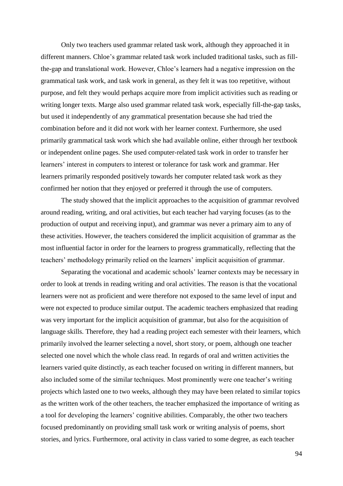Only two teachers used grammar related task work, although they approached it in different manners. Chloe's grammar related task work included traditional tasks, such as fillthe-gap and translational work. However, Chloe's learners had a negative impression on the grammatical task work, and task work in general, as they felt it was too repetitive, without purpose, and felt they would perhaps acquire more from implicit activities such as reading or writing longer texts. Marge also used grammar related task work, especially fill-the-gap tasks, but used it independently of any grammatical presentation because she had tried the combination before and it did not work with her learner context. Furthermore, she used primarily grammatical task work which she had available online, either through her textbook or independent online pages. She used computer-related task work in order to transfer her learners' interest in computers to interest or tolerance for task work and grammar. Her learners primarily responded positively towards her computer related task work as they confirmed her notion that they enjoyed or preferred it through the use of computers.

The study showed that the implicit approaches to the acquisition of grammar revolved around reading, writing, and oral activities, but each teacher had varying focuses (as to the production of output and receiving input), and grammar was never a primary aim to any of these activities. However, the teachers considered the implicit acquisition of grammar as the most influential factor in order for the learners to progress grammatically, reflecting that the teachers' methodology primarily relied on the learners' implicit acquisition of grammar.

Separating the vocational and academic schools' learner contexts may be necessary in order to look at trends in reading writing and oral activities. The reason is that the vocational learners were not as proficient and were therefore not exposed to the same level of input and were not expected to produce similar output. The academic teachers emphasized that reading was very important for the implicit acquisition of grammar, but also for the acquisition of language skills. Therefore, they had a reading project each semester with their learners, which primarily involved the learner selecting a novel, short story, or poem, although one teacher selected one novel which the whole class read. In regards of oral and written activities the learners varied quite distinctly, as each teacher focused on writing in different manners, but also included some of the similar techniques. Most prominently were one teacher's writing projects which lasted one to two weeks, although they may have been related to similar topics as the written work of the other teachers, the teacher emphasized the importance of writing as a tool for developing the learners' cognitive abilities. Comparably, the other two teachers focused predominantly on providing small task work or writing analysis of poems, short stories, and lyrics. Furthermore, oral activity in class varied to some degree, as each teacher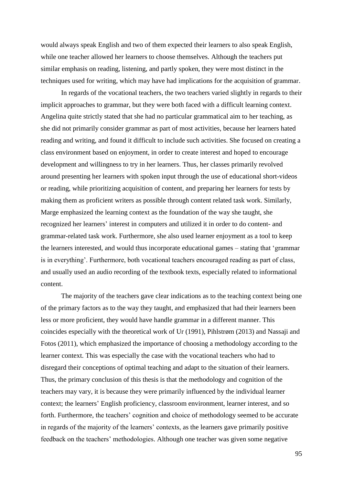would always speak English and two of them expected their learners to also speak English, while one teacher allowed her learners to choose themselves. Although the teachers put similar emphasis on reading, listening, and partly spoken, they were most distinct in the techniques used for writing, which may have had implications for the acquisition of grammar.

In regards of the vocational teachers, the two teachers varied slightly in regards to their implicit approaches to grammar, but they were both faced with a difficult learning context. Angelina quite strictly stated that she had no particular grammatical aim to her teaching, as she did not primarily consider grammar as part of most activities, because her learners hated reading and writing, and found it difficult to include such activities. She focused on creating a class environment based on enjoyment, in order to create interest and hoped to encourage development and willingness to try in her learners. Thus, her classes primarily revolved around presenting her learners with spoken input through the use of educational short-videos or reading, while prioritizing acquisition of content, and preparing her learners for tests by making them as proficient writers as possible through content related task work. Similarly, Marge emphasized the learning context as the foundation of the way she taught, she recognized her learners' interest in computers and utilized it in order to do content- and grammar-related task work. Furthermore, she also used learner enjoyment as a tool to keep the learners interested, and would thus incorporate educational games – stating that 'grammar is in everything'. Furthermore, both vocational teachers encouraged reading as part of class, and usually used an audio recording of the textbook texts, especially related to informational content.

The majority of the teachers gave clear indications as to the teaching context being one of the primary factors as to the way they taught, and emphasized that had their learners been less or more proficient, they would have handle grammar in a different manner. This coincides especially with the theoretical work of Ur (1991), Pihlstrøm (2013) and Nassaji and Fotos (2011), which emphasized the importance of choosing a methodology according to the learner context. This was especially the case with the vocational teachers who had to disregard their conceptions of optimal teaching and adapt to the situation of their learners. Thus, the primary conclusion of this thesis is that the methodology and cognition of the teachers may vary, it is because they were primarily influenced by the individual learner context; the learners' English proficiency, classroom environment, learner interest, and so forth. Furthermore, the teachers' cognition and choice of methodology seemed to be accurate in regards of the majority of the learners' contexts, as the learners gave primarily positive feedback on the teachers' methodologies. Although one teacher was given some negative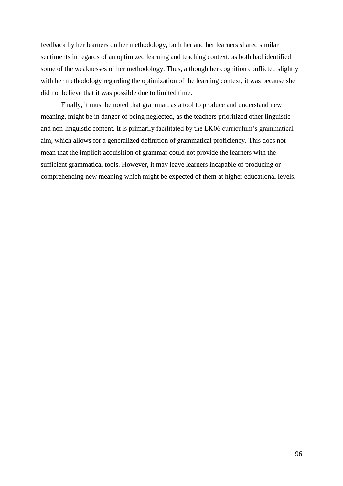feedback by her learners on her methodology, both her and her learners shared similar sentiments in regards of an optimized learning and teaching context, as both had identified some of the weaknesses of her methodology. Thus, although her cognition conflicted slightly with her methodology regarding the optimization of the learning context, it was because she did not believe that it was possible due to limited time.

Finally, it must be noted that grammar, as a tool to produce and understand new meaning, might be in danger of being neglected, as the teachers prioritized other linguistic and non-linguistic content. It is primarily facilitated by the LK06 curriculum's grammatical aim, which allows for a generalized definition of grammatical proficiency. This does not mean that the implicit acquisition of grammar could not provide the learners with the sufficient grammatical tools. However, it may leave learners incapable of producing or comprehending new meaning which might be expected of them at higher educational levels.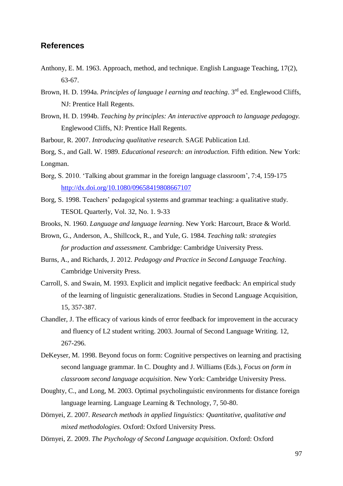# **References**

- Anthony, E. M. 1963. Approach, method, and technique. English Language Teaching, 17(2), 63-67.
- Brown, H. D. 1994a. *Principles of language l earning and teaching*. 3rd ed. Englewood Cliffs, NJ: Prentice Hall Regents.
- Brown, H. D. 1994b. *Teaching by principles: An interactive approach to language pedagogy.*  Englewood Cliffs, NJ: Prentice Hall Regents.
- Barbour, R. 2007. *Introducing qualitative research.* SAGE Publication Ltd.

Borg, S., and Gall. W. 1989. *Educational research: an introduction.* Fifth edition. New York: Longman.

- Borg, S. 2010. 'Talking about grammar in the foreign language classroom', 7:4, 159-175 <http://dx.doi.org/10.1080/09658419808667107>
- Borg, S. 1998. Teachers' pedagogical systems and grammar teaching: a qualitative study. TESOL Quarterly, Vol. 32, No. 1. 9-33
- Brooks, N. 1960. *Language and language learning*. New York: Harcourt, Brace & World.
- Brown, G., Anderson, A., Shillcock, R., and Yule, G. 1984. *Teaching talk: strategies for production and assessment.* Cambridge: Cambridge University Press.
- Burns, A., and Richards, J. 2012. *Pedagogy and Practice in Second Language Teaching*. Cambridge University Press.
- Carroll, S. and Swain, M. 1993. Explicit and implicit negative feedback: An empirical study of the learning of linguistic generalizations. Studies in Second Language Acquisition, 15, 357-387.
- Chandler, J. The efficacy of various kinds of error feedback for improvement in the accuracy and fluency of L2 student writing. 2003. Journal of Second Language Writing. 12, 267-296.
- DeKeyser, M. 1998. Beyond focus on form: Cognitive perspectives on learning and practising second language grammar. In C. Doughty and J. Williams (Eds.), *Focus on form in classroom second language acquisition*. New York: Cambridge University Press.
- Doughty, C., and Long, M. 2003. Optimal psycholinguistic environments for distance foreign language learning. Language Learning & Technology, 7, 50-80.
- Dörnyei, Z. 2007. *Research methods in applied linguistics: Quantitative, qualitative and mixed methodologies.* Oxford: Oxford University Press.
- Dörnyei, Z. 2009. *The Psychology of Second Language acquisition*. Oxford: Oxford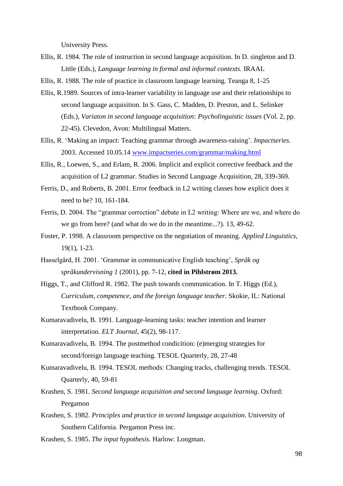University Press.

- Ellis, R. 1984. The role of instruction in second language acquisition. In D. singleton and D. Little (Eds.), *Language learning in formal and informal contexts*. IRAAL
- Ellis, R. 1988. The role of practice in classroom language learning. Teanga 8, 1-25
- Ellis, R.1989. Sources of intra-learner variability in language use and their relationships to second language acquisition. In S. Gass, C. Madden, D. Preston, and L. Selinker (Eds.), *Variaton in second language acquisition: Psycholinguistic issues* (Vol. 2, pp. 22-45). Clevedon, Avon: Multilingual Matters.
- Ellis, R. 'Making an impact: Teaching grammar through awareness-raising'. *Impactseries.* 2003. Accessed 10.05.14 [www.impactseries.com/grammar/making.html](http://www.impactseries.com/grammar/making.html)
- Ellis, R., Loewen, S., and Erlam, R. 2006. Implicit and explicit corrective feedback and the acquisition of L2 grammar. Studies in Second Language Acquisition, 28, 339-369.
- Ferris, D., and Roberts, B. 2001. Error feedback in L2 writing classes how explicit does it need to be? 10, 161-184.
- Ferris, D. 2004. The "grammar correction" debate in L2 writing: Where are we, and where do we go from here? (and what do we do in the meantime...?). 13, 49-62.
- Foster, P. 1998. A classroom perspective on the negotiation of meaning. *Applied Linguistics,*  19(1), 1-23.
- Hasselgård, H. 2001. 'Grammar in communicative English teaching', *Språk og språkundervisning 1* (2001), pp. 7-12, **cited in Pihlstrøm 2013.**
- Higgs, T., and Clifford R. 1982. The push towards communication. In T. Higgs (Ed.), *Curriculum, competence, and the foreign language teacher*. Skokie, IL: National Textbook Company.
- Kumaravadivelu, B. 1991. Language-learning tasks: teacher intention and learner interpretation. *ELT Journal*, 45(2), 98-117.
- Kumaravadivelu, B. 1994. The postmethod condicition: (e)merging strategies for second/foreign language teaching. TESOL Quarterly, 28, 27-48
- Kumaravadivelu, B. 1994. TESOL methods: Changing tracks, challenging trends. TESOL Quarterly, 40, 59-81
- Krashen, S. 1981. *Second language acquisition and second language learning*. Oxford: Pergamon
- Krashen, S. 1982. *Principles and practice in second language acquisition*. University of Southern California. Pergamon Press inc.
- Krashen, S. 1985. *The input hypothesis.* Harlow: Longman.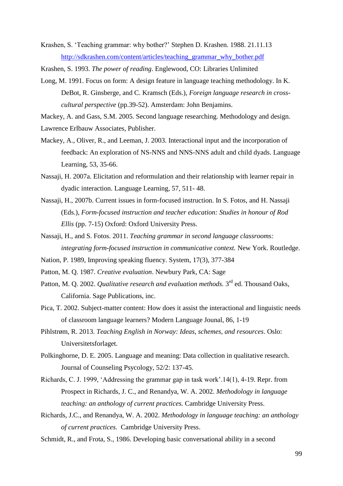Krashen, S. 'Teaching grammar: why bother?' Stephen D. Krashen. 1988. 21.11.13 [http://sdkrashen.com/content/articles/teaching\\_grammar\\_why\\_bother.pdf](http://sdkrashen.com/content/articles/teaching_grammar_why_bother.pdf)

Krashen, S. 1993. *The power of reading*. Englewood, CO: Libraries Unlimited

Long, M. 1991. Focus on form: A design feature in language teaching methodology. In K. DeBot, R. Ginsberge, and C. Kramsch (Eds.), *Foreign language research in crosscultural perspective* (pp.39-52). Amsterdam: John Benjamins.

Mackey, A. and Gass, S.M. 2005. Second language researching. Methodology and design.

Lawrence Erlbauw Associates, Publisher.

- Mackey, A., Oliver, R., and Leeman, J. 2003. Interactional input and the incorporation of feedback: An exploration of NS-NNS and NNS-NNS adult and child dyads. Language Learning, 53, 35-66.
- Nassaji, H. 2007a. Elicitation and reformulation and their relationship with learner repair in dyadic interaction. Language Learning*,* 57, 511- 48.
- Nassaji, H., 2007b. Current issues in form-focused instruction. In S. Fotos, and H. Nassaji (Eds.), *Form-focused instruction and teacher education: Studies in honour of Rod Ellis* (pp. 7-15) Oxford: Oxford University Press.
- Nassaji, H., and S. Fotos. 2011. *Teaching grammar in second language classrooms: integrating form-focused instruction in communicative context.* New York. Routledge.
- Nation, P. 1989, Improving speaking fluency. System, 17(3), 377-384
- Patton, M. Q. 1987. *Creative evaluation*. Newbury Park, CA: Sage
- Patton, M. Q. 2002. *Qualitative research and evaluation methods*. 3<sup>rd</sup> ed. Thousand Oaks, California. Sage Publications, inc.
- Pica, T. 2002. Subject-matter content: How does it assist the interactional and linguistic needs of classroom language learners? Modern Language Jounal, 86, 1-19
- Pihlstrøm, R. 2013. *Teaching English in Norway: Ideas, schemes, and resources*. Oslo: Universitetsforlaget.
- Polkinghorne, D. E. 2005. Language and meaning: Data collection in qualitative research. Journal of Counseling Psycology, 52/2: 137-45.
- Richards, C. J. 1999, 'Addressing the grammar gap in task work'.14(1), 4-19. Repr. from Prospect in Richards, J. C., and Renandya, W. A. 2002. *Methodology in language teaching: an anthology of current practices.* Cambridge University Press.
- Richards, J.C., and Renandya, W. A. 2002. *Methodology in language teaching: an anthology of current practices.* Cambridge University Press.
- Schmidt, R., and Frota, S., 1986. Developing basic conversational ability in a second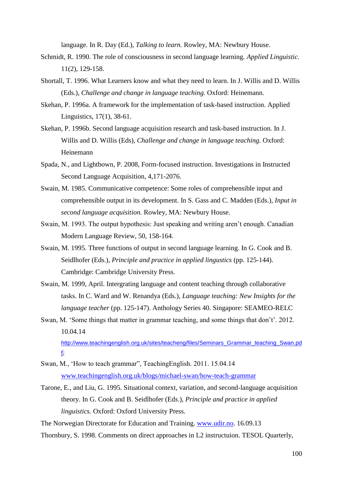language. In R. Day (Ed.), *Talking to learn.* Rowley, MA: Newbury House.

- Schmidt, R. 1990. The role of consciousness in second language learning. *Applied Linguistic.*  11(2), 129-158.
- Shortall, T. 1996. What Learners know and what they need to learn. In J. Willis and D. Willis (Eds.), *Challenge and change in language teaching.* Oxford: Heinemann.
- Skehan, P. 1996a. A framework for the implementation of task-based instruction. Applied Linguistics, 17(1), 38-61.
- Skehan, P. 1996b. Second language acquisition research and task-based instruction. In J. Willis and D. Willis (Eds), *Challenge and change in language teaching.* Oxford: Heinemann
- Spada, N., and Lightbown, P. 2008, Form-focused instruction. Investigations in Instructed Second Language Acquisition, 4,171-2076.
- Swain, M. 1985. Communicative competence: Some roles of comprehensible input and comprehensible output in its development. In S. Gass and C. Madden (Eds.), *Input in second language acquisition.* Rowley, MA: Newbury House.
- Swain, M. 1993. The output hypothesis: Just speaking and writing aren't enough. Canadian Modern Language Review, 50, 158-164.
- Swain, M. 1995. Three functions of output in second language learning. In G. Cook and B. Seidlhofer (Eds.), *Principle and practice in applied lingustics* (pp. 125-144). Cambridge: Cambridge University Press.
- Swain, M. 1999, April. Intergrating language and content teaching through collaborative tasks. In C. Ward and W. Renandya (Eds.), *Language teaching: New Insights for the language teacher* (pp. 125-147). Anthology Series 40. Singapore: SEAMEO-RELC
- Swan, M. 'Some things that matter in grammar teaching, and some things that don't'. 2012. 10.04.14 [http://www.teachingenglish.org.uk/sites/teacheng/files/Seminars\\_Grammar\\_teaching\\_Swan.pd](http://www.teachingenglish.org.uk/sites/teacheng/files/Seminars_Grammar_teaching_Swan.pdf)

[f.](http://www.teachingenglish.org.uk/sites/teacheng/files/Seminars_Grammar_teaching_Swan.pdf)

- Swan, M., 'How to teach grammar", TeachingEnglish. 2011. 15.04.14 [www.teachingenglish.org.uk/blogs/michael-swan/how-teach-grammar](http://www.teachingenglish.org.uk/blogs/michael-swan/how-teach-grammar)
- Tarone, E., and Liu, G. 1995. Situational context, variation, and second-language acquisition theory. In G. Cook and B. Seidlhofer (Ed*s*.), *Principle and practice in applied linguistics.* Oxford: Oxford University Press.

The Norwegian Directorate for Education and Training. [www.udir.no.](http://www.udir.no/) 16.09.13

Thornbury, S. 1998. Comments on direct approaches in L2 instructuion. TESOL Quarterly,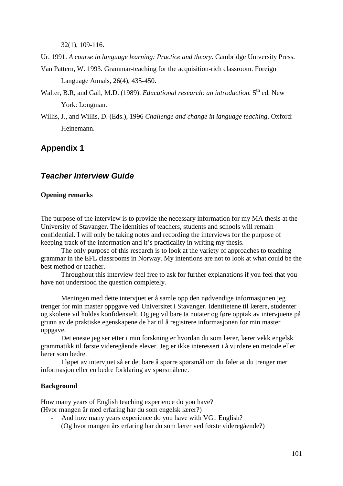32(1), 109-116.

Ur. 1991. *A course in language learning: Practice and theory*. Cambridge University Press.

Van Pattern, W. 1993. Grammar-teaching for the acquisition-rich classroom. Foreign Language Annals, 26(4), 435-450.

- Walter, B.R, and Gall, M.D. (1989). *Educational research: an introduction*. 5<sup>th</sup> ed. New York: Longman.
- Willis, J., and Willis, D. (Eds.), 1996 *Challenge and change in language teaching*. Oxford: Heinemann.

# **Appendix 1**

# *Teacher Interview Guide*

## **Opening remarks**

The purpose of the interview is to provide the necessary information for my MA thesis at the University of Stavanger. The identities of teachers, students and schools will remain confidential. I will only be taking notes and recording the interviews for the purpose of keeping track of the information and it's practicality in writing my thesis.

The only purpose of this research is to look at the variety of approaches to teaching grammar in the EFL classrooms in Norway. My intentions are not to look at what could be the best method or teacher.

Throughout this interview feel free to ask for further explanations if you feel that you have not understood the question completely.

Meningen med dette intervjuet er å samle opp den nødvendige informasjonen jeg trenger for min master oppgave ved Universitet i Stavanger. Identitetene til lærere, studenter og skolene vil holdes konfidensielt. Og jeg vil bare ta notater og føre opptak av intervjuene på grunn av de praktiske egenskapene de har til å registrere informasjonen for min master oppgave.

Det eneste jeg ser etter i min forskning er hvordan du som lærer, lærer vekk engelsk grammatikk til første videregående elever. Jeg er ikke interessert i å vurdere en metode eller lærer som bedre.

I løpet av intervjuet så er det bare å spørre spørsmål om du føler at du trenger mer informasjon eller en bedre forklaring av spørsmålene.

## **Background**

How many years of English teaching experience do you have? (Hvor mangen år med erfaring har du som engelsk lærer?)

And how many years experience do you have with VG1 English? (Og hvor mangen års erfaring har du som lærer ved første videregående?)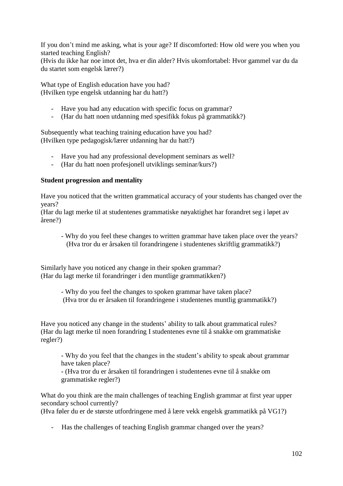If you don't mind me asking, what is your age? If discomforted: How old were you when you started teaching English?

(Hvis du ikke har noe imot det, hva er din alder? Hvis ukomfortabel: Hvor gammel var du da du startet som engelsk lærer?)

What type of English education have you had? (Hvilken type engelsk utdanning har du hatt?)

- Have you had any education with specific focus on grammar?
- (Har du hatt noen utdanning med spesifikk fokus på grammatikk?)

Subsequently what teaching training education have you had? (Hvilken type pedagogisk/lærer utdanning har du hatt?)

- Have you had any professional development seminars as well?
- (Har du hatt noen profesjonell utviklings seminar/kurs?)

## **Student progression and mentality**

Have you noticed that the written grammatical accuracy of your students has changed over the years?

(Har du lagt merke til at studentenes grammatiske nøyaktighet har forandret seg i løpet av årene?)

- Why do you feel these changes to written grammar have taken place over the years? (Hva tror du er årsaken til forandringene i studentenes skriftlig grammatikk?)

Similarly have you noticed any change in their spoken grammar? (Har du lagt merke til forandringer i den muntlige grammatikken?)

> - Why do you feel the changes to spoken grammar have taken place? (Hva tror du er årsaken til forandringene i studentenes muntlig grammatikk?)

Have you noticed any change in the students' ability to talk about grammatical rules? (Har du lagt merke til noen forandring I studentenes evne til å snakke om grammatiske regler?)

- Why do you feel that the changes in the student's ability to speak about grammar have taken place?

- (Hva tror du er årsaken til forandringen i studentenes evne til å snakke om grammatiske regler?)

What do you think are the main challenges of teaching English grammar at first year upper secondary school currently?

(Hva føler du er de største utfordringene med å lære vekk engelsk grammatikk på VG1?)

- Has the challenges of teaching English grammar changed over the years?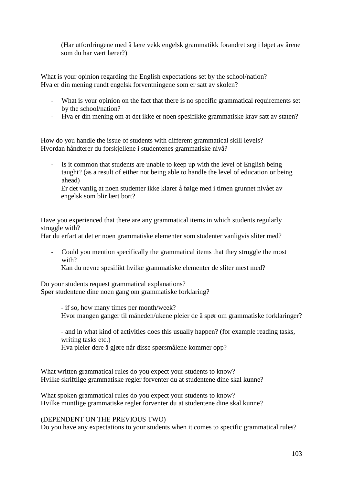(Har utfordringene med å lære vekk engelsk grammatikk forandret seg i løpet av årene som du har vært lærer?)

What is your opinion regarding the English expectations set by the school/nation? Hva er din mening rundt engelsk forventningene som er satt av skolen?

- What is your opinion on the fact that there is no specific grammatical requirements set by the school/nation?
- Hva er din mening om at det ikke er noen spesifikke grammatiske krav satt av staten?

How do you handle the issue of students with different grammatical skill levels? Hvordan håndterer du forskjellene i studentenes grammatiske nivå?

- Is it common that students are unable to keep up with the level of English being taught? (as a result of either not being able to handle the level of education or being ahead)

Er det vanlig at noen studenter ikke klarer å følge med i timen grunnet nivået av engelsk som blir lært bort?

Have you experienced that there are any grammatical items in which students regularly struggle with?

Har du erfart at det er noen grammatiske elementer som studenter vanligvis sliter med?

- Could you mention specifically the grammatical items that they struggle the most with?

Kan du nevne spesifikt hvilke grammatiske elementer de sliter mest med?

Do your students request grammatical explanations? Spør studentene dine noen gang om grammatiske forklaring?

> - if so, how many times per month/week? Hvor mangen ganger til måneden/ukene pleier de å spør om grammatiske forklaringer?

- and in what kind of activities does this usually happen? (for example reading tasks, writing tasks etc.)

Hva pleier dere å gjøre når disse spørsmålene kommer opp?

What written grammatical rules do you expect your students to know? Hvilke skriftlige grammatiske regler forventer du at studentene dine skal kunne?

What spoken grammatical rules do you expect your students to know? Hvilke muntlige grammatiske regler forventer du at studentene dine skal kunne?

## (DEPENDENT ON THE PREVIOUS TWO)

Do you have any expectations to your students when it comes to specific grammatical rules?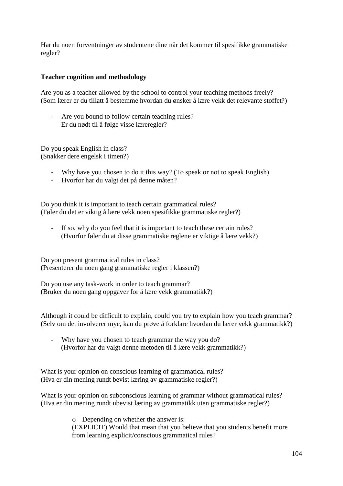Har du noen forventninger av studentene dine når det kommer til spesifikke grammatiske regler?

## **Teacher cognition and methodology**

Are you as a teacher allowed by the school to control your teaching methods freely? (Som lærer er du tillatt å bestemme hvordan du ønsker å lære vekk det relevante stoffet?)

Are you bound to follow certain teaching rules? Er du nødt til å følge visse læreregler?

Do you speak English in class? (Snakker dere engelsk i timen?)

- Why have you chosen to do it this way? (To speak or not to speak English)
- Hvorfor har du valgt det på denne måten?

Do you think it is important to teach certain grammatical rules? (Føler du det er viktig å lære vekk noen spesifikke grammatiske regler?)

- If so, why do you feel that it is important to teach these certain rules? (Hvorfor føler du at disse grammatiske reglene er viktige å lære vekk?)

Do you present grammatical rules in class? (Presenterer du noen gang grammatiske regler i klassen?)

Do you use any task-work in order to teach grammar? (Bruker du noen gang oppgaver for å lære vekk grammatikk?)

Although it could be difficult to explain, could you try to explain how you teach grammar? (Selv om det involverer mye, kan du prøve å forklare hvordan du lærer vekk grammatikk?)

- Why have you chosen to teach grammar the way you do? (Hvorfor har du valgt denne metoden til å lære vekk grammatikk?)

What is your opinion on conscious learning of grammatical rules? (Hva er din mening rundt bevist læring av grammatiske regler?)

What is your opinion on subconscious learning of grammar without grammatical rules? (Hva er din mening rundt ubevist læring av grammatikk uten grammatiske regler?)

> o Depending on whether the answer is: (EXPLICIT) Would that mean that you believe that you students benefit more from learning explicit/conscious grammatical rules?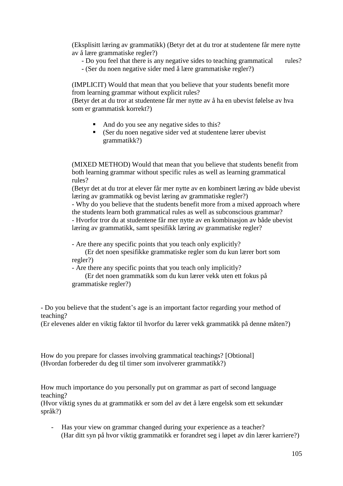(Eksplisitt læring av grammatikk) (Betyr det at du tror at studentene får mere nytte av å lære grammatiske regler?)

- Do you feel that there is any negative sides to teaching grammatical rules?
- (Ser du noen negative sider med å lære grammatiske regler?)

(IMPLICIT) Would that mean that you believe that your students benefit more from learning grammar without explicit rules?

(Betyr det at du tror at studentene får mer nytte av å ha en ubevist følelse av hva som er grammatisk korrekt?)

- And do you see any negative sides to this?
- (Ser du noen negative sider ved at studentene lærer ubevist grammatikk?)

(MIXED METHOD) Would that mean that you believe that students benefit from both learning grammar without specific rules as well as learning grammatical rules?

(Betyr det at du tror at elever får mer nytte av en kombinert læring av både ubevist læring av grammatikk og bevist læring av grammatiske regler?)

- Why do you believe that the students benefit more from a mixed approach where the students learn both grammatical rules as well as subconscious grammar? - Hvorfor tror du at studentene får mer nytte av en kombinasjon av både ubevist

læring av grammatikk, samt spesifikk læring av grammatiske regler?

- Are there any specific points that you teach only explicitly?

 (Er det noen spesifikke grammatiske regler som du kun lærer bort som regler?)

- Are there any specific points that you teach only implicitly?

 (Er det noen grammatikk som du kun lærer vekk uten ett fokus på grammatiske regler?)

- Do you believe that the student's age is an important factor regarding your method of teaching?

(Er elevenes alder en viktig faktor til hvorfor du lærer vekk grammatikk på denne måten?)

How do you prepare for classes involving grammatical teachings? [Obtional] (Hvordan forbereder du deg til timer som involverer grammatikk?)

How much importance do you personally put on grammar as part of second language teaching?

(Hvor viktig synes du at grammatikk er som del av det å lære engelsk som ett sekundær språk?)

- Has your view on grammar changed during your experience as a teacher? (Har ditt syn på hvor viktig grammatikk er forandret seg i løpet av din lærer karriere?)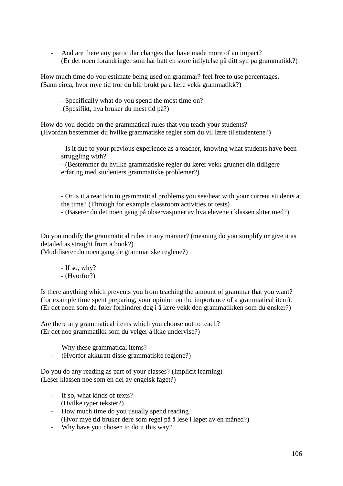- And are there any particular changes that have made more of an impact? (Er det noen forandringer som har hatt en store inflytelse på ditt syn på grammatikk?)

How much time do you estimate being used on grammar? feel free to use percentages. (Sånn circa, hvor mye tid tror du blir brukt på å lære vekk grammatikk?)

- Specifically what do you spend the most time on? (Spesifikt, hva bruker du mest tid på?)

How do you decide on the grammatical rules that you teach your students? (Hvordan bestemmer du hvilke grammatiske regler som du vil lære til studentene?)

- Is it due to your previous experience as a teacher, knowing what students have been struggling with?

- (Bestemmer du hvilke grammatiske regler du lærer vekk grunnet din tidligere erfaring med studenters grammatiske problemer?)

- Or is it a reaction to grammatical problems you see/hear with your current students at the time? (Through for example classroom activities or tests)

- (Baserer du det noen gang på observasjoner av hva elevene i klassen sliter med?)

Do you modify the grammatical rules in any manner? (meaning do you simplify or give it as detailed as straight from a book?)

(Modifiserer du noen gang de grammatiske reglene?)

- If so, why? - (Hvorfor?)

Is there anything which prevents you from teaching the amount of grammar that you want? (for example time spent preparing, your opinion on the importance of a grammatical item). (Er det noen som du føler forhindrer deg i å lære vekk den grammatikken som du ønsker?)

Are there any grammatical items which you choose not to teach? (Er det noe grammatikk som du velger å ikke undervise?)

- Why these grammatical items?
- (Hvorfor akkuratt disse grammatiske reglene?)

Do you do any reading as part of your classes? (Implicit learning) (Leser klassen noe som en del av engelsk faget?)

- If so, what kinds of texts? (Hvilke typer tekster?)
- How much time do you usually spend reading? (Hvor mye tid bruker dere som regel på å lese i løpet av en måned?)
- Why have you chosen to do it this way?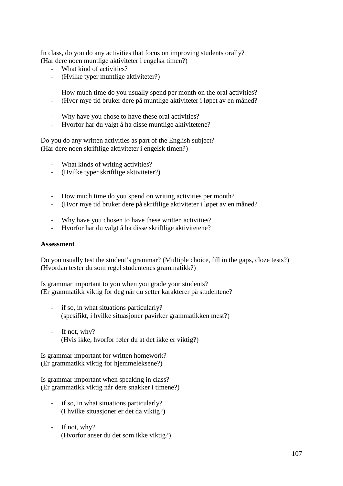In class, do you do any activities that focus on improving students orally? (Har dere noen muntlige aktiviteter i engelsk timen?)

- What kind of activities?
- (Hvilke typer muntlige aktiviteter?)
- How much time do you usually spend per month on the oral activities?
- (Hvor mye tid bruker dere på muntlige aktiviteter i løpet av en måned?
- Why have you chose to have these oral activities?
- Hvorfor har du valgt å ha disse muntlige aktivitetene?

Do you do any written activities as part of the English subject? (Har dere noen skriftlige aktiviteter i engelsk timen?)

- What kinds of writing activities?
- (Hvilke typer skriftlige aktiviteter?)
- How much time do you spend on writing activities per month?
- (Hvor mye tid bruker dere på skriftlige aktiviteter i løpet av en måned?
- Why have you chosen to have these written activities?
- Hvorfor har du valgt å ha disse skriftlige aktivitetene?

#### **Assessment**

Do you usually test the student's grammar? (Multiple choice, fill in the gaps, cloze tests?) (Hvordan tester du som regel studentenes grammatikk?)

Is grammar important to you when you grade your students? (Er grammatikk viktig for deg når du setter karakterer på studentene?

- if so, in what situations particularly? (spesifikt, i hvilke situasjoner påvirker grammatikken mest?)
- If not, why? (Hvis ikke, hvorfor føler du at det ikke er viktig?)

Is grammar important for written homework? (Er grammatikk viktig for hjemmeleksene?)

Is grammar important when speaking in class? (Er grammatikk viktig når dere snakker i timene?)

- if so, in what situations particularly? (I hvilke situasjoner er det da viktig?)
- If not, why? (Hvorfor anser du det som ikke viktig?)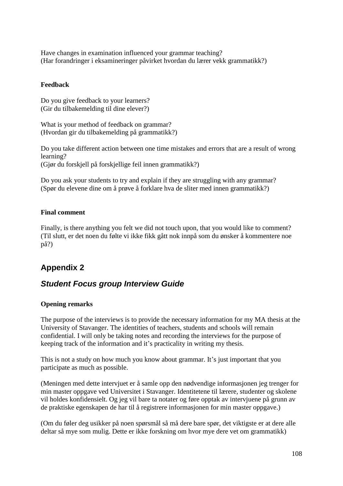Have changes in examination influenced your grammar teaching? (Har forandringer i eksamineringer påvirket hvordan du lærer vekk grammatikk?)

## **Feedback**

Do you give feedback to your learners? (Gir du tilbakemelding til dine elever?)

What is your method of feedback on grammar? (Hvordan gir du tilbakemelding på grammatikk?)

Do you take different action between one time mistakes and errors that are a result of wrong learning?

(Gjør du forskjell på forskjellige feil innen grammatikk?)

Do you ask your students to try and explain if they are struggling with any grammar? (Spør du elevene dine om å prøve å forklare hva de sliter med innen grammatikk?)

# **Final comment**

Finally, is there anything you felt we did not touch upon, that you would like to comment? (Til slutt, er det noen du følte vi ikke fikk gått nok innpå som du ønsker å kommentere noe på?)

# **Appendix 2**

# *Student Focus group Interview Guide*

#### **Opening remarks**

The purpose of the interviews is to provide the necessary information for my MA thesis at the University of Stavanger. The identities of teachers, students and schools will remain confidential. I will only be taking notes and recording the interviews for the purpose of keeping track of the information and it's practicality in writing my thesis.

This is not a study on how much you know about grammar. It's just important that you participate as much as possible.

(Meningen med dette intervjuet er å samle opp den nødvendige informasjonen jeg trenger for min master oppgave ved Universitet i Stavanger. Identitetene til lærere, studenter og skolene vil holdes konfidensielt. Og jeg vil bare ta notater og føre opptak av intervjuene på grunn av de praktiske egenskapen de har til å registrere informasjonen for min master oppgave.)

(Om du føler deg usikker på noen spørsmål så må dere bare spør, det viktigste er at dere alle deltar så mye som mulig. Dette er ikke forskning om hvor mye dere vet om grammatikk)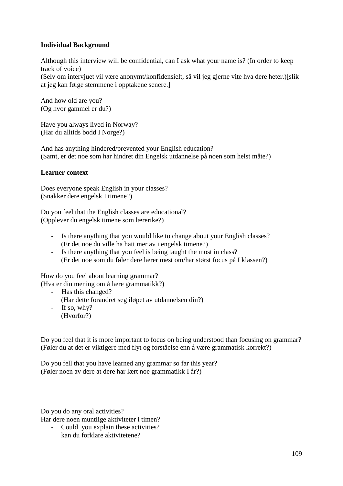# **Individual Background**

Although this interview will be confidential, can I ask what your name is? (In order to keep track of voice)

(Selv om intervjuet vil være anonymt/konfidensielt, så vil jeg gjerne vite hva dere heter.)[slik at jeg kan følge stemmene i opptakene senere.]

And how old are you? (Og hvor gammel er du?)

Have you always lived in Norway? (Har du alltids bodd I Norge?)

And has anything hindered/prevented your English education? (Samt, er det noe som har hindret din Engelsk utdannelse på noen som helst måte?)

# **Learner context**

Does everyone speak English in your classes? (Snakker dere engelsk I timene?)

Do you feel that the English classes are educational? (Opplever du engelsk timene som lærerike?)

- Is there anything that you would like to change about your English classes? (Er det noe du ville ha hatt mer av i engelsk timene?)
- Is there anything that you feel is being taught the most in class? (Er det noe som du føler dere lærer mest om/har størst focus på I klassen?)

How do you feel about learning grammar? (Hva er din mening om å lære grammatikk?)

- Has this changed? (Har dette forandret seg iløpet av utdannelsen din?) - If so, why?
- (Hvorfor?)

Do you feel that it is more important to focus on being understood than focusing on grammar? (Føler du at det er viktigere med flyt og forståelse enn å være grammatisk korrekt?)

Do you fell that you have learned any grammar so far this year? (Føler noen av dere at dere har lært noe grammatikk I år?)

Do you do any oral activities?

Har dere noen muntlige aktiviteter i timen?

- Could you explain these activities? kan du forklare aktivitetene?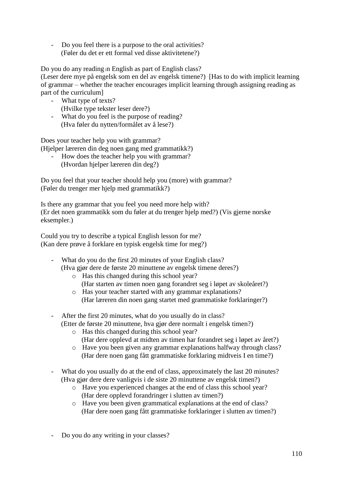Do you feel there is a purpose to the oral activities? (Føler du det er ett formal ved disse aktivitetene?)

Do you do any reading <sup>i</sup>n English as part of English class?

(Leser dere mye på engelsk som en del av engelsk timene?) [Has to do with implicit learning of grammar – whether the teacher encourages implicit learning through assigning reading as part of the curriculum]

- What type of texts? (Hvilke type tekster leser dere?)
- What do you feel is the purpose of reading? (Hva føler du nytten/formålet av å lese?)

Does your teacher help you with grammar? (Hjelper læreren din deg noen gang med grammatikk?)

- How does the teacher help you with grammar? (Hvordan hjelper læreren din deg?)

Do you feel that your teacher should help you (more) with grammar? (Føler du trenger mer hjelp med grammatikk?)

Is there any grammar that you feel you need more help with? (Er det noen grammatikk som du føler at du trenger hjelp med?) (Vis gjerne norske eksempler.)

Could you try to describe a typical English lesson for me? (Kan dere prøve å forklare en typisk engelsk time for meg?)

- What do you do the first 20 minutes of your English class? (Hva gjør dere de første 20 minuttene av engelsk timene deres?)
	- o Has this changed during this school year? (Har starten av timen noen gang forandret seg i løpet av skoleåret?)
	- o Has your teacher started with any grammar explanations? (Har læreren din noen gang startet med grammatiske forklaringer?)
- After the first 20 minutes, what do you usually do in class? (Etter de første 20 minuttene, hva gjør dere normalt i engelsk timen?)
	- o Has this changed during this school year?
		- (Har dere opplevd at midten av timen har forandret seg i løpet av året?)
	- o Have you been given any grammar explanations halfway through class? (Har dere noen gang fått grammatiske forklaring midtveis I en time?)
- What do you usually do at the end of class, approximately the last 20 minutes? (Hva gjør dere dere vanligvis i de siste 20 minuttene av engelsk timen?)
	- o Have you experienced changes at the end of class this school year? (Har dere opplevd forandringer i slutten av timen?)
	- o Have you been given grammatical explanations at the end of class? (Har dere noen gang fått grammatiske forklaringer i slutten av timen?)
- Do you do any writing in your classes?